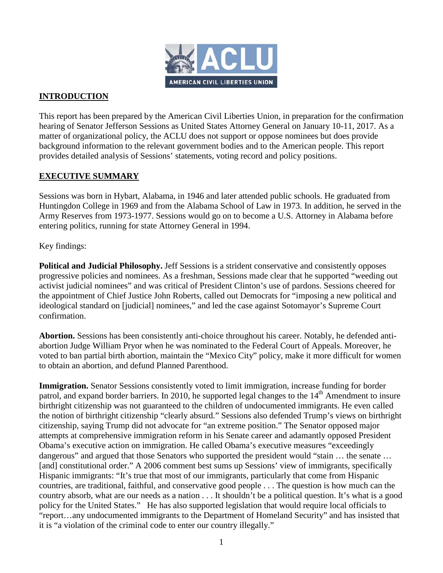

# **INTRODUCTION**

This report has been prepared by the American Civil Liberties Union, in preparation for the confirmation hearing of Senator Jefferson Sessions as United States Attorney General on January 10-11, 2017. As a matter of organizational policy, the ACLU does not support or oppose nominees but does provide background information to the relevant government bodies and to the American people. This report provides detailed analysis of Sessions' statements, voting record and policy positions.

# **EXECUTIVE SUMMARY**

Sessions was born in Hybart, Alabama, in 1946 and later attended public schools. He graduated from Huntingdon College in 1969 and from the Alabama School of Law in 1973. In addition, he served in the Army Reserves from 1973-1977. Sessions would go on to become a U.S. Attorney in Alabama before entering politics, running for state Attorney General in 1994.

Key findings:

**Political and Judicial Philosophy.** Jeff Sessions is a strident conservative and consistently opposes progressive policies and nominees. As a freshman, Sessions made clear that he supported "weeding out activist judicial nominees" and was critical of President Clinton's use of pardons. Sessions cheered for the appointment of Chief Justice John Roberts, called out Democrats for "imposing a new political and ideological standard on [judicial] nominees," and led the case against Sotomayor's Supreme Court confirmation.

**Abortion.** Sessions has been consistently anti-choice throughout his career. Notably, he defended antiabortion Judge William Pryor when he was nominated to the Federal Court of Appeals. Moreover, he voted to ban partial birth abortion, maintain the "Mexico City" policy, make it more difficult for women to obtain an abortion, and defund Planned Parenthood.

**Immigration.** Senator Sessions consistently voted to limit immigration, increase funding for border patrol, and expand border barriers. In 2010, he supported legal changes to the 14<sup>th</sup> Amendment to insure birthright citizenship was not guaranteed to the children of undocumented immigrants. He even called the notion of birthright citizenship "clearly absurd." Sessions also defended Trump's views on birthright citizenship, saying Trump did not advocate for "an extreme position." The Senator opposed major attempts at comprehensive immigration reform in his Senate career and adamantly opposed President Obama's executive action on immigration. He called Obama's executive measures "exceedingly dangerous" and argued that those Senators who supported the president would "stain ... the senate ... [and] constitutional order." A 2006 comment best sums up Sessions' view of immigrants, specifically Hispanic immigrants: "It's true that most of our immigrants, particularly that come from Hispanic countries, are traditional, faithful, and conservative good people . . . The question is how much can the country absorb, what are our needs as a nation . . . It shouldn't be a political question. It's what is a good policy for the United States." He has also supported legislation that would require local officials to "report…any undocumented immigrants to the Department of Homeland Security" and has insisted that it is "a violation of the criminal code to enter our country illegally."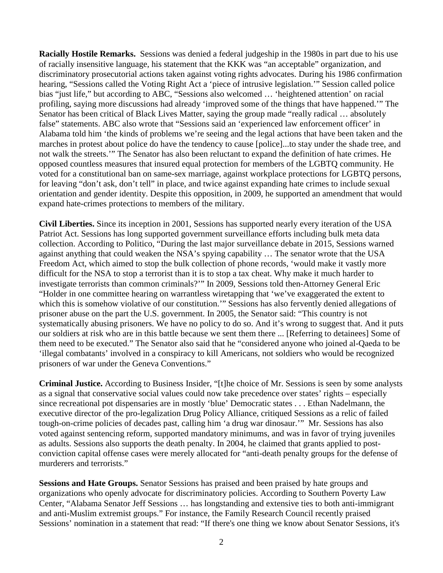**Racially Hostile Remarks.** Sessions was denied a federal judgeship in the 1980s in part due to his use of racially insensitive language, his statement that the KKK was "an acceptable" organization, and discriminatory prosecutorial actions taken against voting rights advocates. During his 1986 confirmation hearing, "Sessions called the Voting Right Act a 'piece of intrusive legislation.'" Session called police bias "just life," but according to ABC, "Sessions also welcomed … 'heightened attention' on racial profiling, saying more discussions had already 'improved some of the things that have happened.'" The Senator has been critical of Black Lives Matter, saying the group made "really radical … absolutely false" statements. ABC also wrote that "Sessions said an 'experienced law enforcement officer' in Alabama told him 'the kinds of problems we're seeing and the legal actions that have been taken and the marches in protest about police do have the tendency to cause [police]...to stay under the shade tree, and not walk the streets.'" The Senator has also been reluctant to expand the definition of hate crimes. He opposed countless measures that insured equal protection for members of the LGBTQ community. He voted for a constitutional ban on same-sex marriage, against workplace protections for LGBTQ persons, for leaving "don't ask, don't tell" in place, and twice against expanding hate crimes to include sexual orientation and gender identity. Despite this opposition, in 2009, he supported an amendment that would expand hate-crimes protections to members of the military.

**Civil Liberties.** Since its inception in 2001, Sessions has supported nearly every iteration of the USA Patriot Act. Sessions has long supported government surveillance efforts including bulk meta data collection. According to Politico, "During the last major surveillance debate in 2015, Sessions warned against anything that could weaken the NSA's spying capability … The senator wrote that the USA Freedom Act, which aimed to stop the bulk collection of phone records, 'would make it vastly more difficult for the NSA to stop a terrorist than it is to stop a tax cheat. Why make it much harder to investigate terrorists than common criminals?'" In 2009, Sessions told then-Attorney General Eric "Holder in one committee hearing on warrantless wiretapping that 'we've exaggerated the extent to which this is somehow violative of our constitution.'" Sessions has also fervently denied allegations of prisoner abuse on the part the U.S. government. In 2005, the Senator said: "This country is not systematically abusing prisoners. We have no policy to do so. And it's wrong to suggest that. And it puts our soldiers at risk who are in this battle because we sent them there ... [Referring to detainees] Some of them need to be executed." The Senator also said that he "considered anyone who joined al-Qaeda to be 'illegal combatants' involved in a conspiracy to kill Americans, not soldiers who would be recognized prisoners of war under the Geneva Conventions."

**Criminal Justice.** According to Business Insider, "[t]he choice of Mr. Sessions is seen by some analysts as a signal that conservative social values could now take precedence over states' rights – especially since recreational pot dispensaries are in mostly 'blue' Democratic states . . . Ethan Nadelmann, the executive director of the pro-legalization Drug Policy Alliance, critiqued Sessions as a relic of failed tough-on-crime policies of decades past, calling him 'a drug war dinosaur.'" Mr. Sessions has also voted against sentencing reform, supported mandatory minimums, and was in favor of trying juveniles as adults. Sessions also supports the death penalty. In 2004, he claimed that grants applied to postconviction capital offense cases were merely allocated for "anti-death penalty groups for the defense of murderers and terrorists."

**Sessions and Hate Groups.** Senator Sessions has praised and been praised by hate groups and organizations who openly advocate for discriminatory policies. According to Southern Poverty Law Center, "Alabama Senator Jeff Sessions … has longstanding and extensive ties to both anti-immigrant and anti-Muslim extremist groups." For instance, the Family Research Council recently praised Sessions' nomination in a statement that read: "If there's one thing we know about Senator Sessions, it's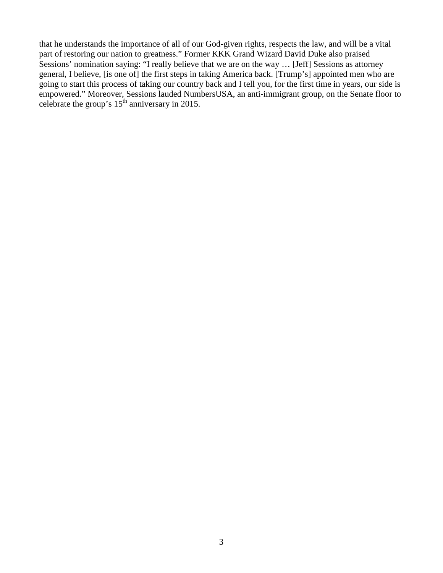that he understands the importance of all of our God-given rights, respects the law, and will be a vital part of restoring our nation to greatness." Former KKK Grand Wizard David Duke also praised Sessions' nomination saying: "I really believe that we are on the way … [Jeff] Sessions as attorney general, I believe, [is one of] the first steps in taking America back. [Trump's] appointed men who are going to start this process of taking our country back and I tell you, for the first time in years, our side is empowered." Moreover, Sessions lauded NumbersUSA, an anti-immigrant group, on the Senate floor to celebrate the group's  $15^{th}$  anniversary in 2015.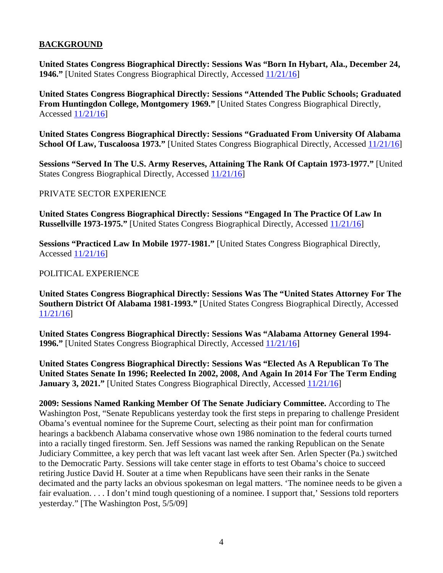# **BACKGROUND**

**United States Congress Biographical Directly: Sessions Was "Born In Hybart, Ala., December 24, 1946."** [United States Congress Biographical Directly, Accessed [11/21/16\]](http://bioguide.congress.gov/scripts/biodisplay.pl?index=s001141)

**United States Congress Biographical Directly: Sessions "Attended The Public Schools; Graduated From Huntingdon College, Montgomery 1969."** [United States Congress Biographical Directly, Accessed [11/21/16\]](http://bioguide.congress.gov/scripts/biodisplay.pl?index=s001141)

**United States Congress Biographical Directly: Sessions "Graduated From University Of Alabama School Of Law, Tuscaloosa 1973."** [United States Congress Biographical Directly, Accessed [11/21/16\]](http://bioguide.congress.gov/scripts/biodisplay.pl?index=s001141)

**Sessions "Served In The U.S. Army Reserves, Attaining The Rank Of Captain 1973-1977."** [United States Congress Biographical Directly, Accessed [11/21/16\]](http://bioguide.congress.gov/scripts/biodisplay.pl?index=s001141)

## PRIVATE SECTOR EXPERIENCE

**United States Congress Biographical Directly: Sessions "Engaged In The Practice Of Law In Russellville 1973-1975."** [United States Congress Biographical Directly, Accessed [11/21/16\]](http://bioguide.congress.gov/scripts/biodisplay.pl?index=s001141)

**Sessions "Practiced Law In Mobile 1977-1981."** [United States Congress Biographical Directly, Accessed [11/21/16\]](http://bioguide.congress.gov/scripts/biodisplay.pl?index=s001141)

## POLITICAL EXPERIENCE

**United States Congress Biographical Directly: Sessions Was The "United States Attorney For The Southern District Of Alabama 1981-1993."** [United States Congress Biographical Directly, Accessed [11/21/16\]](http://bioguide.congress.gov/scripts/biodisplay.pl?index=s001141)

**United States Congress Biographical Directly: Sessions Was "Alabama Attorney General 1994- 1996."** [United States Congress Biographical Directly, Accessed [11/21/16\]](http://bioguide.congress.gov/scripts/biodisplay.pl?index=s001141)

**United States Congress Biographical Directly: Sessions Was "Elected As A Republican To The United States Senate In 1996; Reelected In 2002, 2008, And Again In 2014 For The Term Ending January 3, 2021."** [United States Congress Biographical Directly, Accessed [11/21/16\]](http://bioguide.congress.gov/scripts/biodisplay.pl?index=s001141)

**2009: Sessions Named Ranking Member Of The Senate Judiciary Committee.** According to The Washington Post, "Senate Republicans yesterday took the first steps in preparing to challenge President Obama's eventual nominee for the Supreme Court, selecting as their point man for confirmation hearings a backbench Alabama conservative whose own 1986 nomination to the federal courts turned into a racially tinged firestorm. Sen. Jeff Sessions was named the ranking Republican on the Senate Judiciary Committee, a key perch that was left vacant last week after Sen. Arlen Specter (Pa.) switched to the Democratic Party. Sessions will take center stage in efforts to test Obama's choice to succeed retiring Justice David H. Souter at a time when Republicans have seen their ranks in the Senate decimated and the party lacks an obvious spokesman on legal matters. 'The nominee needs to be given a fair evaluation. . . . I don't mind tough questioning of a nominee. I support that,' Sessions told reporters yesterday." [The Washington Post, 5/5/09]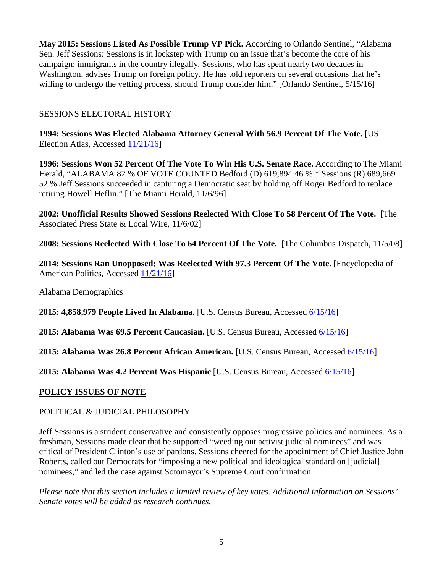**May 2015: Sessions Listed As Possible Trump VP Pick.** According to Orlando Sentinel, "Alabama Sen. Jeff Sessions: Sessions is in lockstep with Trump on an issue that's become the core of his campaign: immigrants in the country illegally. Sessions, who has spent nearly two decades in Washington, advises Trump on foreign policy. He has told reporters on several occasions that he's willing to undergo the vetting process, should Trump consider him." [Orlando Sentinel, 5/15/16]

# SESSIONS ELECTORAL HISTORY

**1994: Sessions Was Elected Alabama Attorney General With 56.9 Percent Of The Vote.** [US Election Atlas, Accessed [11/21/16\]](http://uselectionatlas.org/RESULTS/state.php?fips=1&year=1994&f=0&off=9&elect=0)

**1996: Sessions Won 52 Percent Of The Vote To Win His U.S. Senate Race.** According to The Miami Herald, "ALABAMA 82 % OF VOTE COUNTED Bedford (D) 619,894 46 % \* Sessions (R) 689,669 52 % Jeff Sessions succeeded in capturing a Democratic seat by holding off Roger Bedford to replace retiring Howell Heflin." [The Miami Herald, 11/6/96]

**2002: Unofficial Results Showed Sessions Reelected With Close To 58 Percent Of The Vote.** [The Associated Press State & Local Wire, 11/6/02]

**2008: Sessions Reelected With Close To 64 Percent Of The Vote.** [The Columbus Dispatch, 11/5/08]

**2014: Sessions Ran Unopposed; Was Reelected With 97.3 Percent Of The Vote.** [Encyclopedia of American Politics, Accessed [11/21/16\]](https://ballotpedia.org/Jeff_Sessions#Elections)

Alabama Demographics

**2015: 4,858,979 People Lived In Alabama.** [U.S. Census Bureau, Accessed [6/15/16\]](http://www.census.gov/quickfacts/table/PST045215/01)

**2015: Alabama Was 69.5 Percent Caucasian.** [U.S. Census Bureau, Accessed [6/15/16\]](http://www.census.gov/quickfacts/table/PST045215/01)

**2015: Alabama Was 26.8 Percent African American.** [U.S. Census Bureau, Accessed [6/15/16\]](http://www.census.gov/quickfacts/table/PST045215/01)

**2015: Alabama Was 4.2 Percent Was Hispanic** [U.S. Census Bureau, Accessed [6/15/16\]](http://www.census.gov/quickfacts/table/PST045215/01)

# **POLICY ISSUES OF NOTE**

# POLITICAL & JUDICIAL PHILOSOPHY

Jeff Sessions is a strident conservative and consistently opposes progressive policies and nominees. As a freshman, Sessions made clear that he supported "weeding out activist judicial nominees" and was critical of President Clinton's use of pardons. Sessions cheered for the appointment of Chief Justice John Roberts, called out Democrats for "imposing a new political and ideological standard on [judicial] nominees," and led the case against Sotomayor's Supreme Court confirmation.

*Please note that this section includes a limited review of key votes. Additional information on Sessions' Senate votes will be added as research continues.*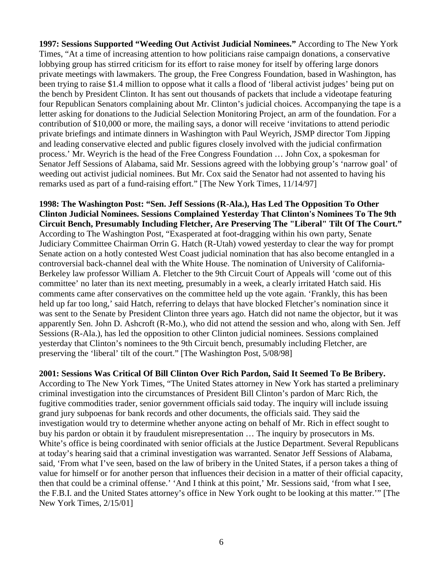**1997: Sessions Supported "Weeding Out Activist Judicial Nominees."** According to The New York Times, "At a time of increasing attention to how politicians raise campaign donations, a conservative lobbying group has stirred criticism for its effort to raise money for itself by offering large donors private meetings with lawmakers. The group, the Free Congress Foundation, based in Washington, has been trying to raise \$1.4 million to oppose what it calls a flood of 'liberal activist judges' being put on the bench by President Clinton. It has sent out thousands of packets that include a videotape featuring four Republican Senators complaining about Mr. Clinton's judicial choices. Accompanying the tape is a letter asking for donations to the Judicial Selection Monitoring Project, an arm of the foundation. For a contribution of \$10,000 or more, the mailing says, a donor will receive 'invitations to attend periodic private briefings and intimate dinners in Washington with Paul Weyrich, JSMP director Tom Jipping and leading conservative elected and public figures closely involved with the judicial confirmation process.' Mr. Weyrich is the head of the Free Congress Foundation … John Cox, a spokesman for Senator Jeff Sessions of Alabama, said Mr. Sessions agreed with the lobbying group's 'narrow goal' of weeding out activist judicial nominees. But Mr. Cox said the Senator had not assented to having his remarks used as part of a fund-raising effort." [The New York Times, 11/14/97]

**1998: The Washington Post: "Sen. Jeff Sessions (R-Ala.), Has Led The Opposition To Other Clinton Judicial Nominees. Sessions Complained Yesterday That Clinton's Nominees To The 9th Circuit Bench, Presumably Including Fletcher, Are Preserving The "Liberal" Tilt Of The Court."**  According to The Washington Post, "Exasperated at foot-dragging within his own party, Senate Judiciary Committee Chairman Orrin G. Hatch (R-Utah) vowed yesterday to clear the way for prompt Senate action on a hotly contested West Coast judicial nomination that has also become entangled in a controversial back-channel deal with the White House. The nomination of University of California-Berkeley law professor William A. Fletcher to the 9th Circuit Court of Appeals will 'come out of this committee' no later than its next meeting, presumably in a week, a clearly irritated Hatch said. His comments came after conservatives on the committee held up the vote again. 'Frankly, this has been held up far too long,' said Hatch, referring to delays that have blocked Fletcher's nomination since it was sent to the Senate by President Clinton three years ago. Hatch did not name the objector, but it was apparently Sen. John D. Ashcroft (R-Mo.), who did not attend the session and who, along with Sen. Jeff Sessions (R-Ala.), has led the opposition to other Clinton judicial nominees. Sessions complained yesterday that Clinton's nominees to the 9th Circuit bench, presumably including Fletcher, are preserving the 'liberal' tilt of the court." [The Washington Post, 5/08/98]

## **2001: Sessions Was Critical Of Bill Clinton Over Rich Pardon, Said It Seemed To Be Bribery.**

According to The New York Times, "The United States attorney in New York has started a preliminary criminal investigation into the circumstances of President Bill Clinton's pardon of Marc Rich, the fugitive commodities trader, senior government officials said today. The inquiry will include issuing grand jury subpoenas for bank records and other documents, the officials said. They said the investigation would try to determine whether anyone acting on behalf of Mr. Rich in effect sought to buy his pardon or obtain it by fraudulent misrepresentation … The inquiry by prosecutors in Ms. White's office is being coordinated with senior officials at the Justice Department. Several Republicans at today's hearing said that a criminal investigation was warranted. Senator Jeff Sessions of Alabama, said, 'From what I've seen, based on the law of bribery in the United States, if a person takes a thing of value for himself or for another person that influences their decision in a matter of their official capacity, then that could be a criminal offense.' 'And I think at this point,' Mr. Sessions said, 'from what I see, the F.B.I. and the United States attorney's office in New York ought to be looking at this matter.'" [The New York Times, 2/15/01]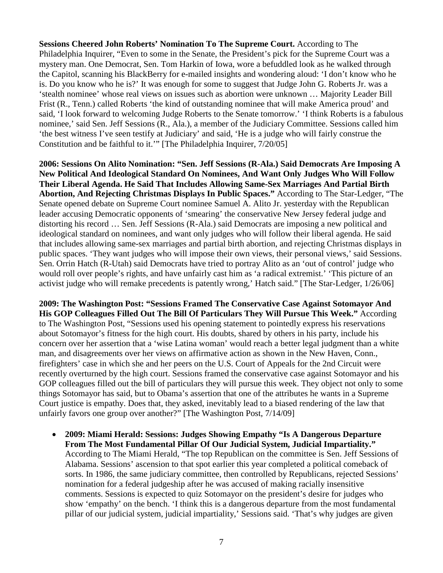**Sessions Cheered John Roberts' Nomination To The Supreme Court.** According to The Philadelphia Inquirer, "Even to some in the Senate, the President's pick for the Supreme Court was a mystery man. One Democrat, Sen. Tom Harkin of Iowa, wore a befuddled look as he walked through the Capitol, scanning his BlackBerry for e-mailed insights and wondering aloud: 'I don't know who he is. Do you know who he is?' It was enough for some to suggest that Judge John G. Roberts Jr. was a 'stealth nominee' whose real views on issues such as abortion were unknown … Majority Leader Bill Frist (R., Tenn.) called Roberts 'the kind of outstanding nominee that will make America proud' and said, 'I look forward to welcoming Judge Roberts to the Senate tomorrow.' 'I think Roberts is a fabulous nominee,' said Sen. Jeff Sessions (R., Ala.), a member of the Judiciary Committee. Sessions called him 'the best witness I've seen testify at Judiciary' and said, 'He is a judge who will fairly construe the Constitution and be faithful to it.'" [The Philadelphia Inquirer, 7/20/05]

**2006: Sessions On Alito Nomination: "Sen. Jeff Sessions (R-Ala.) Said Democrats Are Imposing A New Political And Ideological Standard On Nominees, And Want Only Judges Who Will Follow Their Liberal Agenda. He Said That Includes Allowing Same-Sex Marriages And Partial Birth Abortion, And Rejecting Christmas Displays In Public Spaces."** According to The Star-Ledger, "The Senate opened debate on Supreme Court nominee Samuel A. Alito Jr. yesterday with the Republican leader accusing Democratic opponents of 'smearing' the conservative New Jersey federal judge and distorting his record … Sen. Jeff Sessions (R-Ala.) said Democrats are imposing a new political and ideological standard on nominees, and want only judges who will follow their liberal agenda. He said that includes allowing same-sex marriages and partial birth abortion, and rejecting Christmas displays in public spaces. 'They want judges who will impose their own views, their personal views,' said Sessions. Sen. Orrin Hatch (R-Utah) said Democrats have tried to portray Alito as an 'out of control' judge who would roll over people's rights, and have unfairly cast him as 'a radical extremist.' 'This picture of an activist judge who will remake precedents is patently wrong,' Hatch said." [The Star-Ledger, 1/26/06]

**2009: The Washington Post: "Sessions Framed The Conservative Case Against Sotomayor And His GOP Colleagues Filled Out The Bill Of Particulars They Will Pursue This Week."** According to The Washington Post, "Sessions used his opening statement to pointedly express his reservations about Sotomayor's fitness for the high court. His doubts, shared by others in his party, include his concern over her assertion that a 'wise Latina woman' would reach a better legal judgment than a white man, and disagreements over her views on affirmative action as shown in the New Haven, Conn., firefighters' case in which she and her peers on the U.S. Court of Appeals for the 2nd Circuit were recently overturned by the high court. Sessions framed the conservative case against Sotomayor and his GOP colleagues filled out the bill of particulars they will pursue this week. They object not only to some things Sotomayor has said, but to Obama's assertion that one of the attributes he wants in a Supreme Court justice is empathy. Does that, they asked, inevitably lead to a biased rendering of the law that unfairly favors one group over another?" [The Washington Post, 7/14/09]

• **2009: Miami Herald: Sessions: Judges Showing Empathy "Is A Dangerous Departure From The Most Fundamental Pillar Of Our Judicial System, Judicial Impartiality."**  According to The Miami Herald, "The top Republican on the committee is Sen. Jeff Sessions of Alabama. Sessions' ascension to that spot earlier this year completed a political comeback of sorts. In 1986, the same judiciary committee, then controlled by Republicans, rejected Sessions' nomination for a federal judgeship after he was accused of making racially insensitive comments. Sessions is expected to quiz Sotomayor on the president's desire for judges who show 'empathy' on the bench. 'I think this is a dangerous departure from the most fundamental pillar of our judicial system, judicial impartiality,' Sessions said. 'That's why judges are given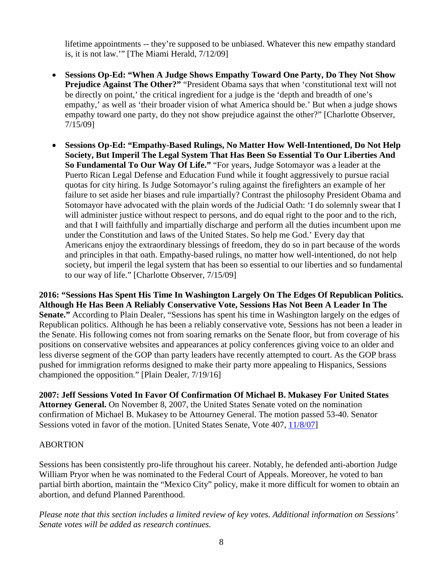lifetime appointments -- they're supposed to be unbiased. Whatever this new empathy standard is, it is not law.'" [The Miami Herald, 7/12/09]

- **Sessions Op-Ed: "When A Judge Shows Empathy Toward One Party, Do They Not Show Prejudice Against The Other?"** "President Obama says that when 'constitutional text will not be directly on point,' the critical ingredient for a judge is the 'depth and breadth of one's empathy,' as well as 'their broader vision of what America should be.' But when a judge shows empathy toward one party, do they not show prejudice against the other?" [Charlotte Observer, 7/15/09]
- **Sessions Op-Ed: "Empathy-Based Rulings, No Matter How Well-Intentioned, Do Not Help Society, But Imperil The Legal System That Has Been So Essential To Our Liberties And So Fundamental To Our Way Of Life."** "For years, Judge Sotomayor was a leader at the Puerto Rican Legal Defense and Education Fund while it fought aggressively to pursue racial quotas for city hiring. Is Judge Sotomayor's ruling against the firefighters an example of her failure to set aside her biases and rule impartially? Contrast the philosophy President Obama and Sotomayor have advocated with the plain words of the Judicial Oath: 'I do solemnly swear that I will administer justice without respect to persons, and do equal right to the poor and to the rich, and that I will faithfully and impartially discharge and perform all the duties incumbent upon me under the Constitution and laws of the United States. So help me God.' Every day that Americans enjoy the extraordinary blessings of freedom, they do so in part because of the words and principles in that oath. Empathy-based rulings, no matter how well-intentioned, do not help society, but imperil the legal system that has been so essential to our liberties and so fundamental to our way of life." [Charlotte Observer, 7/15/09]

**2016: "Sessions Has Spent His Time In Washington Largely On The Edges Of Republican Politics. Although He Has Been A Reliably Conservative Vote, Sessions Has Not Been A Leader In The Senate."** According to Plain Dealer, "Sessions has spent his time in Washington largely on the edges of Republican politics. Although he has been a reliably conservative vote, Sessions has not been a leader in the Senate. His following comes not from soaring remarks on the Senate floor, but from coverage of his positions on conservative websites and appearances at policy conferences giving voice to an older and less diverse segment of the GOP than party leaders have recently attempted to court. As the GOP brass pushed for immigration reforms designed to make their party more appealing to Hispanics, Sessions championed the opposition." [Plain Dealer, 7/19/16]

**2007: Jeff Sessions Voted In Favor Of Confirmation Of Michael B. Mukasey For United States Attorney General.** On November 8, 2007, the United States Senate voted on the nomination confirmation of Michael B. Mukasey to be Attourney General. The motion passed 53-40. Senator Sessions voted in favor of the motion. [United States Senate, Vote 407, [11/8/07\]](http://www.senate.gov/legislative/LIS/roll_call_lists/roll_call_vote_cfm.cfm?congress=110&session=1&vote=00407)

# ABORTION

Sessions has been consistently pro-life throughout his career. Notably, he defended anti-abortion Judge William Pryor when he was nominated to the Federal Court of Appeals. Moreover, he voted to ban partial birth abortion, maintain the "Mexico City" policy, make it more difficult for women to obtain an abortion, and defund Planned Parenthood.

*Please note that this section includes a limited review of key votes. Additional information on Sessions' Senate votes will be added as research continues.*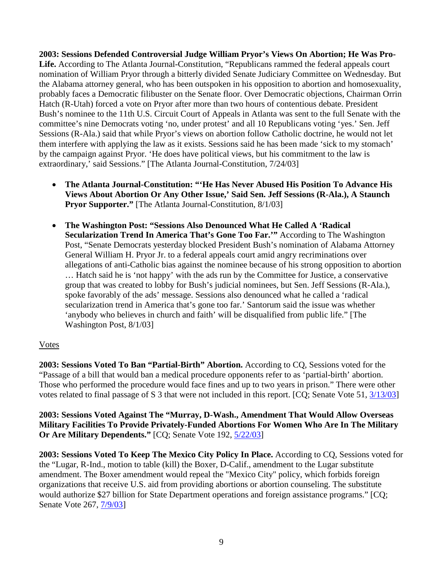**2003: Sessions Defended Controversial Judge William Pryor's Views On Abortion; He Was Pro-**Life. According to The Atlanta Journal-Constitution, "Republicans rammed the federal appeals court nomination of William Pryor through a bitterly divided Senate Judiciary Committee on Wednesday. But the Alabama attorney general, who has been outspoken in his opposition to abortion and homosexuality, probably faces a Democratic filibuster on the Senate floor. Over Democratic objections, Chairman Orrin Hatch (R-Utah) forced a vote on Pryor after more than two hours of contentious debate. President Bush's nominee to the 11th U.S. Circuit Court of Appeals in Atlanta was sent to the full Senate with the committee's nine Democrats voting 'no, under protest' and all 10 Republicans voting 'yes.' Sen. Jeff Sessions (R-Ala.) said that while Pryor's views on abortion follow Catholic doctrine, he would not let them interfere with applying the law as it exists. Sessions said he has been made 'sick to my stomach' by the campaign against Pryor. 'He does have political views, but his commitment to the law is extraordinary,' said Sessions." [The Atlanta Journal-Constitution, 7/24/03]

- **The Atlanta Journal-Constitution: "'He Has Never Abused His Position To Advance His Views About Abortion Or Any Other Issue,' Said Sen. Jeff Sessions (R-Ala.), A Staunch Pryor Supporter."** [The Atlanta Journal-Constitution, 8/1/03]
- **The Washington Post: "Sessions Also Denounced What He Called A 'Radical Secularization Trend In America That's Gone Too Far.'"** According to The Washington Post, "Senate Democrats yesterday blocked President Bush's nomination of Alabama Attorney General William H. Pryor Jr. to a federal appeals court amid angry recriminations over allegations of anti-Catholic bias against the nominee because of his strong opposition to abortion … Hatch said he is 'not happy' with the ads run by the Committee for Justice, a conservative group that was created to lobby for Bush's judicial nominees, but Sen. Jeff Sessions (R-Ala.), spoke favorably of the ads' message. Sessions also denounced what he called a 'radical secularization trend in America that's gone too far.' Santorum said the issue was whether 'anybody who believes in church and faith' will be disqualified from public life." [The Washington Post, 8/1/03]

# Votes

**2003: Sessions Voted To Ban "Partial-Birth" Abortion.** According to CQ, Sessions voted for the "Passage of a bill that would ban a medical procedure opponents refer to as 'partial-birth' abortion. Those who performed the procedure would face fines and up to two years in prison." There were other votes related to final passage of S 3 that were not included in this report. [CQ; Senate Vote 51, [3/13/03\]](http://www.senate.gov/legislative/LIS/roll_call_lists/roll_call_vote_cfm.cfm?congress=108&session=1&vote=00051#state)

**2003: Sessions Voted Against The "Murray, D-Wash., Amendment That Would Allow Overseas Military Facilities To Provide Privately-Funded Abortions For Women Who Are In The Military Or Are Military Dependents."** [CQ; Senate Vote 192, [5/22/03\]](http://www.senate.gov/legislative/LIS/roll_call_lists/roll_call_vote_cfm.cfm?congress=108&session=1&vote=00192)

**2003: Sessions Voted To Keep The Mexico City Policy In Place.** According to CQ, Sessions voted for the "Lugar, R-Ind., motion to table (kill) the Boxer, D-Calif., amendment to the Lugar substitute amendment. The Boxer amendment would repeal the "Mexico City" policy, which forbids foreign organizations that receive U.S. aid from providing abortions or abortion counseling. The substitute would authorize \$27 billion for State Department operations and foreign assistance programs." [CQ; Senate Vote 267,  $\frac{7}{9}$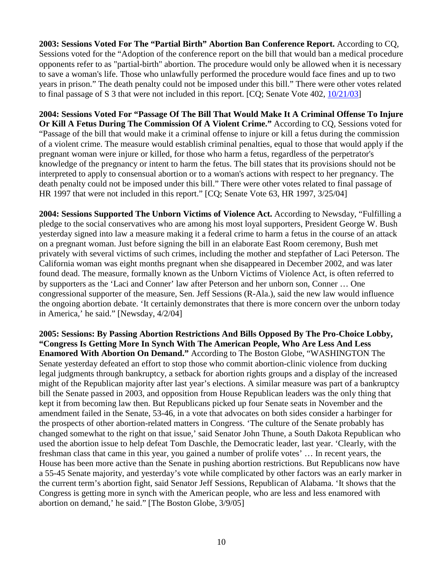**2003: Sessions Voted For The "Partial Birth" Abortion Ban Conference Report.** According to CQ, Sessions voted for the "Adoption of the conference report on the bill that would ban a medical procedure opponents refer to as "partial-birth" abortion. The procedure would only be allowed when it is necessary to save a woman's life. Those who unlawfully performed the procedure would face fines and up to two years in prison." The death penalty could not be imposed under this bill." There were other votes related to final passage of S 3 that were not included in this report. [CQ; Senate Vote 402, [10/21/03\]](http://www.senate.gov/legislative/LIS/roll_call_lists/roll_call_vote_cfm.cfm?congress=108&session=1&vote=00402)

**2004: Sessions Voted For "Passage Of The Bill That Would Make It A Criminal Offense To Injure Or Kill A Fetus During The Commission Of A Violent Crime."** According to CQ, Sessions voted for "Passage of the bill that would make it a criminal offense to injure or kill a fetus during the commission of a violent crime. The measure would establish criminal penalties, equal to those that would apply if the pregnant woman were injure or killed, for those who harm a fetus, regardless of the perpetrator's knowledge of the pregnancy or intent to harm the fetus. The bill states that its provisions should not be interpreted to apply to consensual abortion or to a woman's actions with respect to her pregnancy. The death penalty could not be imposed under this bill." There were other votes related to final passage of HR 1997 that were not included in this report." [CQ; Senate Vote 63, HR 1997, 3/25/04]

**2004: Sessions Supported The Unborn Victims of Violence Act.** According to Newsday, "Fulfilling a pledge to the social conservatives who are among his most loyal supporters, President George W. Bush yesterday signed into law a measure making it a federal crime to harm a fetus in the course of an attack on a pregnant woman. Just before signing the bill in an elaborate East Room ceremony, Bush met privately with several victims of such crimes, including the mother and stepfather of Laci Peterson. The California woman was eight months pregnant when she disappeared in December 2002, and was later found dead. The measure, formally known as the Unborn Victims of Violence Act, is often referred to by supporters as the 'Laci and Conner' law after Peterson and her unborn son, Conner … One congressional supporter of the measure, Sen. Jeff Sessions (R-Ala.), said the new law would influence the ongoing abortion debate. 'It certainly demonstrates that there is more concern over the unborn today in America,' he said." [Newsday, 4/2/04]

**2005: Sessions: By Passing Abortion Restrictions And Bills Opposed By The Pro-Choice Lobby, "Congress Is Getting More In Synch With The American People, Who Are Less And Less Enamored With Abortion On Demand."** According to The Boston Globe, "WASHINGTON The Senate yesterday defeated an effort to stop those who commit abortion-clinic violence from ducking legal judgments through bankruptcy, a setback for abortion rights groups and a display of the increased might of the Republican majority after last year's elections. A similar measure was part of a bankruptcy bill the Senate passed in 2003, and opposition from House Republican leaders was the only thing that kept it from becoming law then. But Republicans picked up four Senate seats in November and the amendment failed in the Senate, 53-46, in a vote that advocates on both sides consider a harbinger for the prospects of other abortion-related matters in Congress. 'The culture of the Senate probably has changed somewhat to the right on that issue,' said Senator John Thune, a South Dakota Republican who used the abortion issue to help defeat Tom Daschle, the Democratic leader, last year. 'Clearly, with the freshman class that came in this year, you gained a number of prolife votes' … In recent years, the House has been more active than the Senate in pushing abortion restrictions. But Republicans now have a 55-45 Senate majority, and yesterday's vote while complicated by other factors was an early marker in the current term's abortion fight, said Senator Jeff Sessions, Republican of Alabama. 'It shows that the Congress is getting more in synch with the American people, who are less and less enamored with abortion on demand,' he said." [The Boston Globe, 3/9/05]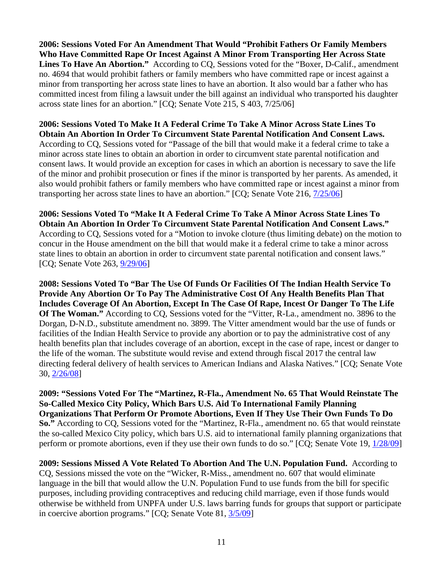**2006: Sessions Voted For An Amendment That Would "Prohibit Fathers Or Family Members Who Have Committed Rape Or Incest Against A Minor From Transporting Her Across State**  Lines To Have An Abortion." According to CQ, Sessions voted for the "Boxer, D-Calif., amendment" no. 4694 that would prohibit fathers or family members who have committed rape or incest against a minor from transporting her across state lines to have an abortion. It also would bar a father who has committed incest from filing a lawsuit under the bill against an individual who transported his daughter across state lines for an abortion." [CQ; Senate Vote 215, S 403, 7/25/06]

**2006: Sessions Voted To Make It A Federal Crime To Take A Minor Across State Lines To Obtain An Abortion In Order To Circumvent State Parental Notification And Consent Laws.**  According to CQ, Sessions voted for "Passage of the bill that would make it a federal crime to take a minor across state lines to obtain an abortion in order to circumvent state parental notification and consent laws. It would provide an exception for cases in which an abortion is necessary to save the life of the minor and prohibit prosecution or fines if the minor is transported by her parents. As amended, it also would prohibit fathers or family members who have committed rape or incest against a minor from transporting her across state lines to have an abortion." [CQ; Senate Vote 216, [7/25/06\]](http://www.senate.gov/legislative/LIS/roll_call_lists/roll_call_vote_cfm.cfm?congress=109&session=2&vote=00216)

**2006: Sessions Voted To "Make It A Federal Crime To Take A Minor Across State Lines To Obtain An Abortion In Order To Circumvent State Parental Notification And Consent Laws."**  According to CQ, Sessions voted for a "Motion to invoke cloture (thus limiting debate) on the motion to concur in the House amendment on the bill that would make it a federal crime to take a minor across state lines to obtain an abortion in order to circumvent state parental notification and consent laws." [CQ; Senate Vote 263, [9/29/06\]](http://www.senate.gov/legislative/LIS/roll_call_lists/roll_call_vote_cfm.cfm?congress=109&session=2&vote=00263)

**2008: Sessions Voted To "Bar The Use Of Funds Or Facilities Of The Indian Health Service To Provide Any Abortion Or To Pay The Administrative Cost Of Any Health Benefits Plan That Includes Coverage Of An Abortion, Except In The Case Of Rape, Incest Or Danger To The Life Of The Woman."** According to CQ, Sessions voted for the "Vitter, R-La., amendment no. 3896 to the Dorgan, D-N.D., substitute amendment no. 3899. The Vitter amendment would bar the use of funds or facilities of the Indian Health Service to provide any abortion or to pay the administrative cost of any health benefits plan that includes coverage of an abortion, except in the case of rape, incest or danger to the life of the woman. The substitute would revise and extend through fiscal 2017 the central law directing federal delivery of health services to American Indians and Alaska Natives." [CQ; Senate Vote 30, [2/26/08\]](http://www.senate.gov/legislative/LIS/roll_call_lists/roll_call_vote_cfm.cfm?congress=110&session=2&vote=00030)

**2009: "Sessions Voted For The "Martinez, R-Fla., Amendment No. 65 That Would Reinstate The So-Called Mexico City Policy, Which Bars U.S. Aid To International Family Planning Organizations That Perform Or Promote Abortions, Even If They Use Their Own Funds To Do So."** According to CQ, Sessions voted for the "Martinez, R-Fla., amendment no. 65 that would reinstate the so-called Mexico City policy, which bars U.S. aid to international family planning organizations that perform or promote abortions, even if they use their own funds to do so." [CQ; Senate Vote 19, [1/28/09\]](http://www.senate.gov/legislative/LIS/roll_call_lists/roll_call_vote_cfm.cfm?congress=111&session=1&vote=00019)

**2009: Sessions Missed A Vote Related To Abortion And The U.N. Population Fund.** According to CQ, Sessions missed the vote on the "Wicker, R-Miss., amendment no. 607 that would eliminate language in the bill that would allow the U.N. Population Fund to use funds from the bill for specific purposes, including providing contraceptives and reducing child marriage, even if those funds would otherwise be withheld from UNPFA under U.S. laws barring funds for groups that support or participate in coercive abortion programs." [CQ; Senate Vote 81, [3/5/09\]](http://www.senate.gov/legislative/LIS/roll_call_lists/roll_call_vote_cfm.cfm?congress=111&session=1&vote=00081)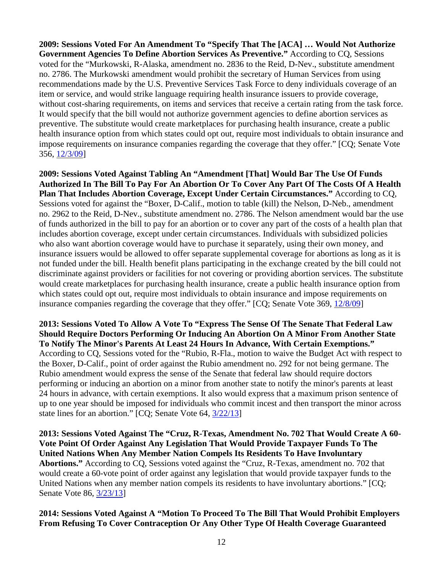**2009: Sessions Voted For An Amendment To "Specify That The [ACA] … Would Not Authorize Government Agencies To Define Abortion Services As Preventive."** According to CQ, Sessions voted for the "Murkowski, R-Alaska, amendment no. 2836 to the Reid, D-Nev., substitute amendment no. 2786. The Murkowski amendment would prohibit the secretary of Human Services from using recommendations made by the U.S. Preventive Services Task Force to deny individuals coverage of an item or service, and would strike language requiring health insurance issuers to provide coverage, without cost-sharing requirements, on items and services that receive a certain rating from the task force. It would specify that the bill would not authorize government agencies to define abortion services as preventive. The substitute would create marketplaces for purchasing health insurance, create a public health insurance option from which states could opt out, require most individuals to obtain insurance and impose requirements on insurance companies regarding the coverage that they offer." [CQ; Senate Vote 356, [12/3/09\]](http://www.senate.gov/legislative/LIS/roll_call_lists/roll_call_vote_cfm.cfm?congress=111&session=1&vote=00356)

**2009: Sessions Voted Against Tabling An "Amendment [That] Would Bar The Use Of Funds Authorized In The Bill To Pay For An Abortion Or To Cover Any Part Of The Costs Of A Health Plan That Includes Abortion Coverage, Except Under Certain Circumstances."** According to CQ, Sessions voted for against the "Boxer, D-Calif., motion to table (kill) the Nelson, D-Neb., amendment no. 2962 to the Reid, D-Nev., substitute amendment no. 2786. The Nelson amendment would bar the use of funds authorized in the bill to pay for an abortion or to cover any part of the costs of a health plan that includes abortion coverage, except under certain circumstances. Individuals with subsidized policies who also want abortion coverage would have to purchase it separately, using their own money, and insurance issuers would be allowed to offer separate supplemental coverage for abortions as long as it is not funded under the bill. Health benefit plans participating in the exchange created by the bill could not discriminate against providers or facilities for not covering or providing abortion services. The substitute would create marketplaces for purchasing health insurance, create a public health insurance option from which states could opt out, require most individuals to obtain insurance and impose requirements on insurance companies regarding the coverage that they offer." [CQ; Senate Vote 369, [12/8/09\]](http://www.senate.gov/legislative/LIS/roll_call_lists/roll_call_vote_cfm.cfm?congress=111&session=1&vote=00369)

**2013: Sessions Voted To Allow A Vote To "Express The Sense Of The Senate That Federal Law Should Require Doctors Performing Or Inducing An Abortion On A Minor From Another State To Notify The Minor's Parents At Least 24 Hours In Advance, With Certain Exemptions."**  According to CQ, Sessions voted for the "Rubio, R-Fla., motion to waive the Budget Act with respect to the Boxer, D-Calif., point of order against the Rubio amendment no. 292 for not being germane. The Rubio amendment would express the sense of the Senate that federal law should require doctors performing or inducing an abortion on a minor from another state to notify the minor's parents at least 24 hours in advance, with certain exemptions. It also would express that a maximum prison sentence of up to one year should be imposed for individuals who commit incest and then transport the minor across state lines for an abortion." [CQ; Senate Vote 64, [3/22/13\]](http://www.senate.gov/legislative/LIS/roll_call_lists/roll_call_vote_cfm.cfm?congress=113&session=1&vote=00064)

**2013: Sessions Voted Against The "Cruz, R-Texas, Amendment No. 702 That Would Create A 60- Vote Point Of Order Against Any Legislation That Would Provide Taxpayer Funds To The United Nations When Any Member Nation Compels Its Residents To Have Involuntary Abortions."** According to CQ, Sessions voted against the "Cruz, R-Texas, amendment no. 702 that would create a 60-vote point of order against any legislation that would provide taxpayer funds to the United Nations when any member nation compels its residents to have involuntary abortions." [CQ; Senate Vote 86, [3/23/13\]](http://www.senate.gov/legislative/LIS/roll_call_lists/roll_call_vote_cfm.cfm?congress=113&session=1&vote=00086)

**2014: Sessions Voted Against A "Motion To Proceed To The Bill That Would Prohibit Employers From Refusing To Cover Contraception Or Any Other Type Of Health Coverage Guaranteed**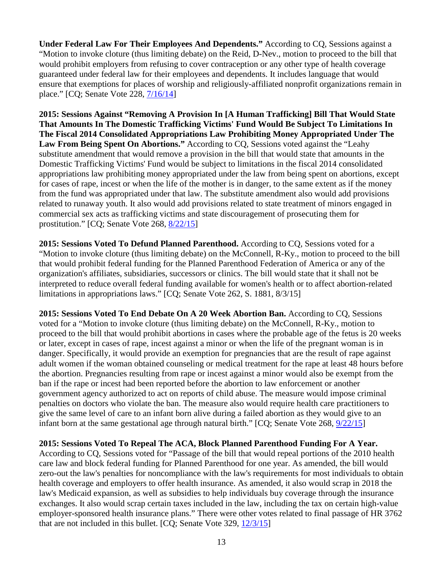**Under Federal Law For Their Employees And Dependents."** According to CQ, Sessions against a "Motion to invoke cloture (thus limiting debate) on the Reid, D-Nev., motion to proceed to the bill that would prohibit employers from refusing to cover contraception or any other type of health coverage guaranteed under federal law for their employees and dependents. It includes language that would ensure that exemptions for places of worship and religiously-affiliated nonprofit organizations remain in place." [CQ; Senate Vote 228, [7/16/14\]](http://www.senate.gov/legislative/LIS/roll_call_lists/roll_call_vote_cfm.cfm?congress=113&session=2&vote=00228)

**2015: Sessions Against "Removing A Provision In [A Human Trafficking] Bill That Would State That Amounts In The Domestic Trafficking Victims' Fund Would Be Subject To Limitations In The Fiscal 2014 Consolidated Appropriations Law Prohibiting Money Appropriated Under The Law From Being Spent On Abortions."** According to CQ, Sessions voted against the "Leahy substitute amendment that would remove a provision in the bill that would state that amounts in the Domestic Trafficking Victims' Fund would be subject to limitations in the fiscal 2014 consolidated appropriations law prohibiting money appropriated under the law from being spent on abortions, except for cases of rape, incest or when the life of the mother is in danger, to the same extent as if the money from the fund was appropriated under that law. The substitute amendment also would add provisions related to runaway youth. It also would add provisions related to state treatment of minors engaged in commercial sex acts as trafficking victims and state discouragement of prosecuting them for prostitution." [CQ; Senate Vote 268, [8/22/15\]](http://www.senate.gov/legislative/LIS/roll_call_lists/roll_call_vote_cfm.cfm?congress=114&session=1&vote=00268)

**2015: Sessions Voted To Defund Planned Parenthood.** According to CQ, Sessions voted for a "Motion to invoke cloture (thus limiting debate) on the McConnell, R-Ky., motion to proceed to the bill that would prohibit federal funding for the Planned Parenthood Federation of America or any of the organization's affiliates, subsidiaries, successors or clinics. The bill would state that it shall not be interpreted to reduce overall federal funding available for women's health or to affect abortion-related limitations in appropriations laws." [CQ; Senate Vote 262, S. 1881, 8/3/15]

**2015: Sessions Voted To End Debate On A 20 Week Abortion Ban.** According to CQ, Sessions voted for a "Motion to invoke cloture (thus limiting debate) on the McConnell, R-Ky., motion to proceed to the bill that would prohibit abortions in cases where the probable age of the fetus is 20 weeks or later, except in cases of rape, incest against a minor or when the life of the pregnant woman is in danger. Specifically, it would provide an exemption for pregnancies that are the result of rape against adult women if the woman obtained counseling or medical treatment for the rape at least 48 hours before the abortion. Pregnancies resulting from rape or incest against a minor would also be exempt from the ban if the rape or incest had been reported before the abortion to law enforcement or another government agency authorized to act on reports of child abuse. The measure would impose criminal penalties on doctors who violate the ban. The measure also would require health care practitioners to give the same level of care to an infant born alive during a failed abortion as they would give to an infant born at the same gestational age through natural birth." [CQ; Senate Vote 268, [9/22/15\]](http://www.senate.gov/legislative/LIS/roll_call_lists/roll_call_vote_cfm.cfm?congress=114&session=1&vote=00268)

**2015: Sessions Voted To Repeal The ACA, Block Planned Parenthood Funding For A Year.**  According to CQ, Sessions voted for "Passage of the bill that would repeal portions of the 2010 health care law and block federal funding for Planned Parenthood for one year. As amended, the bill would zero-out the law's penalties for noncompliance with the law's requirements for most individuals to obtain health coverage and employers to offer health insurance. As amended, it also would scrap in 2018 the law's Medicaid expansion, as well as subsidies to help individuals buy coverage through the insurance exchanges. It also would scrap certain taxes included in the law, including the tax on certain high-value employer-sponsored health insurance plans." There were other votes related to final passage of HR 3762 that are not included in this bullet. [CQ; Senate Vote 329, [12/3/15\]](http://www.senate.gov/legislative/LIS/roll_call_lists/roll_call_vote_cfm.cfm?congress=114&session=1&vote=00329)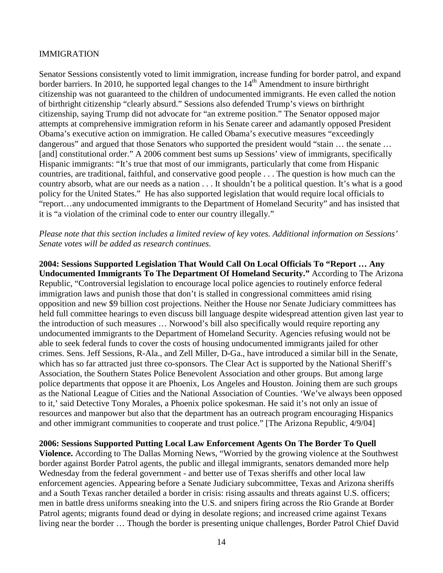## IMMIGRATION

Senator Sessions consistently voted to limit immigration, increase funding for border patrol, and expand border barriers. In 2010, he supported legal changes to the  $14<sup>th</sup>$  Amendment to insure birthright citizenship was not guaranteed to the children of undocumented immigrants. He even called the notion of birthright citizenship "clearly absurd." Sessions also defended Trump's views on birthright citizenship, saying Trump did not advocate for "an extreme position." The Senator opposed major attempts at comprehensive immigration reform in his Senate career and adamantly opposed President Obama's executive action on immigration. He called Obama's executive measures "exceedingly dangerous" and argued that those Senators who supported the president would "stain … the senate … [and] constitutional order." A 2006 comment best sums up Sessions' view of immigrants, specifically Hispanic immigrants: "It's true that most of our immigrants, particularly that come from Hispanic countries, are traditional, faithful, and conservative good people . . . The question is how much can the country absorb, what are our needs as a nation . . . It shouldn't be a political question. It's what is a good policy for the United States." He has also supported legislation that would require local officials to "report…any undocumented immigrants to the Department of Homeland Security" and has insisted that it is "a violation of the criminal code to enter our country illegally."

*Please note that this section includes a limited review of key votes. Additional information on Sessions' Senate votes will be added as research continues.* 

**2004: Sessions Supported Legislation That Would Call On Local Officials To "Report … Any Undocumented Immigrants To The Department Of Homeland Security."** According to The Arizona Republic, "Controversial legislation to encourage local police agencies to routinely enforce federal immigration laws and punish those that don't is stalled in congressional committees amid rising opposition and new \$9 billion cost projections. Neither the House nor Senate Judiciary committees has held full committee hearings to even discuss bill language despite widespread attention given last year to the introduction of such measures … Norwood's bill also specifically would require reporting any undocumented immigrants to the Department of Homeland Security. Agencies refusing would not be able to seek federal funds to cover the costs of housing undocumented immigrants jailed for other crimes. Sens. Jeff Sessions, R-Ala., and Zell Miller, D-Ga., have introduced a similar bill in the Senate, which has so far attracted just three co-sponsors. The Clear Act is supported by the National Sheriff's Association, the Southern States Police Benevolent Association and other groups. But among large police departments that oppose it are Phoenix, Los Angeles and Houston. Joining them are such groups as the National League of Cities and the National Association of Counties. 'We've always been opposed to it,' said Detective Tony Morales, a Phoenix police spokesman. He said it's not only an issue of resources and manpower but also that the department has an outreach program encouraging Hispanics and other immigrant communities to cooperate and trust police." [The Arizona Republic, 4/9/04]

**2006: Sessions Supported Putting Local Law Enforcement Agents On The Border To Quell Violence.** According to The Dallas Morning News, "Worried by the growing violence at the Southwest border against Border Patrol agents, the public and illegal immigrants, senators demanded more help Wednesday from the federal government - and better use of Texas sheriffs and other local law enforcement agencies. Appearing before a Senate Judiciary subcommittee, Texas and Arizona sheriffs and a South Texas rancher detailed a border in crisis: rising assaults and threats against U.S. officers; men in battle dress uniforms sneaking into the U.S. and snipers firing across the Rio Grande at Border Patrol agents; migrants found dead or dying in desolate regions; and increased crime against Texans living near the border … Though the border is presenting unique challenges, Border Patrol Chief David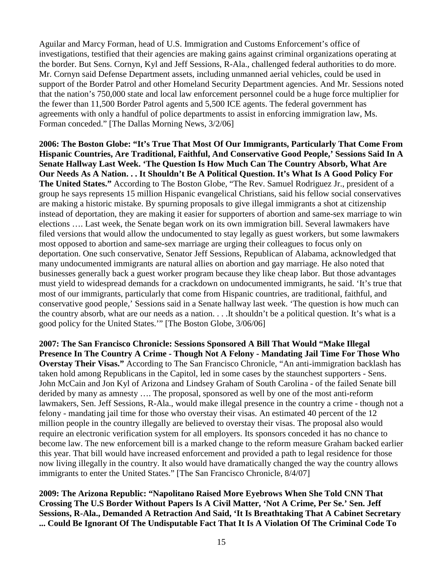Aguilar and Marcy Forman, head of U.S. Immigration and Customs Enforcement's office of investigations, testified that their agencies are making gains against criminal organizations operating at the border. But Sens. Cornyn, Kyl and Jeff Sessions, R-Ala., challenged federal authorities to do more. Mr. Cornyn said Defense Department assets, including unmanned aerial vehicles, could be used in support of the Border Patrol and other Homeland Security Department agencies. And Mr. Sessions noted that the nation's 750,000 state and local law enforcement personnel could be a huge force multiplier for the fewer than 11,500 Border Patrol agents and 5,500 ICE agents. The federal government has agreements with only a handful of police departments to assist in enforcing immigration law, Ms. Forman conceded." [The Dallas Morning News, 3/2/06]

**2006: The Boston Globe: "It's True That Most Of Our Immigrants, Particularly That Come From Hispanic Countries, Are Traditional, Faithful, And Conservative Good People,' Sessions Said In A Senate Hallway Last Week. 'The Question Is How Much Can The Country Absorb, What Are Our Needs As A Nation. . . It Shouldn't Be A Political Question. It's What Is A Good Policy For The United States."** According to The Boston Globe, "The Rev. Samuel Rodriguez Jr., president of a group he says represents 15 million Hispanic evangelical Christians, said his fellow social conservatives are making a historic mistake. By spurning proposals to give illegal immigrants a shot at citizenship instead of deportation, they are making it easier for supporters of abortion and same-sex marriage to win elections …. Last week, the Senate began work on its own immigration bill. Several lawmakers have filed versions that would allow the undocumented to stay legally as guest workers, but some lawmakers most opposed to abortion and same-sex marriage are urging their colleagues to focus only on deportation. One such conservative, Senator Jeff Sessions, Republican of Alabama, acknowledged that many undocumented immigrants are natural allies on abortion and gay marriage. He also noted that businesses generally back a guest worker program because they like cheap labor. But those advantages must yield to widespread demands for a crackdown on undocumented immigrants, he said. 'It's true that most of our immigrants, particularly that come from Hispanic countries, are traditional, faithful, and conservative good people,' Sessions said in a Senate hallway last week. 'The question is how much can the country absorb, what are our needs as a nation. . . .It shouldn't be a political question. It's what is a good policy for the United States.'" [The Boston Globe, 3/06/06]

**2007: The San Francisco Chronicle: Sessions Sponsored A Bill That Would "Make Illegal Presence In The Country A Crime - Though Not A Felony - Mandating Jail Time For Those Who Overstay Their Visas."** According to The San Francisco Chronicle, "An anti-immigration backlash has taken hold among Republicans in the Capitol, led in some cases by the staunchest supporters - Sens. John McCain and Jon Kyl of Arizona and Lindsey Graham of South Carolina - of the failed Senate bill derided by many as amnesty …. The proposal, sponsored as well by one of the most anti-reform lawmakers, Sen. Jeff Sessions, R-Ala., would make illegal presence in the country a crime - though not a felony - mandating jail time for those who overstay their visas. An estimated 40 percent of the 12 million people in the country illegally are believed to overstay their visas. The proposal also would require an electronic verification system for all employers. Its sponsors conceded it has no chance to become law. The new enforcement bill is a marked change to the reform measure Graham backed earlier this year. That bill would have increased enforcement and provided a path to legal residence for those now living illegally in the country. It also would have dramatically changed the way the country allows immigrants to enter the United States." [The San Francisco Chronicle, 8/4/07]

**2009: The Arizona Republic: "Napolitano Raised More Eyebrows When She Told CNN That Crossing The U.S Border Without Papers Is A Civil Matter, 'Not A Crime, Per Se.' Sen. Jeff Sessions, R-Ala., Demanded A Retraction And Said, 'It Is Breathtaking That A Cabinet Secretary ... Could Be Ignorant Of The Undisputable Fact That It Is A Violation Of The Criminal Code To**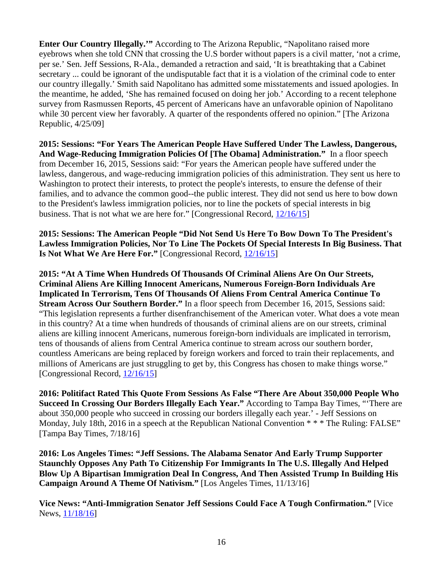**Enter Our Country Illegally.'"** According to The Arizona Republic, "Napolitano raised more eyebrows when she told CNN that crossing the U.S border without papers is a civil matter, 'not a crime, per se.' Sen. Jeff Sessions, R-Ala., demanded a retraction and said, 'It is breathtaking that a Cabinet secretary ... could be ignorant of the undisputable fact that it is a violation of the criminal code to enter our country illegally.' Smith said Napolitano has admitted some misstatements and issued apologies. In the meantime, he added, 'She has remained focused on doing her job.' According to a recent telephone survey from Rasmussen Reports, 45 percent of Americans have an unfavorable opinion of Napolitano while 30 percent view her favorably. A quarter of the respondents offered no opinion." [The Arizona Republic, 4/25/09]

**2015: Sessions: "For Years The American People Have Suffered Under The Lawless, Dangerous, And Wage-Reducing Immigration Policies Of [The Obama] Administration."** In a floor speech from December 16, 2015, Sessions said: "For years the American people have suffered under the lawless, dangerous, and wage-reducing immigration policies of this administration. They sent us here to Washington to protect their interests, to protect the people's interests, to ensure the defense of their families, and to advance the common good--the public interest. They did not send us here to bow down to the President's lawless immigration policies, nor to line the pockets of special interests in big business. That is not what we are here for." [Congressional Record,  $\frac{12}{16/15}$ ]

**2015: Sessions: The American People "Did Not Send Us Here To Bow Down To The President's Lawless Immigration Policies, Nor To Line The Pockets Of Special Interests In Big Business. That Is Not What We Are Here For."** [Congressional Record,  $12/16/15$ ]

**2015: "At A Time When Hundreds Of Thousands Of Criminal Aliens Are On Our Streets, Criminal Aliens Are Killing Innocent Americans, Numerous Foreign-Born Individuals Are Implicated In Terrorism, Tens Of Thousands Of Aliens From Central America Continue To Stream Across Our Southern Border."** In a floor speech from December 16, 2015, Sessions said: "This legislation represents a further disenfranchisement of the American voter. What does a vote mean in this country? At a time when hundreds of thousands of criminal aliens are on our streets, criminal aliens are killing innocent Americans, numerous foreign-born individuals are implicated in terrorism, tens of thousands of aliens from Central America continue to stream across our southern border, countless Americans are being replaced by foreign workers and forced to train their replacements, and millions of Americans are just struggling to get by, this Congress has chosen to make things worse." [Congressional Record, [12/16/15\]](https://www.congress.gov/congressional-record/2015/12/16/senate-section/article/s8717-1?q=%7B%22search%22%3A%5B%22They+did+not+send+us+here+to+bow+down+to+the+presidents+lawless+immigration+policies%2C+nor+to+line+the+pockets+of+special+interests+and+big+business%2C%22%5D%7D&r=30)

**2016: Politifact Rated This Quote From Sessions As False "There Are About 350,000 People Who Succeed In Crossing Our Borders Illegally Each Year."** According to Tampa Bay Times, "'There are about 350,000 people who succeed in crossing our borders illegally each year.' - Jeff Sessions on Monday, July 18th, 2016 in a speech at the Republican National Convention  $**$  The Ruling: FALSE" [Tampa Bay Times, 7/18/16]

**2016: Los Angeles Times: "Jeff Sessions. The Alabama Senator And Early Trump Supporter Staunchly Opposes Any Path To Citizenship For Immigrants In The U.S. Illegally And Helped Blow Up A Bipartisan Immigration Deal In Congress, And Then Assisted Trump In Building His Campaign Around A Theme Of Nativism."** [Los Angeles Times, 11/13/16]

**Vice News: "Anti-Immigration Senator Jeff Sessions Could Face A Tough Confirmation."** [Vice News, [11/18/16\]](https://news.vice.com/story/trump-picks-anti-immigration-hardliner-jeff-sessions-for-attorney-general)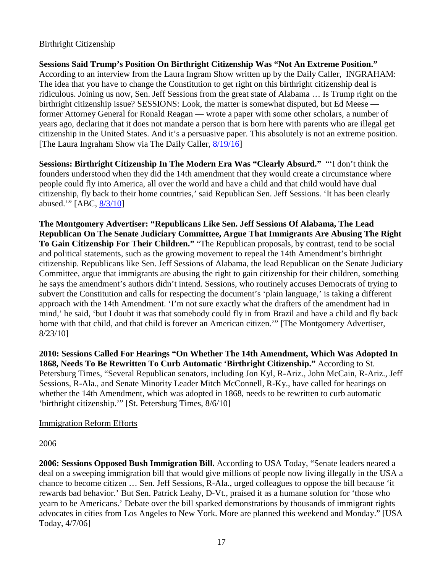# Birthright Citizenship

**Sessions Said Trump's Position On Birthright Citizenship Was "Not An Extreme Position."**  According to an interview from the Laura Ingram Show written up by the Daily Caller,INGRAHAM: The idea that you have to change the Constitution to get right on this birthright citizenship deal is ridiculous. Joining us now, Sen. Jeff Sessions from the great state of Alabama … Is Trump right on the birthright citizenship issue? SESSIONS: Look, the matter is somewhat disputed, but Ed Meese former Attorney General for Ronald Reagan — wrote a paper with some other scholars, a number of years ago, declaring that it does not mandate a person that is born here with parents who are illegal get citizenship in the United States. And it's a persuasive paper. This absolutely is not an extreme position. [The Laura Ingraham Show via The Daily Caller, [8/19/16\]](http://dailycaller.com/2015/08/19/jeff-sessions-backs-trump-on-birthright-citizenship-absolutely-not-an-extreme-position-video/)

**Sessions: Birthright Citizenship In The Modern Era Was "Clearly Absurd."** "'I don't think the founders understood when they did the 14th amendment that they would create a circumstance where people could fly into America, all over the world and have a child and that child would have dual citizenship, fly back to their home countries,' said Republican Sen. Jeff Sessions. 'It has been clearly abused.'" [ABC, [8/3/10\]](http://abcnews.go.com/Politics/birthright-citizenship-14th-amendment-republican-senators-explore-change/story?id=11313973)

**The Montgomery Advertiser: "Republicans Like Sen. Jeff Sessions Of Alabama, The Lead Republican On The Senate Judiciary Committee, Argue That Immigrants Are Abusing The Right To Gain Citizenship For Their Children."** "The Republican proposals, by contrast, tend to be social and political statements, such as the growing movement to repeal the 14th Amendment's birthright citizenship. Republicans like Sen. Jeff Sessions of Alabama, the lead Republican on the Senate Judiciary Committee, argue that immigrants are abusing the right to gain citizenship for their children, something he says the amendment's authors didn't intend. Sessions, who routinely accuses Democrats of trying to subvert the Constitution and calls for respecting the document's 'plain language,' is taking a different approach with the 14th Amendment. 'I'm not sure exactly what the drafters of the amendment had in mind,' he said, 'but I doubt it was that somebody could fly in from Brazil and have a child and fly back home with that child, and that child is forever an American citizen.'" [The Montgomery Advertiser, 8/23/10]

**2010: Sessions Called For Hearings "On Whether The 14th Amendment, Which Was Adopted In 1868, Needs To Be Rewritten To Curb Automatic 'Birthright Citizenship."** According to St. Petersburg Times, "Several Republican senators, including Jon Kyl, R-Ariz., John McCain, R-Ariz., Jeff Sessions, R-Ala., and Senate Minority Leader Mitch McConnell, R-Ky., have called for hearings on whether the 14th Amendment, which was adopted in 1868, needs to be rewritten to curb automatic 'birthright citizenship.'" [St. Petersburg Times, 8/6/10]

# Immigration Reform Efforts

# 2006

**2006: Sessions Opposed Bush Immigration Bill.** According to USA Today, "Senate leaders neared a deal on a sweeping immigration bill that would give millions of people now living illegally in the USA a chance to become citizen … Sen. Jeff Sessions, R-Ala., urged colleagues to oppose the bill because 'it rewards bad behavior.' But Sen. Patrick Leahy, D-Vt., praised it as a humane solution for 'those who yearn to be Americans.' Debate over the bill sparked demonstrations by thousands of immigrant rights advocates in cities from Los Angeles to New York. More are planned this weekend and Monday." [USA Today, 4/7/06]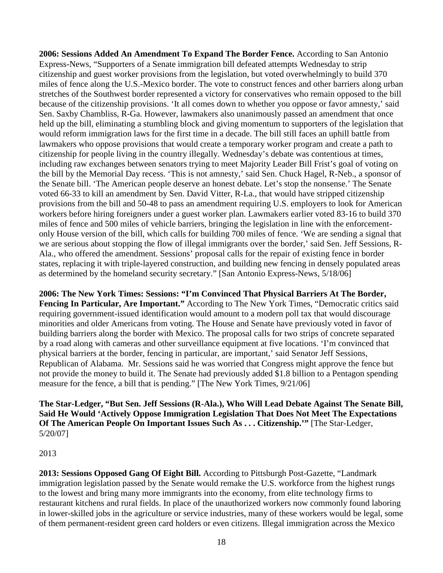**2006: Sessions Added An Amendment To Expand The Border Fence.** According to San Antonio Express-News, "Supporters of a Senate immigration bill defeated attempts Wednesday to strip citizenship and guest worker provisions from the legislation, but voted overwhelmingly to build 370 miles of fence along the U.S.-Mexico border. The vote to construct fences and other barriers along urban stretches of the Southwest border represented a victory for conservatives who remain opposed to the bill because of the citizenship provisions. 'It all comes down to whether you oppose or favor amnesty,' said Sen. Saxby Chambliss, R-Ga. However, lawmakers also unanimously passed an amendment that once held up the bill, eliminating a stumbling block and giving momentum to supporters of the legislation that would reform immigration laws for the first time in a decade. The bill still faces an uphill battle from lawmakers who oppose provisions that would create a temporary worker program and create a path to citizenship for people living in the country illegally. Wednesday's debate was contentious at times, including raw exchanges between senators trying to meet Majority Leader Bill Frist's goal of voting on the bill by the Memorial Day recess. 'This is not amnesty,' said Sen. Chuck Hagel, R-Neb., a sponsor of the Senate bill. 'The American people deserve an honest debate. Let's stop the nonsense.' The Senate voted 66-33 to kill an amendment by Sen. David Vitter, R-La., that would have stripped citizenship provisions from the bill and 50-48 to pass an amendment requiring U.S. employers to look for American workers before hiring foreigners under a guest worker plan. Lawmakers earlier voted 83-16 to build 370 miles of fence and 500 miles of vehicle barriers, bringing the legislation in line with the enforcementonly House version of the bill, which calls for building 700 miles of fence. 'We are sending a signal that we are serious about stopping the flow of illegal immigrants over the border,' said Sen. Jeff Sessions, R-Ala., who offered the amendment. Sessions' proposal calls for the repair of existing fence in border states, replacing it with triple-layered construction, and building new fencing in densely populated areas as determined by the homeland security secretary." [San Antonio Express-News, 5/18/06]

**2006: The New York Times: Sessions: "I'm Convinced That Physical Barriers At The Border, Fencing In Particular, Are Important."** According to The New York Times, "Democratic critics said requiring government-issued identification would amount to a modern poll tax that would discourage minorities and older Americans from voting. The House and Senate have previously voted in favor of building barriers along the border with Mexico. The proposal calls for two strips of concrete separated by a road along with cameras and other surveillance equipment at five locations. 'I'm convinced that physical barriers at the border, fencing in particular, are important,' said Senator Jeff Sessions, Republican of Alabama. Mr. Sessions said he was worried that Congress might approve the fence but not provide the money to build it. The Senate had previously added \$1.8 billion to a Pentagon spending measure for the fence, a bill that is pending." [The New York Times, 9/21/06]

**The Star-Ledger, "But Sen. Jeff Sessions (R-Ala.), Who Will Lead Debate Against The Senate Bill, Said He Would 'Actively Oppose Immigration Legislation That Does Not Meet The Expectations Of The American People On Important Issues Such As . . . Citizenship.'"** [The Star-Ledger, 5/20/07]

# 2013

**2013: Sessions Opposed Gang Of Eight Bill.** According to Pittsburgh Post-Gazette, "Landmark immigration legislation passed by the Senate would remake the U.S. workforce from the highest rungs to the lowest and bring many more immigrants into the economy, from elite technology firms to restaurant kitchens and rural fields. In place of the unauthorized workers now commonly found laboring in lower-skilled jobs in the agriculture or service industries, many of these workers would be legal, some of them permanent-resident green card holders or even citizens. Illegal immigration across the Mexico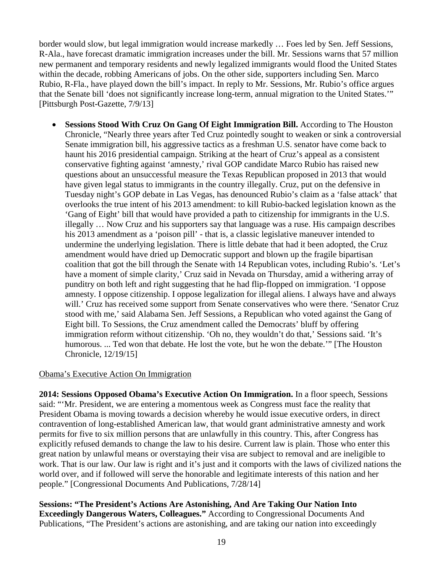border would slow, but legal immigration would increase markedly … Foes led by Sen. Jeff Sessions, R-Ala., have forecast dramatic immigration increases under the bill. Mr. Sessions warns that 57 million new permanent and temporary residents and newly legalized immigrants would flood the United States within the decade, robbing Americans of jobs. On the other side, supporters including Sen. Marco Rubio, R-Fla., have played down the bill's impact. In reply to Mr. Sessions, Mr. Rubio's office argues that the Senate bill 'does not significantly increase long-term, annual migration to the United States.'" [Pittsburgh Post-Gazette, 7/9/13]

• **Sessions Stood With Cruz On Gang Of Eight Immigration Bill.** According to The Houston Chronicle, "Nearly three years after Ted Cruz pointedly sought to weaken or sink a controversial Senate immigration bill, his aggressive tactics as a freshman U.S. senator have come back to haunt his 2016 presidential campaign. Striking at the heart of Cruz's appeal as a consistent conservative fighting against 'amnesty,' rival GOP candidate Marco Rubio has raised new questions about an unsuccessful measure the Texas Republican proposed in 2013 that would have given legal status to immigrants in the country illegally. Cruz, put on the defensive in Tuesday night's GOP debate in Las Vegas, has denounced Rubio's claim as a 'false attack' that overlooks the true intent of his 2013 amendment: to kill Rubio-backed legislation known as the 'Gang of Eight' bill that would have provided a path to citizenship for immigrants in the U.S. illegally … Now Cruz and his supporters say that language was a ruse. His campaign describes his 2013 amendment as a 'poison pill' - that is, a classic legislative maneuver intended to undermine the underlying legislation. There is little debate that had it been adopted, the Cruz amendment would have dried up Democratic support and blown up the fragile bipartisan coalition that got the bill through the Senate with 14 Republican votes, including Rubio's. 'Let's have a moment of simple clarity,' Cruz said in Nevada on Thursday, amid a withering array of punditry on both left and right suggesting that he had flip-flopped on immigration. 'I oppose amnesty. I oppose citizenship. I oppose legalization for illegal aliens. I always have and always will.' Cruz has received some support from Senate conservatives who were there. 'Senator Cruz stood with me,' said Alabama Sen. Jeff Sessions, a Republican who voted against the Gang of Eight bill. To Sessions, the Cruz amendment called the Democrats' bluff by offering immigration reform without citizenship. 'Oh no, they wouldn't do that,' Sessions said. 'It's humorous. ... Ted won that debate. He lost the vote, but he won the debate.'" [The Houston Chronicle, 12/19/15]

# Obama's Executive Action On Immigration

**2014: Sessions Opposed Obama's Executive Action On Immigration.** In a floor speech, Sessions said: "'Mr. President, we are entering a momentous week as Congress must face the reality that President Obama is moving towards a decision whereby he would issue executive orders, in direct contravention of long-established American law, that would grant administrative amnesty and work permits for five to six million persons that are unlawfully in this country. This, after Congress has explicitly refused demands to change the law to his desire. Current law is plain. Those who enter this great nation by unlawful means or overstaying their visa are subject to removal and are ineligible to work. That is our law. Our law is right and it's just and it comports with the laws of civilized nations the world over, and if followed will serve the honorable and legitimate interests of this nation and her people." [Congressional Documents And Publications, 7/28/14]

**Sessions: "The President's Actions Are Astonishing, And Are Taking Our Nation Into Exceedingly Dangerous Waters, Colleagues."** According to Congressional Documents And Publications, "The President's actions are astonishing, and are taking our nation into exceedingly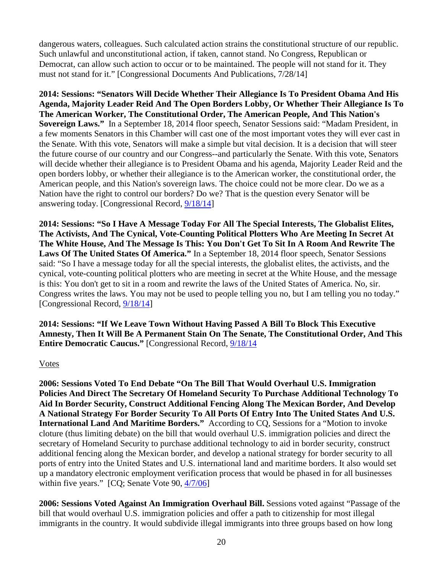dangerous waters, colleagues. Such calculated action strains the constitutional structure of our republic. Such unlawful and unconstitutional action, if taken, cannot stand. No Congress, Republican or Democrat, can allow such action to occur or to be maintained. The people will not stand for it. They must not stand for it." [Congressional Documents And Publications, 7/28/14]

**2014: Sessions: "Senators Will Decide Whether Their Allegiance Is To President Obama And His Agenda, Majority Leader Reid And The Open Borders Lobby, Or Whether Their Allegiance Is To The American Worker, The Constitutional Order, The American People, And This Nation's Sovereign Laws."** In a September 18, 2014 floor speech, Senator Sessions said: "Madam President, in a few moments Senators in this Chamber will cast one of the most important votes they will ever cast in the Senate. With this vote, Senators will make a simple but vital decision. It is a decision that will steer the future course of our country and our Congress--and particularly the Senate. With this vote, Senators will decide whether their allegiance is to President Obama and his agenda, Majority Leader Reid and the open borders lobby, or whether their allegiance is to the American worker, the constitutional order, the American people, and this Nation's sovereign laws. The choice could not be more clear. Do we as a Nation have the right to control our borders? Do we? That is the question every Senator will be answering today. [Congressional Record, [9/18/14\]](https://www.congress.gov/congressional-record/2014/9/18/senate-section/article/s5737-1?q=%7B%22search%22%3A%5B%22%5C%22People+are+not+tracked+as+to+where+they+will+go%5C%22%22%5D%7D&r=1)

**2014: Sessions: "So I Have A Message Today For All The Special Interests, The Globalist Elites, The Activists, And The Cynical, Vote-Counting Political Plotters Who Are Meeting In Secret At The White House, And The Message Is This: You Don't Get To Sit In A Room And Rewrite The Laws Of The United States Of America."** In a September 18, 2014 floor speech, Senator Sessions said: "So I have a message today for all the special interests, the globalist elites, the activists, and the cynical, vote-counting political plotters who are meeting in secret at the White House, and the message is this: You don't get to sit in a room and rewrite the laws of the United States of America. No, sir. Congress writes the laws. You may not be used to people telling you no, but I am telling you no today." [Congressional Record, [9/18/14\]](https://www.congress.gov/congressional-record/2014/9/18/senate-section/article/s5737-1?q=%7B%22search%22%3A%5B%22%5C%22People+are+not+tracked+as+to+where+they+will+go%5C%22%22%5D%7D&r=1)

**2014: Sessions: "If We Leave Town Without Having Passed A Bill To Block This Executive Amnesty, Then It Will Be A Permanent Stain On The Senate, The Constitutional Order, And This Entire Democratic Caucus."** [Congressional Record, [9/18/14](https://www.congress.gov/congressional-record/2014/9/18/senate-section/article/s5737-1?q=%7B%22search%22%3A%5B%22%5C%22People+are+not+tracked+as+to+where+they+will+go%5C%22%22%5D%7D&r=1)

## Votes

**2006: Sessions Voted To End Debate "On The Bill That Would Overhaul U.S. Immigration Policies And Direct The Secretary Of Homeland Security To Purchase Additional Technology To Aid In Border Security, Construct Additional Fencing Along The Mexican Border, And Develop A National Strategy For Border Security To All Ports Of Entry Into The United States And U.S. International Land And Maritime Borders."** According to CQ, Sessions for a "Motion to invoke cloture (thus limiting debate) on the bill that would overhaul U.S. immigration policies and direct the secretary of Homeland Security to purchase additional technology to aid in border security, construct additional fencing along the Mexican border, and develop a national strategy for border security to all ports of entry into the United States and U.S. international land and maritime borders. It also would set up a mandatory electronic employment verification process that would be phased in for all businesses within five years." [CQ; Senate Vote 90,  $\frac{4}{7/06}$ ]

**2006: Sessions Voted Against An Immigration Overhaul Bill.** Sessions voted against "Passage of the bill that would overhaul U.S. immigration policies and offer a path to citizenship for most illegal immigrants in the country. It would subdivide illegal immigrants into three groups based on how long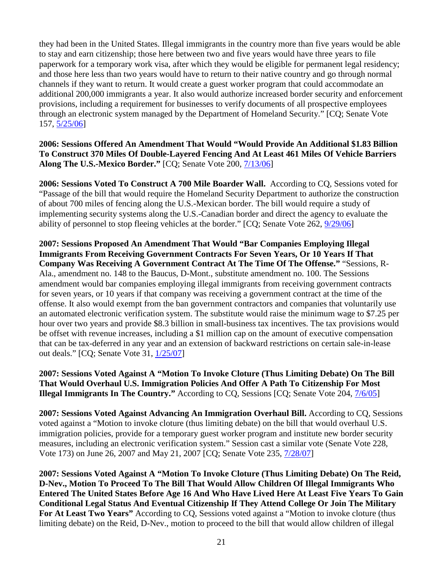they had been in the United States. Illegal immigrants in the country more than five years would be able to stay and earn citizenship; those here between two and five years would have three years to file paperwork for a temporary work visa, after which they would be eligible for permanent legal residency; and those here less than two years would have to return to their native country and go through normal channels if they want to return. It would create a guest worker program that could accommodate an additional 200,000 immigrants a year. It also would authorize increased border security and enforcement provisions, including a requirement for businesses to verify documents of all prospective employees through an electronic system managed by the Department of Homeland Security." [CQ; Senate Vote 157, [5/25/06\]](http://www.senate.gov/legislative/LIS/roll_call_lists/roll_call_vote_cfm.cfm?congress=109&session=2&vote=00157)

**2006: Sessions Offered An Amendment That Would "Would Provide An Additional \$1.83 Billion To Construct 370 Miles Of Double-Layered Fencing And At Least 461 Miles Of Vehicle Barriers Along The U.S.-Mexico Border."** [CQ; Senate Vote 200, [7/13/06\]](http://www.senate.gov/legislative/LIS/roll_call_lists/roll_call_vote_cfm.cfm?congress=109&session=2&vote=00200)

**2006: Sessions Voted To Construct A 700 Mile Boarder Wall.** According to CQ, Sessions voted for "Passage of the bill that would require the Homeland Security Department to authorize the construction of about 700 miles of fencing along the U.S.-Mexican border. The bill would require a study of implementing security systems along the U.S.-Canadian border and direct the agency to evaluate the ability of personnel to stop fleeing vehicles at the border." [CQ; Senate Vote 262, [9/29/06\]](http://www.senate.gov/legislative/LIS/roll_call_lists/roll_call_vote_cfm.cfm?congress=109&session=2&vote=00262)

**2007: Sessions Proposed An Amendment That Would "Bar Companies Employing Illegal Immigrants From Receiving Government Contracts For Seven Years, Or 10 Years If That Company Was Receiving A Government Contract At The Time Of The Offense."** "Sessions, R-Ala., amendment no. 148 to the Baucus, D-Mont., substitute amendment no. 100. The Sessions amendment would bar companies employing illegal immigrants from receiving government contracts for seven years, or 10 years if that company was receiving a government contract at the time of the offense. It also would exempt from the ban government contractors and companies that voluntarily use an automated electronic verification system. The substitute would raise the minimum wage to \$7.25 per hour over two years and provide \$8.3 billion in small-business tax incentives. The tax provisions would be offset with revenue increases, including a \$1 million cap on the amount of executive compensation that can be tax-deferred in any year and an extension of backward restrictions on certain sale-in-lease out deals." [CQ; Senate Vote 31, [1/25/07\]](http://www.senate.gov/legislative/LIS/roll_call_lists/roll_call_vote_cfm.cfm?congress=110&session=1&vote=00031)

**2007: Sessions Voted Against A "Motion To Invoke Cloture (Thus Limiting Debate) On The Bill That Would Overhaul U.S. Immigration Policies And Offer A Path To Citizenship For Most Illegal Immigrants In The Country."** According to CQ, Sessions [CQ; Senate Vote 204, [7/6/05\]](http://www.senate.gov/legislative/LIS/roll_call_lists/roll_call_vote_cfm.cfm?congress=110&session=1&vote=00204)

**2007: Sessions Voted Against Advancing An Immigration Overhaul Bill.** According to CQ, Sessions voted against a "Motion to invoke cloture (thus limiting debate) on the bill that would overhaul U.S. immigration policies, provide for a temporary guest worker program and institute new border security measures, including an electronic verification system." Session cast a similar vote (Senate Vote 228, Vote 173) on June 26, 2007 and May 21, 2007 [CQ; Senate Vote 235, [7/28/07\]](http://www.senate.gov/legislative/LIS/roll_call_lists/roll_call_vote_cfm.cfm?congress=110&session=1&vote=00235)

**2007: Sessions Voted Against A "Motion To Invoke Cloture (Thus Limiting Debate) On The Reid, D-Nev., Motion To Proceed To The Bill That Would Allow Children Of Illegal Immigrants Who Entered The United States Before Age 16 And Who Have Lived Here At Least Five Years To Gain Conditional Legal Status And Eventual Citizenship If They Attend College Or Join The Military For At Least Two Years"** According to CQ, Sessions voted against a "Motion to invoke cloture (thus limiting debate) on the Reid, D-Nev., motion to proceed to the bill that would allow children of illegal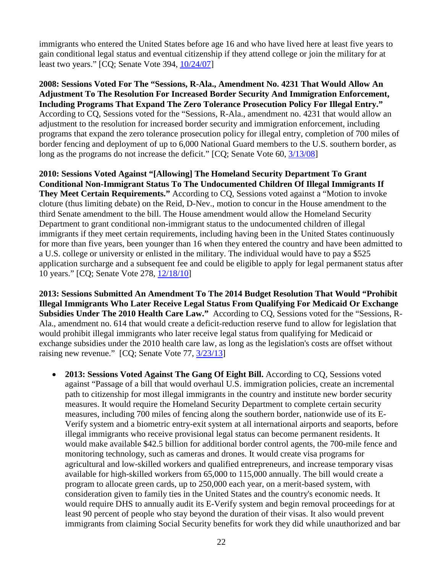immigrants who entered the United States before age 16 and who have lived here at least five years to gain conditional legal status and eventual citizenship if they attend college or join the military for at least two years." [CQ; Senate Vote 394, [10/24/07\]](http://www.senate.gov/legislative/LIS/roll_call_lists/roll_call_vote_cfm.cfm?congress=110&session=1&vote=00394)

**2008: Sessions Voted For The "Sessions, R-Ala., Amendment No. 4231 That Would Allow An Adjustment To The Resolution For Increased Border Security And Immigration Enforcement, Including Programs That Expand The Zero Tolerance Prosecution Policy For Illegal Entry."**  According to CQ, Sessions voted for the "Sessions, R-Ala., amendment no. 4231 that would allow an adjustment to the resolution for increased border security and immigration enforcement, including programs that expand the zero tolerance prosecution policy for illegal entry, completion of 700 miles of border fencing and deployment of up to 6,000 National Guard members to the U.S. southern border, as long as the programs do not increase the deficit." [CQ; Senate Vote 60,  $\frac{3}{13/08}$ ]

**2010: Sessions Voted Against "[Allowing] The Homeland Security Department To Grant Conditional Non-Immigrant Status To The Undocumented Children Of Illegal Immigrants If They Meet Certain Requirements."** According to CQ, Sessions voted against a "Motion to invoke cloture (thus limiting debate) on the Reid, D-Nev., motion to concur in the House amendment to the third Senate amendment to the bill. The House amendment would allow the Homeland Security Department to grant conditional non-immigrant status to the undocumented children of illegal immigrants if they meet certain requirements, including having been in the United States continuously for more than five years, been younger than 16 when they entered the country and have been admitted to a U.S. college or university or enlisted in the military. The individual would have to pay a \$525 application surcharge and a subsequent fee and could be eligible to apply for legal permanent status after 10 years." [CQ; Senate Vote 278, [12/18/10\]](http://www.senate.gov/legislative/LIS/roll_call_lists/roll_call_vote_cfm.cfm?congress=111&session=2&vote=00278)

**2013: Sessions Submitted An Amendment To The 2014 Budget Resolution That Would "Prohibit Illegal Immigrants Who Later Receive Legal Status From Qualifying For Medicaid Or Exchange Subsidies Under The 2010 Health Care Law."** According to CQ, Sessions voted for the "Sessions, R-Ala., amendment no. 614 that would create a deficit-reduction reserve fund to allow for legislation that would prohibit illegal immigrants who later receive legal status from qualifying for Medicaid or exchange subsidies under the 2010 health care law, as long as the legislation's costs are offset without raising new revenue." [CQ; Senate Vote 77, [3/23/13\]](http://www.senate.gov/legislative/LIS/roll_call_lists/roll_call_vote_cfm.cfm?congress=113&session=1&vote=00077)

• **2013: Sessions Voted Against The Gang Of Eight Bill.** According to CQ, Sessions voted against "Passage of a bill that would overhaul U.S. immigration policies, create an incremental path to citizenship for most illegal immigrants in the country and institute new border security measures. It would require the Homeland Security Department to complete certain security measures, including 700 miles of fencing along the southern border, nationwide use of its E-Verify system and a biometric entry-exit system at all international airports and seaports, before illegal immigrants who receive provisional legal status can become permanent residents. It would make available \$42.5 billion for additional border control agents, the 700-mile fence and monitoring technology, such as cameras and drones. It would create visa programs for agricultural and low-skilled workers and qualified entrepreneurs, and increase temporary visas available for high-skilled workers from 65,000 to 115,000 annually. The bill would create a program to allocate green cards, up to 250,000 each year, on a merit-based system, with consideration given to family ties in the United States and the country's economic needs. It would require DHS to annually audit its E-Verify system and begin removal proceedings for at least 90 percent of people who stay beyond the duration of their visas. It also would prevent immigrants from claiming Social Security benefits for work they did while unauthorized and bar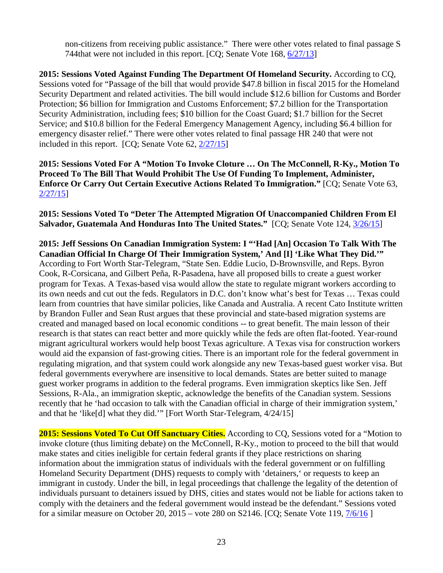non-citizens from receiving public assistance." There were other votes related to final passage S 744that were not included in this report. [CQ; Senate Vote 168, [6/27/13\]](http://www.senate.gov/legislative/LIS/roll_call_lists/roll_call_vote_cfm.cfm?congress=113&session=1&vote=00168)

**2015: Sessions Voted Against Funding The Department Of Homeland Security.** According to CQ, Sessions voted for "Passage of the bill that would provide \$47.8 billion in fiscal 2015 for the Homeland Security Department and related activities. The bill would include \$12.6 billion for Customs and Border Protection; \$6 billion for Immigration and Customs Enforcement; \$7.2 billion for the Transportation Security Administration, including fees; \$10 billion for the Coast Guard; \$1.7 billion for the Secret Service; and \$10.8 billion for the Federal Emergency Management Agency, including \$6.4 billion for emergency disaster relief." There were other votes related to final passage HR 240 that were not included in this report. [CQ; Senate Vote 62, [2/27/15\]](http://www.senate.gov/legislative/LIS/roll_call_lists/roll_call_vote_cfm.cfm?congress=114&session=1&vote=00062)

# **2015: Sessions Voted For A "Motion To Invoke Cloture … On The McConnell, R-Ky., Motion To Proceed To The Bill That Would Prohibit The Use Of Funding To Implement, Administer, Enforce Or Carry Out Certain Executive Actions Related To Immigration."** [CQ; Senate Vote 63, [2/27/15\]](http://www.senate.gov/legislative/LIS/roll_call_lists/roll_call_vote_cfm.cfm?congress=114&session=1&vote=00063)

**2015: Sessions Voted To "Deter The Attempted Migration Of Unaccompanied Children From El Salvador, Guatemala And Honduras Into The United States."** [CQ; Senate Vote 124, [3/26/15\]](http://www.senate.gov/legislative/LIS/roll_call_lists/roll_call_vote_cfm.cfm?congress=114&session=1&vote=00124)

**2015: Jeff Sessions On Canadian Immigration System: I "'Had [An] Occasion To Talk With The Canadian Official In Charge Of Their Immigration System,' And [I] 'Like What They Did.'"**  According to Fort Worth Star-Telegram, "State Sen. Eddie Lucio, D-Brownsville, and Reps. Byron Cook, R-Corsicana, and Gilbert Peña, R-Pasadena, have all proposed bills to create a guest worker program for Texas. A Texas-based visa would allow the state to regulate migrant workers according to its own needs and cut out the feds. Regulators in D.C. don't know what's best for Texas … Texas could learn from countries that have similar policies, like Canada and Australia. A recent Cato Institute written by Brandon Fuller and Sean Rust argues that these provincial and state-based migration systems are created and managed based on local economic conditions -- to great benefit. The main lesson of their research is that states can react better and more quickly while the feds are often flat-footed. Year-round migrant agricultural workers would help boost Texas agriculture. A Texas visa for construction workers would aid the expansion of fast-growing cities. There is an important role for the federal government in regulating migration, and that system could work alongside any new Texas-based guest worker visa. But federal governments everywhere are insensitive to local demands. States are better suited to manage guest worker programs in addition to the federal programs. Even immigration skeptics like Sen. Jeff Sessions, R-Ala., an immigration skeptic, acknowledge the benefits of the Canadian system. Sessions recently that he 'had occasion to talk with the Canadian official in charge of their immigration system,' and that he 'like[d] what they did.'" [Fort Worth Star-Telegram, 4/24/15]

**2015: Sessions Voted To Cut Off Sanctuary Cities.** According to CQ, Sessions voted for a "Motion to invoke cloture (thus limiting debate) on the McConnell, R-Ky., motion to proceed to the bill that would make states and cities ineligible for certain federal grants if they place restrictions on sharing information about the immigration status of individuals with the federal government or on fulfilling Homeland Security Department (DHS) requests to comply with 'detainers,' or requests to keep an immigrant in custody. Under the bill, in legal proceedings that challenge the legality of the detention of individuals pursuant to detainers issued by DHS, cities and states would not be liable for actions taken to comply with the detainers and the federal government would instead be the defendant." Sessions voted for a similar measure on October 20, 2015 – vote 280 on S2146. [CQ; Senate Vote 119, [7/6/16](http://www.senate.gov/legislative/LIS/roll_call_lists/roll_call_vote_cfm.cfm?congress=114&session=2&vote=00119) ]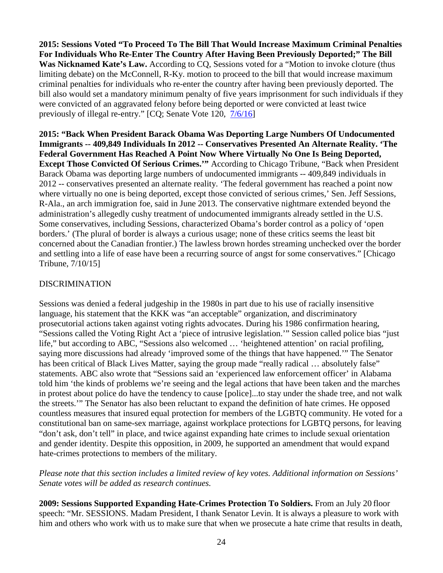**2015: Sessions Voted "To Proceed To The Bill That Would Increase Maximum Criminal Penalties For Individuals Who Re-Enter The Country After Having Been Previously Deported;" The Bill Was Nicknamed Kate's Law.** According to CQ, Sessions voted for a "Motion to invoke cloture (thus limiting debate) on the McConnell, R-Ky. motion to proceed to the bill that would increase maximum criminal penalties for individuals who re-enter the country after having been previously deported. The bill also would set a mandatory minimum penalty of five years imprisonment for such individuals if they were convicted of an aggravated felony before being deported or were convicted at least twice previously of illegal re-entry." [CQ; Senate Vote 120, [7/6/16\]](http://www.senate.gov/legislative/LIS/roll_call_lists/roll_call_vote_cfm.cfm?congress=114&session=2&vote=00120)

**2015: "Back When President Barack Obama Was Deporting Large Numbers Of Undocumented Immigrants -- 409,849 Individuals In 2012 -- Conservatives Presented An Alternate Reality. 'The Federal Government Has Reached A Point Now Where Virtually No One Is Being Deported, Except Those Convicted Of Serious Crimes.'"** According to Chicago Tribune, "Back when President Barack Obama was deporting large numbers of undocumented immigrants -- 409,849 individuals in 2012 -- conservatives presented an alternate reality. 'The federal government has reached a point now where virtually no one is being deported, except those convicted of serious crimes,' Sen. Jeff Sessions, R-Ala., an arch immigration foe, said in June 2013. The conservative nightmare extended beyond the administration's allegedly cushy treatment of undocumented immigrants already settled in the U.S. Some conservatives, including Sessions, characterized Obama's border control as a policy of 'open borders.' (The plural of border is always a curious usage; none of these critics seems the least bit concerned about the Canadian frontier.) The lawless brown hordes streaming unchecked over the border and settling into a life of ease have been a recurring source of angst for some conservatives." [Chicago Tribune, 7/10/15]

# DISCRIMINATION

Sessions was denied a federal judgeship in the 1980s in part due to his use of racially insensitive language, his statement that the KKK was "an acceptable" organization, and discriminatory prosecutorial actions taken against voting rights advocates. During his 1986 confirmation hearing, "Sessions called the Voting Right Act a 'piece of intrusive legislation.'" Session called police bias "just life," but according to ABC, "Sessions also welcomed … 'heightened attention' on racial profiling, saying more discussions had already 'improved some of the things that have happened.'" The Senator has been critical of Black Lives Matter, saying the group made "really radical ... absolutely false" statements. ABC also wrote that "Sessions said an 'experienced law enforcement officer' in Alabama told him 'the kinds of problems we're seeing and the legal actions that have been taken and the marches in protest about police do have the tendency to cause [police]...to stay under the shade tree, and not walk the streets.'" The Senator has also been reluctant to expand the definition of hate crimes. He opposed countless measures that insured equal protection for members of the LGBTQ community. He voted for a constitutional ban on same-sex marriage, against workplace protections for LGBTQ persons, for leaving "don't ask, don't tell" in place, and twice against expanding hate crimes to include sexual orientation and gender identity. Despite this opposition, in 2009, he supported an amendment that would expand hate-crimes protections to members of the military.

*Please note that this section includes a limited review of key votes. Additional information on Sessions' Senate votes will be added as research continues.* 

**2009: Sessions Supported Expanding Hate-Crimes Protection To Soldiers.** From an July 20 floor speech: "Mr. SESSIONS. Madam President, I thank Senator Levin. It is always a pleasure to work with him and others who work with us to make sure that when we prosecute a hate crime that results in death,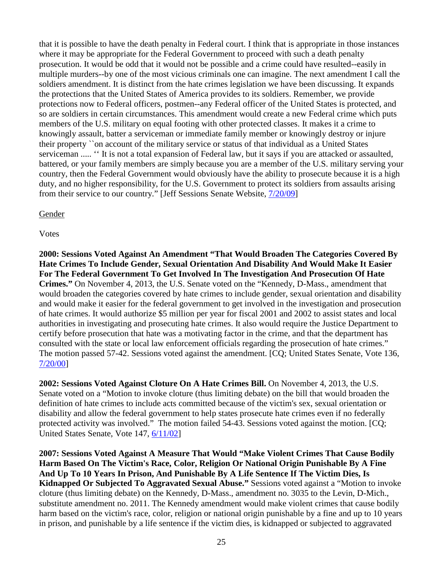that it is possible to have the death penalty in Federal court. I think that is appropriate in those instances where it may be appropriate for the Federal Government to proceed with such a death penalty prosecution. It would be odd that it would not be possible and a crime could have resulted--easily in multiple murders--by one of the most vicious criminals one can imagine. The next amendment I call the soldiers amendment. It is distinct from the hate crimes legislation we have been discussing. It expands the protections that the United States of America provides to its soldiers. Remember, we provide protections now to Federal officers, postmen--any Federal officer of the United States is protected, and so are soldiers in certain circumstances. This amendment would create a new Federal crime which puts members of the U.S. military on equal footing with other protected classes. It makes it a crime to knowingly assault, batter a serviceman or immediate family member or knowingly destroy or injure their property ``on account of the military service or status of that individual as a United States serviceman ..... '' It is not a total expansion of Federal law, but it says if you are attacked or assaulted, battered, or your family members are simply because you are a member of the U.S. military serving your country, then the Federal Government would obviously have the ability to prosecute because it is a high duty, and no higher responsibility, for the U.S. Government to protect its soldiers from assaults arising from their service to our country." [Jeff Sessions Senate Website, [7/20/09\]](http://www.sessions.senate.gov/public/index.cfm/floor-statements?ID=C1B0926B-090D-4903-A5DB-140DE9A75155)

## Gender

# Votes

**2000: Sessions Voted Against An Amendment "That Would Broaden The Categories Covered By Hate Crimes To Include Gender, Sexual Orientation And Disability And Would Make It Easier For The Federal Government To Get Involved In The Investigation And Prosecution Of Hate Crimes."** On November 4, 2013, the U.S. Senate voted on the "Kennedy, D-Mass., amendment that would broaden the categories covered by hate crimes to include gender, sexual orientation and disability and would make it easier for the federal government to get involved in the investigation and prosecution of hate crimes. It would authorize \$5 million per year for fiscal 2001 and 2002 to assist states and local authorities in investigating and prosecuting hate crimes. It also would require the Justice Department to certify before prosecution that hate was a motivating factor in the crime, and that the department has consulted with the state or local law enforcement officials regarding the prosecution of hate crimes." The motion passed 57-42. Sessions voted against the amendment. [CQ; United States Senate, Vote 136, [7/20/00\]](http://www.senate.gov/legislative/LIS/roll_call_lists/roll_call_vote_cfm.cfm?congress=106&session=2&vote=00136)

**2002: Sessions Voted Against Cloture On A Hate Crimes Bill.** On November 4, 2013, the U.S. Senate voted on a "Motion to invoke cloture (thus limiting debate) on the bill that would broaden the definition of hate crimes to include acts committed because of the victim's sex, sexual orientation or disability and allow the federal government to help states prosecute hate crimes even if no federally protected activity was involved." The motion failed 54-43. Sessions voted against the motion. [CQ; United States Senate, Vote 147, [6/11/02\]](http://www.senate.gov/legislative/LIS/roll_call_lists/roll_call_vote_cfm.cfm?congress=107&session=2&vote=00147)

**2007: Sessions Voted Against A Measure That Would "Make Violent Crimes That Cause Bodily Harm Based On The Victim's Race, Color, Religion Or National Origin Punishable By A Fine And Up To 10 Years In Prison, And Punishable By A Life Sentence If The Victim Dies, Is Kidnapped Or Subjected To Aggravated Sexual Abuse."** Sessions voted against a "Motion to invoke cloture (thus limiting debate) on the Kennedy, D-Mass., amendment no. 3035 to the Levin, D-Mich., substitute amendment no. 2011. The Kennedy amendment would make violent crimes that cause bodily harm based on the victim's race, color, religion or national origin punishable by a fine and up to 10 years in prison, and punishable by a life sentence if the victim dies, is kidnapped or subjected to aggravated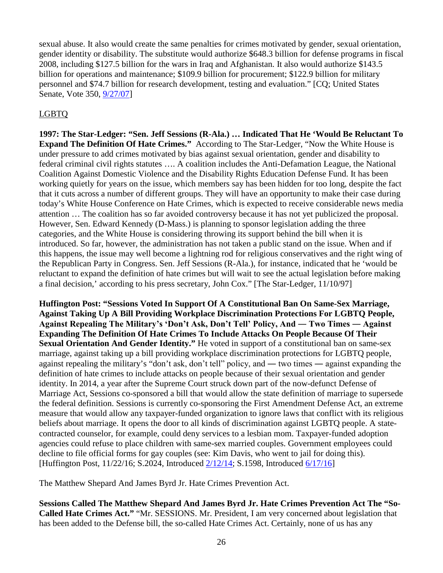sexual abuse. It also would create the same penalties for crimes motivated by gender, sexual orientation, gender identity or disability. The substitute would authorize \$648.3 billion for defense programs in fiscal 2008, including \$127.5 billion for the wars in Iraq and Afghanistan. It also would authorize \$143.5 billion for operations and maintenance; \$109.9 billion for procurement; \$122.9 billion for military personnel and \$74.7 billion for research development, testing and evaluation." [CQ; United States Senate, Vote 350, [9/27/07\]](http://www.senate.gov/legislative/LIS/roll_call_lists/roll_call_vote_cfm.cfm?congress=110&session=1&vote=00350)

# LGBTQ

**1997: The Star-Ledger: "Sen. Jeff Sessions (R-Ala.) … Indicated That He 'Would Be Reluctant To Expand The Definition Of Hate Crimes."** According to The Star-Ledger, "Now the White House is under pressure to add crimes motivated by bias against sexual orientation, gender and disability to federal criminal civil rights statutes …. A coalition includes the Anti-Defamation League, the National Coalition Against Domestic Violence and the Disability Rights Education Defense Fund. It has been working quietly for years on the issue, which members say has been hidden for too long, despite the fact that it cuts across a number of different groups. They will have an opportunity to make their case during today's White House Conference on Hate Crimes, which is expected to receive considerable news media attention … The coalition has so far avoided controversy because it has not yet publicized the proposal. However, Sen. Edward Kennedy (D-Mass.) is planning to sponsor legislation adding the three categories, and the White House is considering throwing its support behind the bill when it is introduced. So far, however, the administration has not taken a public stand on the issue. When and if this happens, the issue may well become a lightning rod for religious conservatives and the right wing of the Republican Party in Congress. Sen. Jeff Sessions (R-Ala.), for instance, indicated that he 'would be reluctant to expand the definition of hate crimes but will wait to see the actual legislation before making a final decision,' according to his press secretary, John Cox." [The Star-Ledger, 11/10/97]

**Huffington Post: "Sessions Voted In Support Of A Constitutional Ban On Same-Sex Marriage, Against Taking Up A Bill Providing Workplace Discrimination Protections For LGBTQ People, Against Repealing The Military's 'Don't Ask, Don't Tell' Policy, And ― Two Times ― Against Expanding The Definition Of Hate Crimes To Include Attacks On People Because Of Their Sexual Orientation And Gender Identity."** He voted in support of a constitutional ban on same-sex marriage, against taking up a bill providing workplace discrimination protections for LGBTQ people, against repealing the military's "don't ask, don't tell" policy, and ― two times ― against expanding the definition of hate crimes to include attacks on people because of their sexual orientation and gender identity. In 2014, a year after the Supreme Court struck down part of the now-defunct Defense of Marriage Act, Sessions co-sponsored a bill that would allow the state definition of marriage to supersede the federal definition. Sessions is currently co-sponsoring the First Amendment Defense Act, an extreme measure that would allow any taxpayer-funded organization to ignore laws that conflict with its religious beliefs about marriage. It opens the door to all kinds of discrimination against LGBTQ people. A statecontracted counselor, for example, could deny services to a lesbian mom. Taxpayer-funded adoption agencies could refuse to place children with same-sex married couples. Government employees could decline to file official forms for gay couples (see: Kim Davis, who went to jail for doing this). [Huffington Post, 11/22/16; S.2024, Introduced [2/12/14;](https://www.congress.gov/bill/113th-congress/senate-bill/2024/cosponsors) S.1598, Introduced [6/17/16\]](https://www.congress.gov/bill/114th-congress/senate-bill/1598/cosponsors?q=%7B%22search%22%3A%5B%22first+amendment+defense+act%22%5D%7D&r=2)

The Matthew Shepard And James Byrd Jr. Hate Crimes Prevention Act.

**Sessions Called The Matthew Shepard And James Byrd Jr. Hate Crimes Prevention Act The "So-Called Hate Crimes Act."** "Mr. SESSIONS. Mr. President, I am very concerned about legislation that has been added to the Defense bill, the so-called Hate Crimes Act. Certainly, none of us has any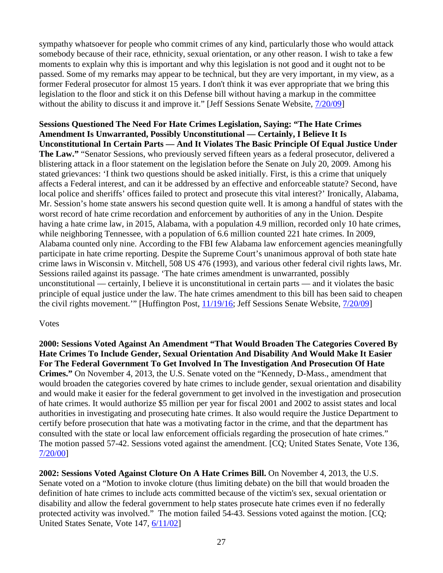sympathy whatsoever for people who commit crimes of any kind, particularly those who would attack somebody because of their race, ethnicity, sexual orientation, or any other reason. I wish to take a few moments to explain why this is important and why this legislation is not good and it ought not to be passed. Some of my remarks may appear to be technical, but they are very important, in my view, as a former Federal prosecutor for almost 15 years. I don't think it was ever appropriate that we bring this legislation to the floor and stick it on this Defense bill without having a markup in the committee without the ability to discuss it and improve it." [Jeff Sessions Senate Website,  $7/20/09$ ]

**Sessions Questioned The Need For Hate Crimes Legislation, Saying: "The Hate Crimes Amendment Is Unwarranted, Possibly Unconstitutional — Certainly, I Believe It Is Unconstitutional In Certain Parts — And It Violates The Basic Principle Of Equal Justice Under The Law."** "Senator Sessions, who previously served fifteen years as a federal prosecutor, delivered a blistering attack in a floor statement on the legislation before the Senate on July 20, 2009. Among his stated grievances: 'I think two questions should be asked initially. First, is this a crime that uniquely affects a Federal interest, and can it be addressed by an effective and enforceable statute? Second, have local police and sheriffs' offices failed to protect and prosecute this vital interest?' Ironically, Alabama, Mr. Session's home state answers his second question quite well. It is among a handful of states with the worst record of hate crime recordation and enforcement by authorities of any in the Union. Despite having a hate crime law, in 2015, Alabama, with a population 4.9 million, recorded only 10 hate crimes, while neighboring Tennessee, with a population of 6.6 million counted 221 hate crimes. In 2009, Alabama counted only nine. According to the FBI few Alabama law enforcement agencies meaningfully participate in hate crime reporting. Despite the Supreme Court's unanimous approval of both state hate crime laws in Wisconsin v. Mitchell, 508 US 476 (1993), and various other federal civil rights laws, Mr. Sessions railed against its passage. 'The hate crimes amendment is unwarranted, possibly unconstitutional — certainly, I believe it is unconstitutional in certain parts — and it violates the basic principle of equal justice under the law. The hate crimes amendment to this bill has been said to cheapen the civil rights movement.'" [Huffington Post, [11/19/16;](http://www.huffingtonpost.com/brian-levin-jd/trumps-attorney-general-nominee-was_b_13080004.html) Jeff Sessions Senate Website, [7/20/09\]](http://www.sessions.senate.gov/public/index.cfm/floor-statements?ID=a8247be2-d851-bebf-9a8a-02a497fd6f1b)

## Votes

**2000: Sessions Voted Against An Amendment "That Would Broaden The Categories Covered By Hate Crimes To Include Gender, Sexual Orientation And Disability And Would Make It Easier For The Federal Government To Get Involved In The Investigation And Prosecution Of Hate Crimes."** On November 4, 2013, the U.S. Senate voted on the "Kennedy, D-Mass., amendment that would broaden the categories covered by hate crimes to include gender, sexual orientation and disability and would make it easier for the federal government to get involved in the investigation and prosecution of hate crimes. It would authorize \$5 million per year for fiscal 2001 and 2002 to assist states and local authorities in investigating and prosecuting hate crimes. It also would require the Justice Department to certify before prosecution that hate was a motivating factor in the crime, and that the department has consulted with the state or local law enforcement officials regarding the prosecution of hate crimes." The motion passed 57-42. Sessions voted against the amendment. [CQ; United States Senate, Vote 136, [7/20/00\]](http://www.senate.gov/legislative/LIS/roll_call_lists/roll_call_vote_cfm.cfm?congress=106&session=2&vote=00136)

**2002: Sessions Voted Against Cloture On A Hate Crimes Bill.** On November 4, 2013, the U.S. Senate voted on a "Motion to invoke cloture (thus limiting debate) on the bill that would broaden the definition of hate crimes to include acts committed because of the victim's sex, sexual orientation or disability and allow the federal government to help states prosecute hate crimes even if no federally protected activity was involved." The motion failed 54-43. Sessions voted against the motion. [CQ; United States Senate, Vote 147, [6/11/02\]](http://www.senate.gov/legislative/LIS/roll_call_lists/roll_call_vote_cfm.cfm?congress=107&session=2&vote=00147)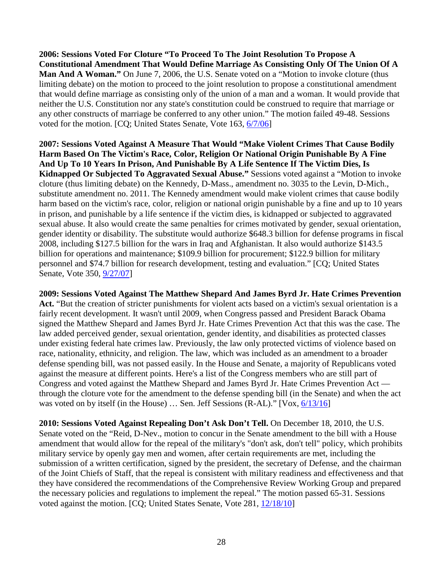**2006: Sessions Voted For Cloture "To Proceed To The Joint Resolution To Propose A Constitutional Amendment That Would Define Marriage As Consisting Only Of The Union Of A Man And A Woman."** On June 7, 2006, the U.S. Senate voted on a "Motion to invoke cloture (thus limiting debate) on the motion to proceed to the joint resolution to propose a constitutional amendment that would define marriage as consisting only of the union of a man and a woman. It would provide that neither the U.S. Constitution nor any state's constitution could be construed to require that marriage or any other constructs of marriage be conferred to any other union." The motion failed 49-48. Sessions voted for the motion. [CQ; United States Senate, Vote 163, [6/7/06\]](http://www.senate.gov/legislative/LIS/roll_call_lists/roll_call_vote_cfm.cfm?congress=109&session=2&vote=00163)

**2007: Sessions Voted Against A Measure That Would "Make Violent Crimes That Cause Bodily Harm Based On The Victim's Race, Color, Religion Or National Origin Punishable By A Fine And Up To 10 Years In Prison, And Punishable By A Life Sentence If The Victim Dies, Is Kidnapped Or Subjected To Aggravated Sexual Abuse."** Sessions voted against a "Motion to invoke cloture (thus limiting debate) on the Kennedy, D-Mass., amendment no. 3035 to the Levin, D-Mich., substitute amendment no. 2011. The Kennedy amendment would make violent crimes that cause bodily harm based on the victim's race, color, religion or national origin punishable by a fine and up to 10 years in prison, and punishable by a life sentence if the victim dies, is kidnapped or subjected to aggravated sexual abuse. It also would create the same penalties for crimes motivated by gender, sexual orientation, gender identity or disability. The substitute would authorize \$648.3 billion for defense programs in fiscal 2008, including \$127.5 billion for the wars in Iraq and Afghanistan. It also would authorize \$143.5 billion for operations and maintenance; \$109.9 billion for procurement; \$122.9 billion for military personnel and \$74.7 billion for research development, testing and evaluation." [CQ; United States Senate, Vote 350, [9/27/07\]](http://www.senate.gov/legislative/LIS/roll_call_lists/roll_call_vote_cfm.cfm?congress=110&session=1&vote=00350)

**2009: Sessions Voted Against The Matthew Shepard And James Byrd Jr. Hate Crimes Prevention**  Act. "But the creation of stricter punishments for violent acts based on a victim's sexual orientation is a fairly recent development. It wasn't until 2009, when Congress passed and President Barack Obama signed the Matthew Shepard and James Byrd Jr. Hate Crimes Prevention Act that this was the case. The law added perceived gender, sexual orientation, gender identity, and disabilities as protected classes under existing federal hate crimes law. Previously, the law only protected victims of violence based on race, nationality, ethnicity, and religion. The law, which was included as an amendment to a broader defense spending bill, was not passed easily. In the House and Senate, a majority of Republicans voted against the measure at different points. Here's a list of the Congress members who are still part of Congress and voted against the Matthew Shepard and James Byrd Jr. Hate Crimes Prevention Act through the cloture vote for the amendment to the defense spending bill (in the Senate) and when the act was voted on by itself (in the House) ... Sen. Jeff Sessions (R-AL)." [Vox,  $6/13/16$ ]

**2010: Sessions Voted Against Repealing Don't Ask Don't Tell.** On December 18, 2010, the U.S. Senate voted on the "Reid, D-Nev., motion to concur in the Senate amendment to the bill with a House amendment that would allow for the repeal of the military's "don't ask, don't tell" policy, which prohibits military service by openly gay men and women, after certain requirements are met, including the submission of a written certification, signed by the president, the secretary of Defense, and the chairman of the Joint Chiefs of Staff, that the repeal is consistent with military readiness and effectiveness and that they have considered the recommendations of the Comprehensive Review Working Group and prepared the necessary policies and regulations to implement the repeal." The motion passed 65-31. Sessions voted against the motion. [CQ; United States Senate, Vote 281, [12/18/10\]](http://www.senate.gov/legislative/LIS/roll_call_lists/roll_call_vote_cfm.cfm?congress=111&session=2&vote=00281)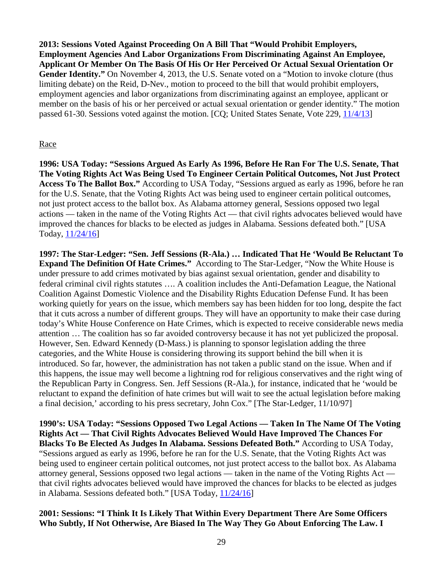**2013: Sessions Voted Against Proceeding On A Bill That "Would Prohibit Employers, Employment Agencies And Labor Organizations From Discriminating Against An Employee, Applicant Or Member On The Basis Of His Or Her Perceived Or Actual Sexual Orientation Or**  Gender **Identity.**" On November 4, 2013, the U.S. Senate voted on a "Motion to invoke cloture (thus limiting debate) on the Reid, D-Nev., motion to proceed to the bill that would prohibit employers, employment agencies and labor organizations from discriminating against an employee, applicant or member on the basis of his or her perceived or actual sexual orientation or gender identity." The motion passed 61-30. Sessions voted against the motion. [CQ; United States Senate, Vote 229, [11/4/13\]](http://www.senate.gov/legislative/LIS/roll_call_lists/roll_call_vote_cfm.cfm?congress=113&session=1&vote=00229)

## Race

**1996: USA Today: "Sessions Argued As Early As 1996, Before He Ran For The U.S. Senate, That The Voting Rights Act Was Being Used To Engineer Certain Political Outcomes, Not Just Protect Access To The Ballot Box."** According to USA Today, "Sessions argued as early as 1996, before he ran for the U.S. Senate, that the Voting Rights Act was being used to engineer certain political outcomes, not just protect access to the ballot box. As Alabama attorney general, Sessions opposed two legal actions — taken in the name of the Voting Rights Act — that civil rights advocates believed would have improved the chances for blacks to be elected as judges in Alabama. Sessions defeated both." [USA Today, [11/24/16\]](http://www.usatoday.com/story/news/politics/2016/11/24/sessions-senate-career-shows-mixed-record-voting-rights-act-support/94303120/)

**1997: The Star-Ledger: "Sen. Jeff Sessions (R-Ala.) … Indicated That He 'Would Be Reluctant To Expand The Definition Of Hate Crimes."** According to The Star-Ledger, "Now the White House is under pressure to add crimes motivated by bias against sexual orientation, gender and disability to federal criminal civil rights statutes …. A coalition includes the Anti-Defamation League, the National Coalition Against Domestic Violence and the Disability Rights Education Defense Fund. It has been working quietly for years on the issue, which members say has been hidden for too long, despite the fact that it cuts across a number of different groups. They will have an opportunity to make their case during today's White House Conference on Hate Crimes, which is expected to receive considerable news media attention … The coalition has so far avoided controversy because it has not yet publicized the proposal. However, Sen. Edward Kennedy (D-Mass.) is planning to sponsor legislation adding the three categories, and the White House is considering throwing its support behind the bill when it is introduced. So far, however, the administration has not taken a public stand on the issue. When and if this happens, the issue may well become a lightning rod for religious conservatives and the right wing of the Republican Party in Congress. Sen. Jeff Sessions (R-Ala.), for instance, indicated that he 'would be reluctant to expand the definition of hate crimes but will wait to see the actual legislation before making a final decision,' according to his press secretary, John Cox." [The Star-Ledger, 11/10/97]

**1990's: USA Today: "Sessions Opposed Two Legal Actions — Taken In The Name Of The Voting Rights Act — That Civil Rights Advocates Believed Would Have Improved The Chances For Blacks To Be Elected As Judges In Alabama. Sessions Defeated Both."** According to USA Today, "Sessions argued as early as 1996, before he ran for the U.S. Senate, that the Voting Rights Act was being used to engineer certain political outcomes, not just protect access to the ballot box. As Alabama attorney general, Sessions opposed two legal actions — taken in the name of the Voting Rights Act that civil rights advocates believed would have improved the chances for blacks to be elected as judges in Alabama. Sessions defeated both." [USA Today, [11/24/16\]](http://www.usatoday.com/story/news/politics/2016/11/24/sessions-senate-career-shows-mixed-record-voting-rights-act-support/94303120/)

# **2001: Sessions: "I Think It Is Likely That Within Every Department There Are Some Officers Who Subtly, If Not Otherwise, Are Biased In The Way They Go About Enforcing The Law. I**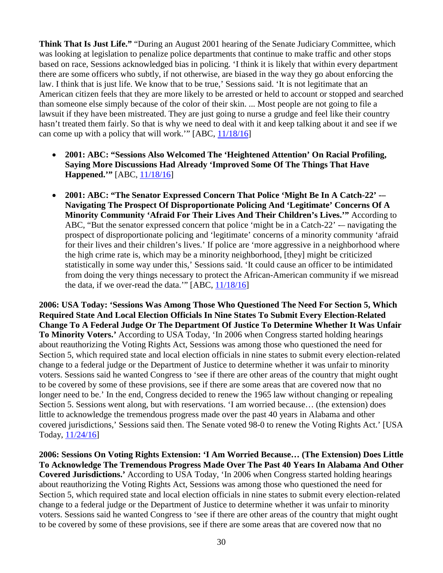**Think That Is Just Life."** "During an August 2001 hearing of the Senate Judiciary Committee, which was looking at legislation to penalize police departments that continue to make traffic and other stops based on race, Sessions acknowledged bias in policing. 'I think it is likely that within every department there are some officers who subtly, if not otherwise, are biased in the way they go about enforcing the law. I think that is just life. We know that to be true,' Sessions said. 'It is not legitimate that an American citizen feels that they are more likely to be arrested or held to account or stopped and searched than someone else simply because of the color of their skin. ... Most people are not going to file a lawsuit if they have been mistreated. They are just going to nurse a grudge and feel like their country hasn't treated them fairly. So that is why we need to deal with it and keep talking about it and see if we can come up with a policy that will work.'" [ABC, [11/18/16\]](http://abcnews.go.com/Politics/jeff-sessions-race-civil-rights/story?id=43633501)

- **2001: ABC: "Sessions Also Welcomed The 'Heightened Attention' On Racial Profiling, Saying More Discussions Had Already 'Improved Some Of The Things That Have Happened.**"' [ABC, [11/18/16\]](http://abcnews.go.com/Politics/jeff-sessions-race-civil-rights/story?id=43633501)
- **2001: ABC: "The Senator Expressed Concern That Police 'Might Be In A Catch-22' -– Navigating The Prospect Of Disproportionate Policing And 'Legitimate' Concerns Of A Minority Community 'Afraid For Their Lives And Their Children's Lives.'"** According to ABC, "But the senator expressed concern that police 'might be in a Catch-22' -- navigating the prospect of disproportionate policing and 'legitimate' concerns of a minority community 'afraid for their lives and their children's lives.' If police are 'more aggressive in a neighborhood where the high crime rate is, which may be a minority neighborhood, [they] might be criticized statistically in some way under this,' Sessions said. 'It could cause an officer to be intimidated from doing the very things necessary to protect the African-American community if we misread the data, if we over-read the data.'"  $[ABC, 11/18/16]$  $[ABC, 11/18/16]$

**2006: USA Today: 'Sessions Was Among Those Who Questioned The Need For Section 5, Which Required State And Local Election Officials In Nine States To Submit Every Election-Related Change To A Federal Judge Or The Department Of Justice To Determine Whether It Was Unfair To Minority Voters.'** According to USA Today, 'In 2006 when Congress started holding hearings about reauthorizing the Voting Rights Act, Sessions was among those who questioned the need for Section 5, which required state and local election officials in nine states to submit every election-related change to a federal judge or the Department of Justice to determine whether it was unfair to minority voters. Sessions said he wanted Congress to 'see if there are other areas of the country that might ought to be covered by some of these provisions, see if there are some areas that are covered now that no longer need to be.' In the end, Congress decided to renew the 1965 law without changing or repealing Section 5. Sessions went along, but with reservations. 'I am worried because… (the extension) does little to acknowledge the tremendous progress made over the past 40 years in Alabama and other covered jurisdictions,' Sessions said then. The Senate voted 98-0 to renew the Voting Rights Act.' [USA Today, [11/24/16\]](http://www.usatoday.com/story/news/politics/2016/11/24/sessions-senate-career-shows-mixed-record-voting-rights-act-support/94303120/)

**2006: Sessions On Voting Rights Extension: 'I Am Worried Because… (The Extension) Does Little To Acknowledge The Tremendous Progress Made Over The Past 40 Years In Alabama And Other Covered Jurisdictions.'** According to USA Today, 'In 2006 when Congress started holding hearings about reauthorizing the Voting Rights Act, Sessions was among those who questioned the need for Section 5, which required state and local election officials in nine states to submit every election-related change to a federal judge or the Department of Justice to determine whether it was unfair to minority voters. Sessions said he wanted Congress to 'see if there are other areas of the country that might ought to be covered by some of these provisions, see if there are some areas that are covered now that no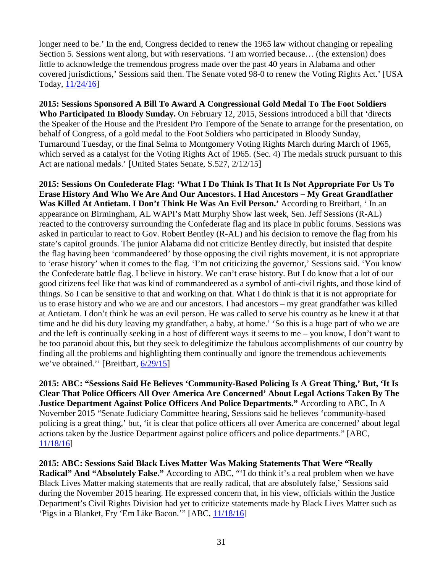longer need to be.' In the end, Congress decided to renew the 1965 law without changing or repealing Section 5. Sessions went along, but with reservations. 'I am worried because… (the extension) does little to acknowledge the tremendous progress made over the past 40 years in Alabama and other covered jurisdictions,' Sessions said then. The Senate voted 98-0 to renew the Voting Rights Act.' [USA Today, [11/24/16\]](http://www.usatoday.com/story/news/politics/2016/11/24/sessions-senate-career-shows-mixed-record-voting-rights-act-support/94303120/)

**2015: Sessions Sponsored A Bill To Award A Congressional Gold Medal To The Foot Soldiers Who Participated In Bloody Sunday.** On February 12, 2015, Sessions introduced a bill that 'directs the Speaker of the House and the President Pro Tempore of the Senate to arrange for the presentation, on behalf of Congress, of a gold medal to the Foot Soldiers who participated in Bloody Sunday, Turnaround Tuesday, or the final Selma to Montgomery Voting Rights March during March of 1965, which served as a catalyst for the Voting Rights Act of 1965. (Sec. 4) The medals struck pursuant to this Act are national medals.' [United States Senate, S.527, 2/12/15]

**2015: Sessions On Confederate Flag: 'What I Do Think Is That It Is Not Appropriate For Us To Erase History And Who We Are And Our Ancestors. I Had Ancestors – My Great Grandfather Was Killed At Antietam. I Don't Think He Was An Evil Person.'** According to Breitbart, ' In an appearance on Birmingham, AL WAPI's Matt Murphy Show last week, Sen. Jeff Sessions (R-AL) reacted to the controversy surrounding the Confederate flag and its place in public forums. Sessions was asked in particular to react to Gov. Robert Bentley (R-AL) and his decision to remove the flag from his state's capitol grounds. The junior Alabama did not criticize Bentley directly, but insisted that despite the flag having been 'commandeered' by those opposing the civil rights movement, it is not appropriate to 'erase history' when it comes to the flag. 'I'm not criticizing the governor,' Sessions said. 'You know the Confederate battle flag. I believe in history. We can't erase history. But I do know that a lot of our good citizens feel like that was kind of commandeered as a symbol of anti-civil rights, and those kind of things. So I can be sensitive to that and working on that. What I do think is that it is not appropriate for us to erase history and who we are and our ancestors. I had ancestors – my great grandfather was killed at Antietam. I don't think he was an evil person. He was called to serve his country as he knew it at that time and he did his duty leaving my grandfather, a baby, at home.' 'So this is a huge part of who we are and the left is continually seeking in a host of different ways it seems to me – you know, I don't want to be too paranoid about this, but they seek to delegitimize the fabulous accomplishments of our country by finding all the problems and highlighting them continually and ignore the tremendous achievements we've obtained.'' [Breitbart, [6/29/15\]](http://www.breitbart.com/video/2015/06/29/sessions-on-confederate-flag-flap-it-is-not-appropriate-for-us-to-erase-history/)

**2015: ABC: "Sessions Said He Believes 'Community-Based Policing Is A Great Thing,' But, 'It Is Clear That Police Officers All Over America Are Concerned' About Legal Actions Taken By The Justice Department Against Police Officers And Police Departments."** According to ABC, In A November 2015 "Senate Judiciary Committee hearing, Sessions said he believes 'community-based policing is a great thing,' but, 'it is clear that police officers all over America are concerned' about legal actions taken by the Justice Department against police officers and police departments." [ABC, [11/18/16\]](http://abcnews.go.com/Politics/jeff-sessions-race-civil-rights/story?id=43633501)

**2015: ABC: Sessions Said Black Lives Matter Was Making Statements That Were "Really Radical" And "Absolutely False."** According to ABC, "'I do think it's a real problem when we have Black Lives Matter making statements that are really radical, that are absolutely false,' Sessions said during the November 2015 hearing. He expressed concern that, in his view, officials within the Justice Department's Civil Rights Division had yet to criticize statements made by Black Lives Matter such as 'Pigs in a Blanket, Fry 'Em Like Bacon.'" [ABC, [11/18/16\]](http://abcnews.go.com/Politics/jeff-sessions-race-civil-rights/story?id=43633501)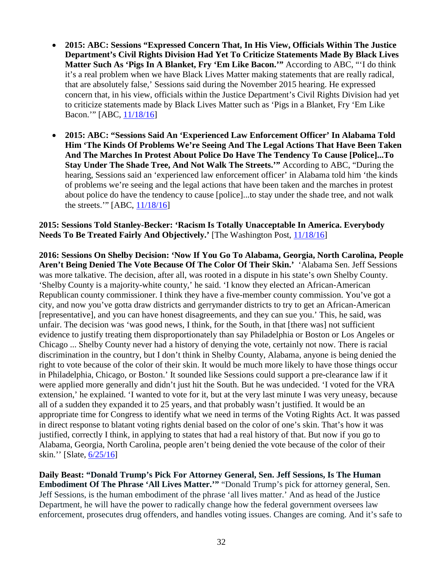- **2015: ABC: Sessions "Expressed Concern That, In His View, Officials Within The Justice Department's Civil Rights Division Had Yet To Criticize Statements Made By Black Lives Matter Such As 'Pigs In A Blanket, Fry 'Em Like Bacon.'"** According to ABC, "'I do think it's a real problem when we have Black Lives Matter making statements that are really radical, that are absolutely false,' Sessions said during the November 2015 hearing. He expressed concern that, in his view, officials within the Justice Department's Civil Rights Division had yet to criticize statements made by Black Lives Matter such as 'Pigs in a Blanket, Fry 'Em Like Bacon.'" [ABC, [11/18/16\]](http://abcnews.go.com/Politics/jeff-sessions-race-civil-rights/story?id=43633501)
- **2015: ABC: "Sessions Said An 'Experienced Law Enforcement Officer' In Alabama Told Him 'The Kinds Of Problems We're Seeing And The Legal Actions That Have Been Taken And The Marches In Protest About Police Do Have The Tendency To Cause [Police]...To Stay Under The Shade Tree, And Not Walk The Streets.'"** According to ABC, "During the hearing, Sessions said an 'experienced law enforcement officer' in Alabama told him 'the kinds of problems we're seeing and the legal actions that have been taken and the marches in protest about police do have the tendency to cause [police]...to stay under the shade tree, and not walk the streets.'" [ABC, [11/18/16\]](http://abcnews.go.com/Politics/jeff-sessions-race-civil-rights/story?id=43633501)

## **2015: Sessions Told Stanley-Becker: 'Racism Is Totally Unacceptable In America. Everybody Needs To Be Treated Fairly And Objectively.'** [The Washington Post, [11/18/16\]](https://www.washingtonpost.com/news/the-fix/wp/2016/11/18/10-things-to-know-about-sen-jeff-sessions-donald-trumps-pick-for-attorney-general/?utm_term=.f3915d3f9eca)

**2016: Sessions On Shelby Decision: 'Now If You Go To Alabama, Georgia, North Carolina, People Aren't Being Denied The Vote Because Of The Color Of Their Skin.'** 'Alabama Sen. Jeff Sessions was more talkative. The decision, after all, was rooted in a dispute in his state's own Shelby County. 'Shelby County is a majority-white county,' he said. 'I know they elected an African-American Republican county commissioner. I think they have a five-member county commission. You've got a city, and now you've gotta draw districts and gerrymander districts to try to get an African-American [representative], and you can have honest disagreements, and they can sue you.' This, he said, was unfair. The decision was 'was good news, I think, for the South, in that [there was] not sufficient evidence to justify treating them disproportionately than say Philadelphia or Boston or Los Angeles or Chicago ... Shelby County never had a history of denying the vote, certainly not now. There is racial discrimination in the country, but I don't think in Shelby County, Alabama, anyone is being denied the right to vote because of the color of their skin. It would be much more likely to have those things occur in Philadelphia, Chicago, or Boston.' It sounded like Sessions could support a pre-clearance law if it were applied more generally and didn't just hit the South. But he was undecided. 'I voted for the VRA extension,' he explained. 'I wanted to vote for it, but at the very last minute I was very uneasy, because all of a sudden they expanded it to 25 years, and that probably wasn't justified. It would be an appropriate time for Congress to identify what we need in terms of the Voting Rights Act. It was passed in direct response to blatant voting rights denial based on the color of one's skin. That's how it was justified, correctly I think, in applying to states that had a real history of that. But now if you go to Alabama, Georgia, North Carolina, people aren't being denied the vote because of the color of their skin.'' [Slate, [6/25/16\]](http://www.slate.com/blogs/weigel/2013/06/25/southern_republican_senators_happy_that_supreme_court_designated_their_states.html)

**Daily Beast: "Donald Trump's Pick For Attorney General, Sen. Jeff Sessions, Is The Human Embodiment Of The Phrase 'All Lives Matter.'"** "Donald Trump's pick for attorney general, Sen. Jeff Sessions, is the human embodiment of the phrase 'all lives matter.' And as head of the Justice Department, he will have the power to radically change how the federal government oversees law enforcement, prosecutes drug offenders, and handles voting issues. Changes are coming. And it's safe to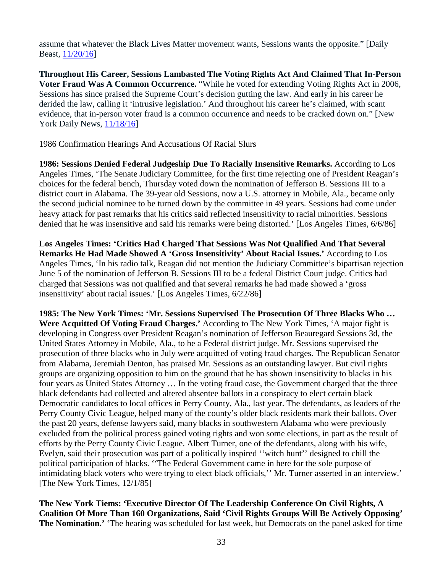assume that whatever the Black Lives Matter movement wants, Sessions wants the opposite." [Daily Beast, [11/20/16\]](http://www.thedailybeast.com/articles/2016/11/20/black-lives-matter-won-t-to-trump-doj.html)

**Throughout His Career, Sessions Lambasted The Voting Rights Act And Claimed That In-Person Voter Fraud Was A Common Occurrence.** "While he voted for extending Voting Rights Act in 2006, Sessions has since praised the Supreme Court's decision gutting the law. And early in his career he derided the law, calling it 'intrusive legislation.' And throughout his career he's claimed, with scant evidence, that in-person voter fraud is a common occurrence and needs to be cracked down on." [New York Daily News, [11/18/16\]](http://www.nydailynews.com/news/politics/key-policies-hanging-flux-jeff-sessions-ag-nomination-article-1.2879389)

1986 Confirmation Hearings And Accusations Of Racial Slurs

**1986: Sessions Denied Federal Judgeship Due To Racially Insensitive Remarks.** According to Los Angeles Times, 'The Senate Judiciary Committee, for the first time rejecting one of President Reagan's choices for the federal bench, Thursday voted down the nomination of Jefferson B. Sessions III to a district court in Alabama. The 39-year old Sessions, now a U.S. attorney in Mobile, Ala., became only the second judicial nominee to be turned down by the committee in 49 years. Sessions had come under heavy attack for past remarks that his critics said reflected insensitivity to racial minorities. Sessions denied that he was insensitive and said his remarks were being distorted.' [Los Angeles Times, 6/6/86]

**Los Angeles Times: 'Critics Had Charged That Sessions Was Not Qualified And That Several Remarks He Had Made Showed A 'Gross Insensitivity' About Racial Issues.'** According to Los Angeles Times, 'In his radio talk, Reagan did not mention the Judiciary Committee's bipartisan rejection June 5 of the nomination of Jefferson B. Sessions III to be a federal District Court judge. Critics had charged that Sessions was not qualified and that several remarks he had made showed a 'gross insensitivity' about racial issues.' [Los Angeles Times, 6/22/86]

**1985: The New York Times: 'Mr. Sessions Supervised The Prosecution Of Three Blacks Who … Were Acquitted Of Voting Fraud Charges.'** According to The New York Times, 'A major fight is developing in Congress over President Reagan's nomination of Jefferson Beauregard Sessions 3d, the United States Attorney in Mobile, Ala., to be a Federal district judge. Mr. Sessions supervised the prosecution of three blacks who in July were acquitted of voting fraud charges. The Republican Senator from Alabama, Jeremiah Denton, has praised Mr. Sessions as an outstanding lawyer. But civil rights groups are organizing opposition to him on the ground that he has shown insensitivity to blacks in his four years as United States Attorney … In the voting fraud case, the Government charged that the three black defendants had collected and altered absentee ballots in a conspiracy to elect certain black Democratic candidates to local offices in Perry County, Ala., last year. The defendants, as leaders of the Perry County Civic League, helped many of the county's older black residents mark their ballots. Over the past 20 years, defense lawyers said, many blacks in southwestern Alabama who were previously excluded from the political process gained voting rights and won some elections, in part as the result of efforts by the Perry County Civic League. Albert Turner, one of the defendants, along with his wife, Evelyn, said their prosecution was part of a politically inspired ''witch hunt'' designed to chill the political participation of blacks. ''The Federal Government came in here for the sole purpose of intimidating black voters who were trying to elect black officials," Mr. Turner asserted in an interview.' [The New York Times, 12/1/85]

**The New York Tiems: 'Executive Director Of The Leadership Conference On Civil Rights, A Coalition Of More Than 160 Organizations, Said 'Civil Rights Groups Will Be Actively Opposing' The Nomination.'** 'The hearing was scheduled for last week, but Democrats on the panel asked for time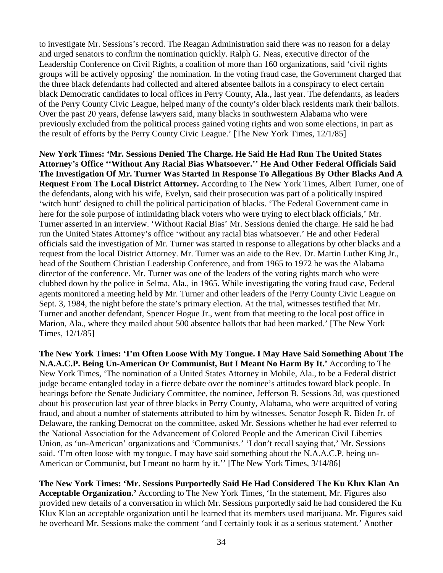to investigate Mr. Sessions's record. The Reagan Administration said there was no reason for a delay and urged senators to confirm the nomination quickly. Ralph G. Neas, executive director of the Leadership Conference on Civil Rights, a coalition of more than 160 organizations, said 'civil rights groups will be actively opposing' the nomination. In the voting fraud case, the Government charged that the three black defendants had collected and altered absentee ballots in a conspiracy to elect certain black Democratic candidates to local offices in Perry County, Ala., last year. The defendants, as leaders of the Perry County Civic League, helped many of the county's older black residents mark their ballots. Over the past 20 years, defense lawyers said, many blacks in southwestern Alabama who were previously excluded from the political process gained voting rights and won some elections, in part as the result of efforts by the Perry County Civic League.' [The New York Times, 12/1/85]

**New York Times: 'Mr. Sessions Denied The Charge. He Said He Had Run The United States Attorney's Office ''Without Any Racial Bias Whatsoever.'' He And Other Federal Officials Said The Investigation Of Mr. Turner Was Started In Response To Allegations By Other Blacks And A Request From The Local District Attorney.** According to The New York Times, Albert Turner, one of the defendants, along with his wife, Evelyn, said their prosecution was part of a politically inspired 'witch hunt' designed to chill the political participation of blacks. 'The Federal Government came in here for the sole purpose of intimidating black voters who were trying to elect black officials,' Mr. Turner asserted in an interview. 'Without Racial Bias' Mr. Sessions denied the charge. He said he had run the United States Attorney's office 'without any racial bias whatsoever.' He and other Federal officials said the investigation of Mr. Turner was started in response to allegations by other blacks and a request from the local District Attorney. Mr. Turner was an aide to the Rev. Dr. Martin Luther King Jr., head of the Southern Christian Leadership Conference, and from 1965 to 1972 he was the Alabama director of the conference. Mr. Turner was one of the leaders of the voting rights march who were clubbed down by the police in Selma, Ala., in 1965. While investigating the voting fraud case, Federal agents monitored a meeting held by Mr. Turner and other leaders of the Perry County Civic League on Sept. 3, 1984, the night before the state's primary election. At the trial, witnesses testified that Mr. Turner and another defendant, Spencer Hogue Jr., went from that meeting to the local post office in Marion, Ala., where they mailed about 500 absentee ballots that had been marked.' [The New York Times, 12/1/85]

**The New York Times: 'I'm Often Loose With My Tongue. I May Have Said Something About The N.A.A.C.P. Being Un-American Or Communist, But I Meant No Harm By It.'** According to The New York Times, 'The nomination of a United States Attorney in Mobile, Ala., to be a Federal district judge became entangled today in a fierce debate over the nominee's attitudes toward black people. In hearings before the Senate Judiciary Committee, the nominee, Jefferson B. Sessions 3d, was questioned about his prosecution last year of three blacks in Perry County, Alabama, who were acquitted of voting fraud, and about a number of statements attributed to him by witnesses. Senator Joseph R. Biden Jr. of Delaware, the ranking Democrat on the committee, asked Mr. Sessions whether he had ever referred to the National Association for the Advancement of Colored People and the American Civil Liberties Union, as 'un-American' organizations and 'Communists.' 'I don't recall saying that,' Mr. Sessions said. 'I'm often loose with my tongue. I may have said something about the N.A.A.C.P. being un-American or Communist, but I meant no harm by it.'' [The New York Times, 3/14/86]

**The New York Times: 'Mr. Sessions Purportedly Said He Had Considered The Ku Klux Klan An Acceptable Organization.'** According to The New York Times, 'In the statement, Mr. Figures also provided new details of a conversation in which Mr. Sessions purportedly said he had considered the Ku Klux Klan an acceptable organization until he learned that its members used marijuana. Mr. Figures said he overheard Mr. Sessions make the comment 'and I certainly took it as a serious statement.' Another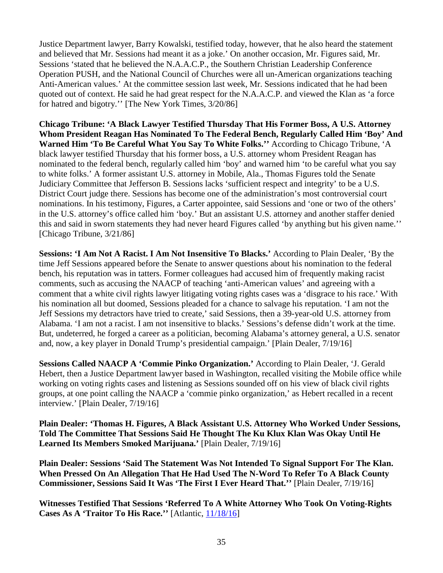Justice Department lawyer, Barry Kowalski, testified today, however, that he also heard the statement and believed that Mr. Sessions had meant it as a joke.' On another occasion, Mr. Figures said, Mr. Sessions 'stated that he believed the N.A.A.C.P., the Southern Christian Leadership Conference Operation PUSH, and the National Council of Churches were all un-American organizations teaching Anti-American values.' At the committee session last week, Mr. Sessions indicated that he had been quoted out of context. He said he had great respect for the N.A.A.C.P. and viewed the Klan as 'a force for hatred and bigotry.'' [The New York Times, 3/20/86]

**Chicago Tribune: 'A Black Lawyer Testified Thursday That His Former Boss, A U.S. Attorney Whom President Reagan Has Nominated To The Federal Bench, Regularly Called Him 'Boy' And Warned Him 'To Be Careful What You Say To White Folks.''** According to Chicago Tribune, 'A black lawyer testified Thursday that his former boss, a U.S. attorney whom President Reagan has nominated to the federal bench, regularly called him 'boy' and warned him 'to be careful what you say to white folks.' A former assistant U.S. attorney in Mobile, Ala., Thomas Figures told the Senate Judiciary Committee that Jefferson B. Sessions lacks 'sufficient respect and integrity' to be a U.S. District Court judge there. Sessions has become one of the administration's most controversial court nominations. In his testimony, Figures, a Carter appointee, said Sessions and 'one or two of the others' in the U.S. attorney's office called him 'boy.' But an assistant U.S. attorney and another staffer denied this and said in sworn statements they had never heard Figures called 'by anything but his given name.'' [Chicago Tribune, 3/21/86]

**Sessions: 'I Am Not A Racist. I Am Not Insensitive To Blacks.'** According to Plain Dealer, 'By the time Jeff Sessions appeared before the Senate to answer questions about his nomination to the federal bench, his reputation was in tatters. Former colleagues had accused him of frequently making racist comments, such as accusing the NAACP of teaching 'anti-American values' and agreeing with a comment that a white civil rights lawyer litigating voting rights cases was a 'disgrace to his race.' With his nomination all but doomed, Sessions pleaded for a chance to salvage his reputation. 'I am not the Jeff Sessions my detractors have tried to create,' said Sessions, then a 39-year-old U.S. attorney from Alabama. 'I am not a racist. I am not insensitive to blacks.' Sessions's defense didn't work at the time. But, undeterred, he forged a career as a politician, becoming Alabama's attorney general, a U.S. senator and, now, a key player in Donald Trump's presidential campaign.' [Plain Dealer, 7/19/16]

**Sessions Called NAACP A 'Commie Pinko Organization.'** According to Plain Dealer, 'J. Gerald Hebert, then a Justice Department lawyer based in Washington, recalled visiting the Mobile office while working on voting rights cases and listening as Sessions sounded off on his view of black civil rights groups, at one point calling the NAACP a 'commie pinko organization,' as Hebert recalled in a recent interview.' [Plain Dealer, 7/19/16]

**Plain Dealer: 'Thomas H. Figures, A Black Assistant U.S. Attorney Who Worked Under Sessions, Told The Committee That Sessions Said He Thought The Ku Klux Klan Was Okay Until He Learned Its Members Smoked Marijuana.'** [Plain Dealer, 7/19/16]

**Plain Dealer: Sessions 'Said The Statement Was Not Intended To Signal Support For The Klan. When Pressed On An Allegation That He Had Used The N-Word To Refer To A Black County Commissioner, Sessions Said It Was 'The First I Ever Heard That.''** [Plain Dealer, 7/19/16]

**Witnesses Testified That Sessions 'Referred To A White Attorney Who Took On Voting-Rights Cases As A 'Traitor To His Race.''** [Atlantic, [11/18/16\]](http://www.theatlantic.com/politics/archive/2016/11/trumps-pick-for-attorney-general-foreshadows-a-civil-rights-rollback/508172/)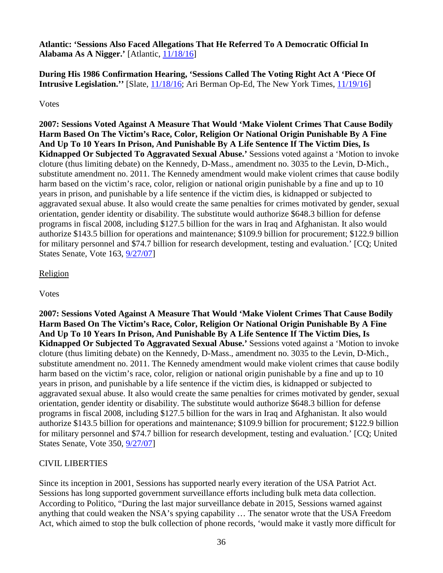**Atlantic: 'Sessions Also Faced Allegations That He Referred To A Democratic Official In Alabama As A Nigger.'** [Atlantic, [11/18/16\]](http://www.theatlantic.com/politics/archive/2016/11/trumps-pick-for-attorney-general-foreshadows-a-civil-rights-rollback/508172/)

**During His 1986 Confirmation Hearing, 'Sessions Called The Voting Right Act A 'Piece Of Intrusive Legislation.''** [Slate, [11/18/16;](http://www.slate.com/blogs/the_slatest/2016/11/18/jeff_sessions_is_trump_s_pick_for_attorney_general.html) Ari Berman Op-Ed, The New York Times, [11/19/16\]](http://www.nytimes.com/2016/11/22/opinion/voting-rights-in-the-age-of-trump.html)

## Votes

**2007: Sessions Voted Against A Measure That Would 'Make Violent Crimes That Cause Bodily Harm Based On The Victim's Race, Color, Religion Or National Origin Punishable By A Fine And Up To 10 Years In Prison, And Punishable By A Life Sentence If The Victim Dies, Is Kidnapped Or Subjected To Aggravated Sexual Abuse.'** Sessions voted against a 'Motion to invoke cloture (thus limiting debate) on the Kennedy, D-Mass., amendment no. 3035 to the Levin, D-Mich., substitute amendment no. 2011. The Kennedy amendment would make violent crimes that cause bodily harm based on the victim's race, color, religion or national origin punishable by a fine and up to 10 years in prison, and punishable by a life sentence if the victim dies, is kidnapped or subjected to aggravated sexual abuse. It also would create the same penalties for crimes motivated by gender, sexual orientation, gender identity or disability. The substitute would authorize \$648.3 billion for defense programs in fiscal 2008, including \$127.5 billion for the wars in Iraq and Afghanistan. It also would authorize \$143.5 billion for operations and maintenance; \$109.9 billion for procurement; \$122.9 billion for military personnel and \$74.7 billion for research development, testing and evaluation.' [CQ; United States Senate, Vote 163, [9/27/07\]](http://www.senate.gov/legislative/LIS/roll_call_lists/roll_call_vote_cfm.cfm?congress=110&session=1&vote=00350)

# Religion

Votes

**2007: Sessions Voted Against A Measure That Would 'Make Violent Crimes That Cause Bodily Harm Based On The Victim's Race, Color, Religion Or National Origin Punishable By A Fine And Up To 10 Years In Prison, And Punishable By A Life Sentence If The Victim Dies, Is Kidnapped Or Subjected To Aggravated Sexual Abuse.'** Sessions voted against a 'Motion to invoke cloture (thus limiting debate) on the Kennedy, D-Mass., amendment no. 3035 to the Levin, D-Mich., substitute amendment no. 2011. The Kennedy amendment would make violent crimes that cause bodily harm based on the victim's race, color, religion or national origin punishable by a fine and up to 10 years in prison, and punishable by a life sentence if the victim dies, is kidnapped or subjected to aggravated sexual abuse. It also would create the same penalties for crimes motivated by gender, sexual orientation, gender identity or disability. The substitute would authorize \$648.3 billion for defense programs in fiscal 2008, including \$127.5 billion for the wars in Iraq and Afghanistan. It also would authorize \$143.5 billion for operations and maintenance; \$109.9 billion for procurement; \$122.9 billion for military personnel and \$74.7 billion for research development, testing and evaluation.' [CQ; United States Senate, Vote 350, [9/27/07\]](http://www.senate.gov/legislative/LIS/roll_call_lists/roll_call_vote_cfm.cfm?congress=110&session=1&vote=00350)

# CIVIL LIBERTIES

Since its inception in 2001, Sessions has supported nearly every iteration of the USA Patriot Act. Sessions has long supported government surveillance efforts including bulk meta data collection. According to Politico, "During the last major surveillance debate in 2015, Sessions warned against anything that could weaken the NSA's spying capability … The senator wrote that the USA Freedom Act, which aimed to stop the bulk collection of phone records, 'would make it vastly more difficult for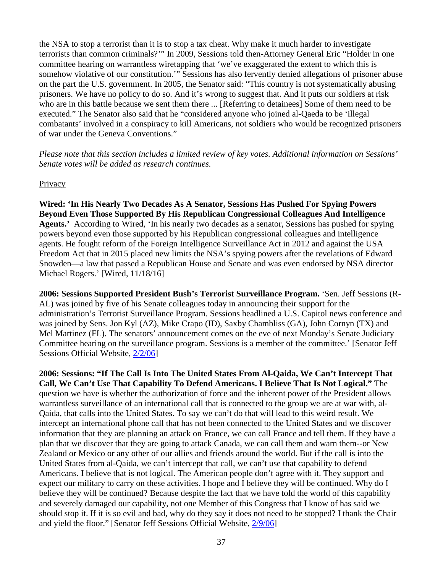the NSA to stop a terrorist than it is to stop a tax cheat. Why make it much harder to investigate terrorists than common criminals?'" In 2009, Sessions told then-Attorney General Eric "Holder in one committee hearing on warrantless wiretapping that 'we've exaggerated the extent to which this is somehow violative of our constitution.'" Sessions has also fervently denied allegations of prisoner abuse on the part the U.S. government. In 2005, the Senator said: "This country is not systematically abusing prisoners. We have no policy to do so. And it's wrong to suggest that. And it puts our soldiers at risk who are in this battle because we sent them there ... [Referring to detainees] Some of them need to be executed." The Senator also said that he "considered anyone who joined al-Qaeda to be 'illegal combatants' involved in a conspiracy to kill Americans, not soldiers who would be recognized prisoners of war under the Geneva Conventions."

*Please note that this section includes a limited review of key votes. Additional information on Sessions' Senate votes will be added as research continues.* 

## **Privacy**

**Wired: 'In His Nearly Two Decades As A Senator, Sessions Has Pushed For Spying Powers Beyond Even Those Supported By His Republican Congressional Colleagues And Intelligence Agents.'** According to Wired, 'In his nearly two decades as a senator, Sessions has pushed for spying powers beyond even those supported by his Republican congressional colleagues and intelligence agents. He fought reform of the Foreign Intelligence Surveillance Act in 2012 and against the USA Freedom Act that in 2015 placed new limits the NSA's spying powers after the revelations of Edward Snowden—a law that passed a Republican House and Senate and was even endorsed by NSA director Michael Rogers.' [Wired, 11/18/16]

**2006: Sessions Supported President Bush's Terrorist Surveillance Program.** 'Sen. Jeff Sessions (R-AL) was joined by five of his Senate colleagues today in announcing their support for the administration's Terrorist Surveillance Program. Sessions headlined a U.S. Capitol news conference and was joined by Sens. Jon Kyl (AZ), Mike Crapo (ID), Saxby Chambliss (GA), John Cornyn (TX) and Mel Martinez (FL). The senators' announcement comes on the eve of next Monday's Senate Judiciary Committee hearing on the surveillance program. Sessions is a member of the committee.' [Senator Jeff Sessions Official Website, [2/2/06\]](http://www.sessions.senate.gov/public/index.cfm/news-releases?ID=19703cdb-f1bb-2f89-a5f2-b1d76c5cc917)

**2006: Sessions: "If The Call Is Into The United States From Al-Qaida, We Can't Intercept That Call, We Can't Use That Capability To Defend Americans. I Believe That Is Not Logical."** The question we have is whether the authorization of force and the inherent power of the President allows warrantless surveillance of an international call that is connected to the group we are at war with, al-Qaida, that calls into the United States. To say we can't do that will lead to this weird result. We intercept an international phone call that has not been connected to the United States and we discover information that they are planning an attack on France, we can call France and tell them. If they have a plan that we discover that they are going to attack Canada, we can call them and warn them--or New Zealand or Mexico or any other of our allies and friends around the world. But if the call is into the United States from al-Qaida, we can't intercept that call, we can't use that capability to defend Americans. I believe that is not logical. The American people don't agree with it. They support and expect our military to carry on these activities. I hope and I believe they will be continued. Why do I believe they will be continued? Because despite the fact that we have told the world of this capability and severely damaged our capability, not one Member of this Congress that I know of has said we should stop it. If it is so evil and bad, why do they say it does not need to be stopped? I thank the Chair and yield the floor." [Senator Jeff Sessions Official Website, [2/9/06\]](http://www.sessions.senate.gov/public/index.cfm/floor-statements?ID=EF3CCEDF-7E9C-9AF9-78BD-0CA9C83CC728)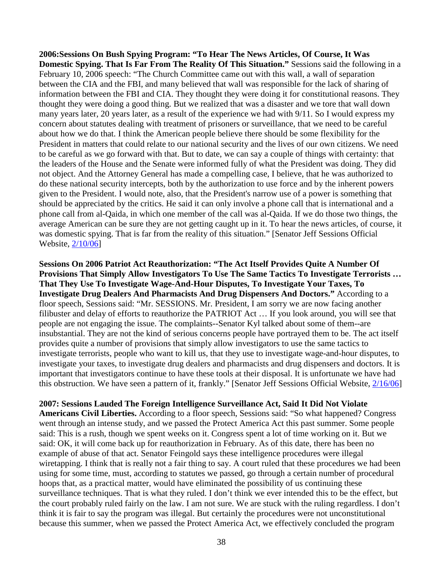**2006:Sessions On Bush Spying Program: "To Hear The News Articles, Of Course, It Was Domestic Spying. That Is Far From The Reality Of This Situation."** Sessions said the following in a February 10, 2006 speech: "The Church Committee came out with this wall, a wall of separation between the CIA and the FBI, and many believed that wall was responsible for the lack of sharing of information between the FBI and CIA. They thought they were doing it for constitutional reasons. They thought they were doing a good thing. But we realized that was a disaster and we tore that wall down many years later, 20 years later, as a result of the experience we had with 9/11. So I would express my concern about statutes dealing with treatment of prisoners or surveillance, that we need to be careful about how we do that. I think the American people believe there should be some flexibility for the President in matters that could relate to our national security and the lives of our own citizens. We need to be careful as we go forward with that. But to date, we can say a couple of things with certainty: that the leaders of the House and the Senate were informed fully of what the President was doing. They did not object. And the Attorney General has made a compelling case, I believe, that he was authorized to do these national security intercepts, both by the authorization to use force and by the inherent powers given to the President. I would note, also, that the President's narrow use of a power is something that should be appreciated by the critics. He said it can only involve a phone call that is international and a phone call from al-Qaida, in which one member of the call was al-Qaida. If we do those two things, the average American can be sure they are not getting caught up in it. To hear the news articles, of course, it was domestic spying. That is far from the reality of this situation." [Senator Jeff Sessions Official Website, [2/10/06\]](http://www.sessions.senate.gov/public/index.cfm/floor-statements?ID=ef3809fc-7e9c-9af9-7e52-e97a6de87faf)

**Sessions On 2006 Patriot Act Reauthorization: "The Act Itself Provides Quite A Number Of Provisions That Simply Allow Investigators To Use The Same Tactics To Investigate Terrorists … That They Use To Investigate Wage-And-Hour Disputes, To Investigate Your Taxes, To Investigate Drug Dealers And Pharmacists And Drug Dispensers And Doctors."** According to a floor speech, Sessions said: "Mr. SESSIONS. Mr. President, I am sorry we are now facing another filibuster and delay of efforts to reauthorize the PATRIOT Act … If you look around, you will see that people are not engaging the issue. The complaints--Senator Kyl talked about some of them--are insubstantial. They are not the kind of serious concerns people have portrayed them to be. The act itself provides quite a number of provisions that simply allow investigators to use the same tactics to investigate terrorists, people who want to kill us, that they use to investigate wage-and-hour disputes, to investigate your taxes, to investigate drug dealers and pharmacists and drug dispensers and doctors. It is important that investigators continue to have these tools at their disposal. It is unfortunate we have had this obstruction. We have seen a pattern of it, frankly." [Senator Jeff Sessions Official Website, [2/16/06\]](http://www.sessions.senate.gov/public/index.cfm/floor-statements?ID=EF33BA78-7E9C-9AF9-7E96-8BBD9E20F897)

**2007: Sessions Lauded The Foreign Intelligence Surveillance Act, Said It Did Not Violate** 

**Americans Civil Liberties.** According to a floor speech, Sessions said: "So what happened? Congress went through an intense study, and we passed the Protect America Act this past summer. Some people said: This is a rush, though we spent weeks on it. Congress spent a lot of time working on it. But we said: OK, it will come back up for reauthorization in February. As of this date, there has been no example of abuse of that act. Senator Feingold says these intelligence procedures were illegal wiretapping. I think that is really not a fair thing to say. A court ruled that these procedures we had been using for some time, must, according to statutes we passed, go through a certain number of procedural hoops that, as a practical matter, would have eliminated the possibility of us continuing these surveillance techniques. That is what they ruled. I don't think we ever intended this to be the effect, but the court probably ruled fairly on the law. I am not sure. We are stuck with the ruling regardless. I don't think it is fair to say the program was illegal. But certainly the procedures were not unconstitutional because this summer, when we passed the Protect America Act, we effectively concluded the program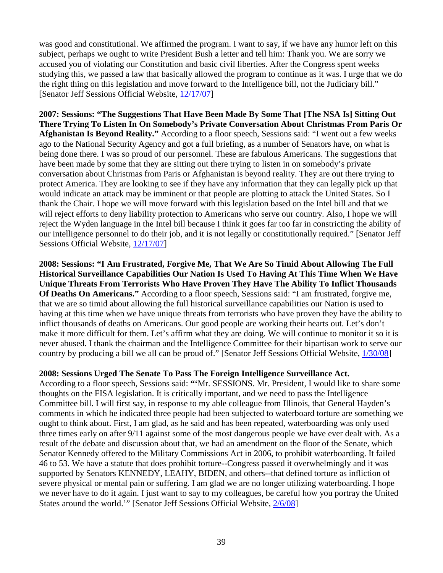was good and constitutional. We affirmed the program. I want to say, if we have any humor left on this subject, perhaps we ought to write President Bush a letter and tell him: Thank you. We are sorry we accused you of violating our Constitution and basic civil liberties. After the Congress spent weeks studying this, we passed a law that basically allowed the program to continue as it was. I urge that we do the right thing on this legislation and move forward to the Intelligence bill, not the Judiciary bill." [Senator Jeff Sessions Official Website, [12/17/07\]](http://www.sessions.senate.gov/public/index.cfm/floor-statements?ID=EE5B42B2-7E9C-9AF9-7C5B-197ADC452C75)

**2007: Sessions: "The Suggestions That Have Been Made By Some That [The NSA Is] Sitting Out There Trying To Listen In On Somebody's Private Conversation About Christmas From Paris Or Afghanistan Is Beyond Reality."** According to a floor speech, Sessions said: "I went out a few weeks ago to the National Security Agency and got a full briefing, as a number of Senators have, on what is being done there. I was so proud of our personnel. These are fabulous Americans. The suggestions that have been made by some that they are sitting out there trying to listen in on somebody's private conversation about Christmas from Paris or Afghanistan is beyond reality. They are out there trying to protect America. They are looking to see if they have any information that they can legally pick up that would indicate an attack may be imminent or that people are plotting to attack the United States. So I thank the Chair. I hope we will move forward with this legislation based on the Intel bill and that we will reject efforts to deny liability protection to Americans who serve our country. Also, I hope we will reject the Wyden language in the Intel bill because I think it goes far too far in constricting the ability of our intelligence personnel to do their job, and it is not legally or constitutionally required." [Senator Jeff Sessions Official Website, [12/17/07\]](http://www.sessions.senate.gov/public/index.cfm/floor-statements?ID=EE5BF374-7E9C-9AF9-7B18-84C7614140BA)

**2008: Sessions: "I Am Frustrated, Forgive Me, That We Are So Timid About Allowing The Full Historical Surveillance Capabilities Our Nation Is Used To Having At This Time When We Have Unique Threats From Terrorists Who Have Proven They Have The Ability To Inflict Thousands Of Deaths On Americans."** According to a floor speech, Sessions said: "I am frustrated, forgive me, that we are so timid about allowing the full historical surveillance capabilities our Nation is used to having at this time when we have unique threats from terrorists who have proven they have the ability to inflict thousands of deaths on Americans. Our good people are working their hearts out. Let's don't make it more difficult for them. Let's affirm what they are doing. We will continue to monitor it so it is never abused. I thank the chairman and the Intelligence Committee for their bipartisan work to serve our country by producing a bill we all can be proud of." [Senator Jeff Sessions Official Website, [1/30/08\]](http://www.sessions.senate.gov/public/index.cfm/floor-statements?ID=EAE1794C-DBEB-451D-97F9-A707FB4FAA22)

# **2008: Sessions Urged The Senate To Pass The Foreign Intelligence Surveillance Act.**

According to a floor speech, Sessions said: **"'**Mr. SESSIONS. Mr. President, I would like to share some thoughts on the FISA legislation. It is critically important, and we need to pass the Intelligence Committee bill. I will first say, in response to my able colleague from Illinois, that General Hayden's comments in which he indicated three people had been subjected to waterboard torture are something we ought to think about. First, I am glad, as he said and has been repeated, waterboarding was only used three times early on after 9/11 against some of the most dangerous people we have ever dealt with. As a result of the debate and discussion about that, we had an amendment on the floor of the Senate, which Senator Kennedy offered to the Military Commissions Act in 2006, to prohibit waterboarding. It failed 46 to 53. We have a statute that does prohibit torture--Congress passed it overwhelmingly and it was supported by Senators KENNEDY, LEAHY, BIDEN, and others--that defined torture as infliction of severe physical or mental pain or suffering. I am glad we are no longer utilizing waterboarding. I hope we never have to do it again. I just want to say to my colleagues, be careful how you portray the United States around the world.'" [Senator Jeff Sessions Official Website, [2/6/08\]](http://www.sessions.senate.gov/public/index.cfm/floor-statements?ID=f4a400a3-0ec8-cbc6-3377-7f65460da252)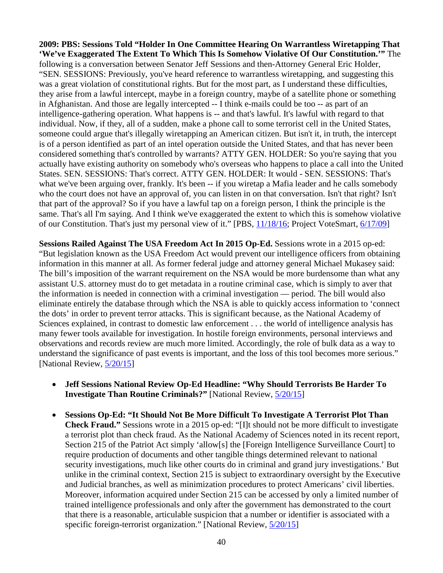**2009: PBS: Sessions Told "Holder In One Committee Hearing On Warrantless Wiretapping That 'We've Exaggerated The Extent To Which This Is Somehow Violative Of Our Constitution.'"** The following is a conversation between Senator Jeff Sessions and then-Attorney General Eric Holder, "SEN. SESSIONS: Previously, you've heard reference to warrantless wiretapping, and suggesting this was a great violation of constitutional rights. But for the most part, as I understand these difficulties, they arise from a lawful intercept, maybe in a foreign country, maybe of a satellite phone or something in Afghanistan. And those are legally intercepted -- I think e-mails could be too -- as part of an intelligence-gathering operation. What happens is -- and that's lawful. It's lawful with regard to that individual. Now, if they, all of a sudden, make a phone call to some terrorist cell in the United States, someone could argue that's illegally wiretapping an American citizen. But isn't it, in truth, the intercept is of a person identified as part of an intel operation outside the United States, and that has never been considered something that's controlled by warrants? ATTY GEN. HOLDER: So you're saying that you actually have existing authority on somebody who's overseas who happens to place a call into the United States. SEN. SESSIONS: That's correct. ATTY GEN. HOLDER: It would - SEN. SESSIONS: That's what we've been arguing over, frankly. It's been -- if you wiretap a Mafia leader and he calls somebody who the court does not have an approval of, you can listen in on that conversation. Isn't that right? Isn't that part of the approval? So if you have a lawful tap on a foreign person, I think the principle is the same. That's all I'm saying. And I think we've exaggerated the extent to which this is somehow violative of our Constitution. That's just my personal view of it." [PBS, [11/18/16;](http://www.pbs.org/newshour/rundown/trump-offers/) Project VoteSmart, 6/17/09]

**Sessions Railed Against The USA Freedom Act In 2015 Op-Ed.** Sessions wrote in a 2015 op-ed: "But legislation known as the USA Freedom Act would prevent our intelligence officers from obtaining information in this manner at all. As former federal judge and attorney general Michael Mukasey said: The bill's imposition of the warrant requirement on the NSA would be more burdensome than what any assistant U.S. attorney must do to get metadata in a routine criminal case, which is simply to aver that the information is needed in connection with a criminal investigation — period. The bill would also eliminate entirely the database through which the NSA is able to quickly access information to 'connect the dots' in order to prevent terror attacks. This is significant because, as the National Academy of Sciences explained, in contrast to domestic law enforcement . . . the world of intelligence analysis has many fewer tools available for investigation. In hostile foreign environments, personal interviews and observations and records review are much more limited. Accordingly, the role of bulk data as a way to understand the significance of past events is important, and the loss of this tool becomes more serious." [National Review, [5/20/15\]](http://www.nationalreview.com/article/418675/why-should-terrorists-be-harder-investigate-routine-criminals-jeff-sessions)

- **Jeff Sessions National Review Op-Ed Headline: "Why Should Terrorists Be Harder To Investigate Than Routine Criminals?"** [National Review, [5/20/15\]](http://www.nationalreview.com/article/418675/why-should-terrorists-be-harder-investigate-routine-criminals-jeff-sessions)
- **Sessions Op-Ed: "It Should Not Be More Difficult To Investigate A Terrorist Plot Than Check Fraud."** Sessions wrote in a 2015 op-ed: "[I]t should not be more difficult to investigate a terrorist plot than check fraud. As the National Academy of Sciences noted in its recent report, Section 215 of the Patriot Act simply 'allow[s] the [Foreign Intelligence Surveillance Court] to require production of documents and other tangible things determined relevant to national security investigations, much like other courts do in criminal and grand jury investigations.' But unlike in the criminal context, Section 215 is subject to extraordinary oversight by the Executive and Judicial branches, as well as minimization procedures to protect Americans' civil liberties. Moreover, information acquired under Section 215 can be accessed by only a limited number of trained intelligence professionals and only after the government has demonstrated to the court that there is a reasonable, articulable suspicion that a number or identifier is associated with a specific foreign-terrorist organization." [National Review,  $5/20/15$ ]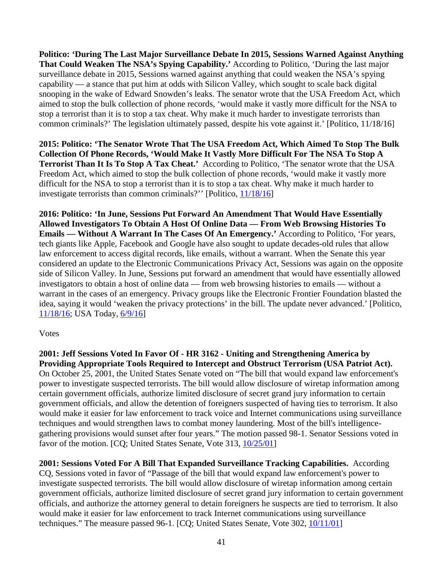**Politico: 'During The Last Major Surveillance Debate In 2015, Sessions Warned Against Anything That Could Weaken The NSA's Spying Capability.'** According to Politico, 'During the last major surveillance debate in 2015, Sessions warned against anything that could weaken the NSA's spying capability — a stance that put him at odds with Silicon Valley, which sought to scale back digital snooping in the wake of Edward Snowden's leaks. The senator wrote that the USA Freedom Act, which aimed to stop the bulk collection of phone records, 'would make it vastly more difficult for the NSA to stop a terrorist than it is to stop a tax cheat. Why make it much harder to investigate terrorists than common criminals?' The legislation ultimately passed, despite his vote against it.' [Politico, 11/18/16]

**2015: Politico: 'The Senator Wrote That The USA Freedom Act, Which Aimed To Stop The Bulk Collection Of Phone Records, 'Would Make It Vastly More Difficult For The NSA To Stop A Terrorist Than It Is To Stop A Tax Cheat.'** According to Politico, 'The senator wrote that the USA Freedom Act, which aimed to stop the bulk collection of phone records, 'would make it vastly more difficult for the NSA to stop a terrorist than it is to stop a tax cheat. Why make it much harder to investigate terrorists than common criminals?'' [Politico, [11/18/16\]](http://www.politico.com/story/2016/11/jeff-sessions-attorney-general-tech-industry-231616)

**2016: Politico: 'In June, Sessions Put Forward An Amendment That Would Have Essentially Allowed Investigators To Obtain A Host Of Online Data — From Web Browsing Histories To Emails — Without A Warrant In The Cases Of An Emergency.'** According to Politico, 'For years, tech giants like Apple, Facebook and Google have also sought to update decades-old rules that allow law enforcement to access digital records, like emails, without a warrant. When the Senate this year considered an update to the Electronic Communications Privacy Act, Sessions was again on the opposite side of Silicon Valley. In June, Sessions put forward an amendment that would have essentially allowed investigators to obtain a host of online data — from web browsing histories to emails — without a warrant in the cases of an emergency. Privacy groups like the Electronic Frontier Foundation blasted the idea, saying it would 'weaken the privacy protections' in the bill. The update never advanced.' [Politico, [11/18/16;](http://www.politico.com/story/2016/11/jeff-sessions-attorney-general-tech-industry-231616) USA Today, [6/9/16\]](http://www.usatoday.com/story/news/politics/2016/06/09/senate-derails-bill-rein-email-surveillance/85641196/)

## Votes

**2001: Jeff Sessions Voted In Favor Of - HR 3162 - Uniting and Strengthening America by Providing Appropriate Tools Required to Intercept and Obstruct Terrorism (USA Patriot Act).** On October 25, 2001, the United States Senate voted on "The bill that would expand law enforcement's power to investigate suspected terrorists. The bill would allow disclosure of wiretap information among certain government officials, authorize limited disclosure of secret grand jury information to certain government officials, and allow the detention of foreigners suspected of having ties to terrorism. It also would make it easier for law enforcement to track voice and Internet communications using surveillance techniques and would strengthen laws to combat money laundering. Most of the bill's intelligencegathering provisions would sunset after four years." The motion passed 98-1. Senator Sessions voted in favor of the motion. [CQ; United States Senate, Vote 313, [10/25/01\]](http://www.senate.gov/legislative/LIS/roll_call_lists/roll_call_vote_cfm.cfm?congress=107&session=1&vote=00313)

**2001: Sessions Voted For A Bill That Expanded Surveillance Tracking Capabilities.** According CQ, Sessions voted in favor of "Passage of the bill that would expand law enforcement's power to investigate suspected terrorists. The bill would allow disclosure of wiretap information among certain government officials, authorize limited disclosure of secret grand jury information to certain government officials, and authorize the attorney general to detain foreigners he suspects are tied to terrorism. It also would make it easier for law enforcement to track Internet communications using surveillance techniques." The measure passed 96-1. [CQ; United States Senate, Vote 302, [10/11/01\]](http://www.senate.gov/legislative/LIS/roll_call_lists/roll_call_vote_cfm.cfm?congress=107&session=1&vote=00302)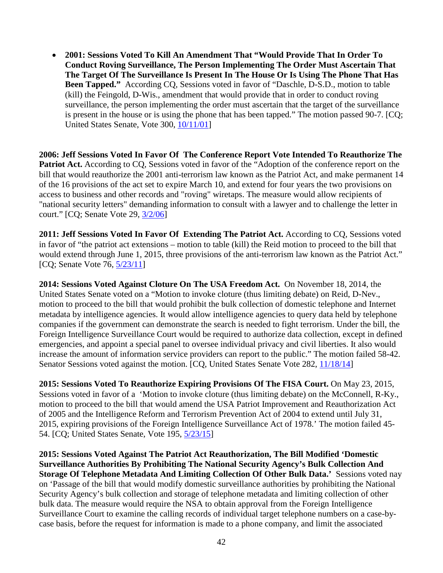• **2001: Sessions Voted To Kill An Amendment That "Would Provide That In Order To Conduct Roving Surveillance, The Person Implementing The Order Must Ascertain That The Target Of The Surveillance Is Present In The House Or Is Using The Phone That Has Been Tapped."** According CQ, Sessions voted in favor of "Daschle, D-S.D., motion to table (kill) the Feingold, D-Wis., amendment that would provide that in order to conduct roving surveillance, the person implementing the order must ascertain that the target of the surveillance is present in the house or is using the phone that has been tapped." The motion passed 90-7. [CQ; United States Senate, Vote 300, [10/11/01\]](http://www.senate.gov/legislative/LIS/roll_call_lists/roll_call_vote_cfm.cfm?congress=107&session=1&vote=00300)

**2006: Jeff Sessions Voted In Favor Of The Conference Report Vote Intended To Reauthorize The Patriot Act.** According to CO, Sessions voted in favor of the "Adoption of the conference report on the bill that would reauthorize the 2001 anti-terrorism law known as the Patriot Act, and make permanent 14 of the 16 provisions of the act set to expire March 10, and extend for four years the two provisions on access to business and other records and "roving" wiretaps. The measure would allow recipients of "national security letters" demanding information to consult with a lawyer and to challenge the letter in court." [CQ; Senate Vote 29, [3/2/06\]](http://www.senate.gov/legislative/LIS/roll_call_lists/roll_call_vote_cfm.cfm?congress=109&session=2&vote=00029)

**2011: Jeff Sessions Voted In Favor Of Extending The Patriot Act.** According to CQ, Sessions voted in favor of "the patriot act extensions – motion to table (kill) the Reid motion to proceed to the bill that would extend through June 1, 2015, three provisions of the anti-terrorism law known as the Patriot Act." [CQ; Senate Vote 76, [5/23/11\]](http://www.senate.gov/legislative/LIS/roll_call_lists/roll_call_vote_cfm.cfm?congress=112&session=1&vote=00076)

**2014: Sessions Voted Against Cloture On The USA Freedom Act.** On November 18, 2014, the United States Senate voted on a "Motion to invoke cloture (thus limiting debate) on Reid, D-Nev., motion to proceed to the bill that would prohibit the bulk collection of domestic telephone and Internet metadata by intelligence agencies. It would allow intelligence agencies to query data held by telephone companies if the government can demonstrate the search is needed to fight terrorism. Under the bill, the Foreign Intelligence Surveillance Court would be required to authorize data collection, except in defined emergencies, and appoint a special panel to oversee individual privacy and civil liberties. It also would increase the amount of information service providers can report to the public." The motion failed 58-42. Senator Sessions voted against the motion. [CQ, United States Senate Vote 282, [11/18/14\]](http://www.senate.gov/legislative/LIS/roll_call_lists/roll_call_vote_cfm.cfm?congress=113&session=2&vote=00282)

**2015: Sessions Voted To Reauthorize Expiring Provisions Of The FISA Court.** On May 23, 2015, Sessions voted in favor of a 'Motion to invoke cloture (thus limiting debate) on the McConnell, R-Ky., motion to proceed to the bill that would amend the USA Patriot Improvement and Reauthorization Act of 2005 and the Intelligence Reform and Terrorism Prevention Act of 2004 to extend until July 31, 2015, expiring provisions of the Foreign Intelligence Surveillance Act of 1978.' The motion failed 45- 54. [CQ; United States Senate, Vote 195, [5/23/15\]](http://www.senate.gov/legislative/LIS/roll_call_lists/roll_call_vote_cfm.cfm?congress=114&session=1&vote=00201)

**2015: Sessions Voted Against The Patriot Act Reauthorization, The Bill Modified 'Domestic Surveillance Authorities By Prohibiting The National Security Agency's Bulk Collection And Storage Of Telephone Metadata And Limiting Collection Of Other Bulk Data.'** Sessions voted nay on 'Passage of the bill that would modify domestic surveillance authorities by prohibiting the National Security Agency's bulk collection and storage of telephone metadata and limiting collection of other bulk data. The measure would require the NSA to obtain approval from the Foreign Intelligence Surveillance Court to examine the calling records of individual target telephone numbers on a case-bycase basis, before the request for information is made to a phone company, and limit the associated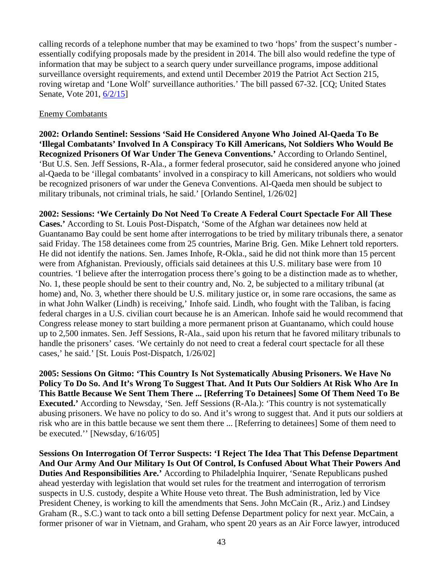calling records of a telephone number that may be examined to two 'hops' from the suspect's number essentially codifying proposals made by the president in 2014. The bill also would redefine the type of information that may be subject to a search query under surveillance programs, impose additional surveillance oversight requirements, and extend until December 2019 the Patriot Act Section 215, roving wiretap and 'Lone Wolf' surveillance authorities.' The bill passed 67-32. [CQ; United States Senate, Vote 201, [6/2/15\]](http://www.senate.gov/legislative/LIS/roll_call_lists/roll_call_vote_cfm.cfm?congress=114&session=1&vote=00201)

## Enemy Combatants

**2002: Orlando Sentinel: Sessions 'Said He Considered Anyone Who Joined Al-Qaeda To Be 'Illegal Combatants' Involved In A Conspiracy To Kill Americans, Not Soldiers Who Would Be Recognized Prisoners Of War Under The Geneva Conventions.'** According to Orlando Sentinel, 'But U.S. Sen. Jeff Sessions, R-Ala., a former federal prosecutor, said he considered anyone who joined al-Qaeda to be 'illegal combatants' involved in a conspiracy to kill Americans, not soldiers who would be recognized prisoners of war under the Geneva Conventions. Al-Qaeda men should be subject to military tribunals, not criminal trials, he said.' [Orlando Sentinel, 1/26/02]

**2002: Sessions: 'We Certainly Do Not Need To Create A Federal Court Spectacle For All These Cases.'** According to St. Louis Post-Dispatch, 'Some of the Afghan war detainees now held at Guantanamo Bay could be sent home after interrogations to be tried by military tribunals there, a senator said Friday. The 158 detainees come from 25 countries, Marine Brig. Gen. Mike Lehnert told reporters. He did not identify the nations. Sen. James Inhofe, R-Okla., said he did not think more than 15 percent were from Afghanistan. Previously, officials said detainees at this U.S. military base were from 10 countries. 'I believe after the interrogation process there's going to be a distinction made as to whether, No. 1, these people should be sent to their country and, No. 2, be subjected to a military tribunal (at home) and, No. 3, whether there should be U.S. military justice or, in some rare occasions, the same as in what John Walker (Lindh) is receiving,' Inhofe said. Lindh, who fought with the Taliban, is facing federal charges in a U.S. civilian court because he is an American. Inhofe said he would recommend that Congress release money to start building a more permanent prison at Guantanamo, which could house up to 2,500 inmates. Sen. Jeff Sessions, R-Ala., said upon his return that he favored military tribunals to handle the prisoners' cases. 'We certainly do not need to creat a federal court spectacle for all these cases,' he said.' [St. Louis Post-Dispatch, 1/26/02]

**2005: Sessions On Gitmo: 'This Country Is Not Systematically Abusing Prisoners. We Have No Policy To Do So. And It's Wrong To Suggest That. And It Puts Our Soldiers At Risk Who Are In This Battle Because We Sent Them There ... [Referring To Detainees] Some Of Them Need To Be Executed.'** According to Newsday, 'Sen. Jeff Sessions (R-Ala.): 'This country is not systematically abusing prisoners. We have no policy to do so. And it's wrong to suggest that. And it puts our soldiers at risk who are in this battle because we sent them there ... [Referring to detainees] Some of them need to be executed.'' [Newsday, 6/16/05]

**Sessions On Interrogation Of Terror Suspects: 'I Reject The Idea That This Defense Department And Our Army And Our Military Is Out Of Control, Is Confused About What Their Powers And Duties And Responsibilities Are.'** According to Philadelphia Inquirer, 'Senate Republicans pushed ahead yesterday with legislation that would set rules for the treatment and interrogation of terrorism suspects in U.S. custody, despite a White House veto threat. The Bush administration, led by Vice President Cheney, is working to kill the amendments that Sens. John McCain (R., Ariz.) and Lindsey Graham (R., S.C.) want to tack onto a bill setting Defense Department policy for next year. McCain, a former prisoner of war in Vietnam, and Graham, who spent 20 years as an Air Force lawyer, introduced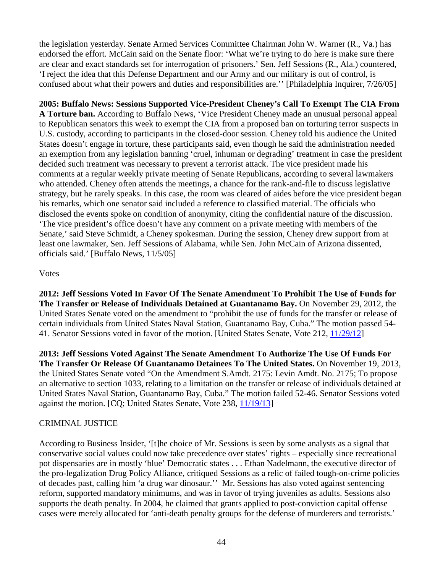the legislation yesterday. Senate Armed Services Committee Chairman John W. Warner (R., Va.) has endorsed the effort. McCain said on the Senate floor: 'What we're trying to do here is make sure there are clear and exact standards set for interrogation of prisoners.' Sen. Jeff Sessions (R., Ala.) countered, 'I reject the idea that this Defense Department and our Army and our military is out of control, is confused about what their powers and duties and responsibilities are.'' [Philadelphia Inquirer, 7/26/05]

**2005: Buffalo News: Sessions Supported Vice-President Cheney's Call To Exempt The CIA From A Torture ban.** According to Buffalo News, 'Vice President Cheney made an unusual personal appeal to Republican senators this week to exempt the CIA from a proposed ban on torturing terror suspects in U.S. custody, according to participants in the closed-door session. Cheney told his audience the United States doesn't engage in torture, these participants said, even though he said the administration needed an exemption from any legislation banning 'cruel, inhuman or degrading' treatment in case the president decided such treatment was necessary to prevent a terrorist attack. The vice president made his comments at a regular weekly private meeting of Senate Republicans, according to several lawmakers who attended. Cheney often attends the meetings, a chance for the rank-and-file to discuss legislative strategy, but he rarely speaks. In this case, the room was cleared of aides before the vice president began his remarks, which one senator said included a reference to classified material. The officials who disclosed the events spoke on condition of anonymity, citing the confidential nature of the discussion. 'The vice president's office doesn't have any comment on a private meeting with members of the Senate,' said Steve Schmidt, a Cheney spokesman. During the session, Cheney drew support from at least one lawmaker, Sen. Jeff Sessions of Alabama, while Sen. John McCain of Arizona dissented, officials said.' [Buffalo News, 11/5/05]

# Votes

**2012: Jeff Sessions Voted In Favor Of The Senate Amendment To Prohibit The Use of Funds for The Transfer or Release of Individuals Detained at Guantanamo Bay.** On November 29, 2012, the United States Senate voted on the amendment to "prohibit the use of funds for the transfer or release of certain individuals from United States Naval Station, Guantanamo Bay, Cuba." The motion passed 54- 41. Senator Sessions voted in favor of the motion. [United States Senate, Vote 212, [11/29/12\]](http://www.senate.gov/legislative/LIS/roll_call_lists/roll_call_vote_cfm.cfm?congress=112&session=2&vote=00212)

**2013: Jeff Sessions Voted Against The Senate Amendment To Authorize The Use Of Funds For The Transfer Or Release Of Guantanamo Detainees To The United States.** On November 19, 2013, the United States Senate voted "On the Amendment S.Amdt. 2175: Levin Amdt. No. 2175; To propose an alternative to section 1033, relating to a limitation on the transfer or release of individuals detained at United States Naval Station, Guantanamo Bay, Cuba." The motion failed 52-46. Senator Sessions voted against the motion. [CQ; United States Senate, Vote 238, [11/19/13\]](http://www.senate.gov/legislative/LIS/roll_call_lists/roll_call_vote_cfm.cfm?congress=113&session=1&vote=00238)

# CRIMINAL JUSTICE

According to Business Insider, '[t]he choice of Mr. Sessions is seen by some analysts as a signal that conservative social values could now take precedence over states' rights – especially since recreational pot dispensaries are in mostly 'blue' Democratic states . . . Ethan Nadelmann, the executive director of the pro-legalization Drug Policy Alliance, critiqued Sessions as a relic of failed tough-on-crime policies of decades past, calling him 'a drug war dinosaur.'' Mr. Sessions has also voted against sentencing reform, supported mandatory minimums, and was in favor of trying juveniles as adults. Sessions also supports the death penalty. In 2004, he claimed that grants applied to post-conviction capital offense cases were merely allocated for 'anti-death penalty groups for the defense of murderers and terrorists.'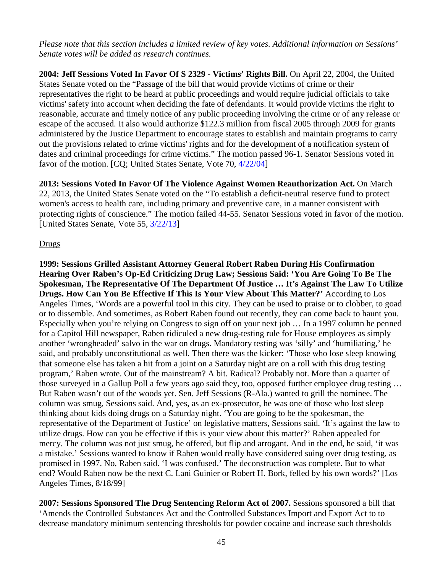*Please note that this section includes a limited review of key votes. Additional information on Sessions' Senate votes will be added as research continues.* 

**2004: Jeff Sessions Voted In Favor Of S 2329 - Victims' Rights Bill.** On April 22, 2004, the United States Senate voted on the "Passage of the bill that would provide victims of crime or their representatives the right to be heard at public proceedings and would require judicial officials to take victims' safety into account when deciding the fate of defendants. It would provide victims the right to reasonable, accurate and timely notice of any public proceeding involving the crime or of any release or escape of the accused. It also would authorize \$122.3 million from fiscal 2005 through 2009 for grants administered by the Justice Department to encourage states to establish and maintain programs to carry out the provisions related to crime victims' rights and for the development of a notification system of dates and criminal proceedings for crime victims." The motion passed 96-1. Senator Sessions voted in favor of the motion. [CQ; United States Senate, Vote 70, [4/22/04\]](http://www.senate.gov/legislative/LIS/roll_call_lists/roll_call_vote_cfm.cfm?congress=108&session=2&vote=00070)

**2013: Sessions Voted In Favor Of The Violence Against Women Reauthorization Act.** On March 22, 2013, the United States Senate voted on the "To establish a deficit-neutral reserve fund to protect women's access to health care, including primary and preventive care, in a manner consistent with protecting rights of conscience." The motion failed 44-55. Senator Sessions voted in favor of the motion. [United States Senate, Vote 55,  $\frac{3}{22/13}$ ]

# Drugs

**1999: Sessions Grilled Assistant Attorney General Robert Raben During His Confirmation Hearing Over Raben's Op-Ed Criticizing Drug Law; Sessions Said: 'You Are Going To Be The Spokesman, The Representative Of The Department Of Justice … It's Against The Law To Utilize Drugs. How Can You Be Effective If This Is Your View About This Matter?'** According to Los Angeles Times, 'Words are a powerful tool in this city. They can be used to praise or to clobber, to goad or to dissemble. And sometimes, as Robert Raben found out recently, they can come back to haunt you. Especially when you're relying on Congress to sign off on your next job … In a 1997 column he penned for a Capitol Hill newspaper, Raben ridiculed a new drug-testing rule for House employees as simply another 'wrongheaded' salvo in the war on drugs. Mandatory testing was 'silly' and 'humiliating,' he said, and probably unconstitutional as well. Then there was the kicker: 'Those who lose sleep knowing that someone else has taken a hit from a joint on a Saturday night are on a roll with this drug testing program,' Raben wrote. Out of the mainstream? A bit. Radical? Probably not. More than a quarter of those surveyed in a Gallup Poll a few years ago said they, too, opposed further employee drug testing … But Raben wasn't out of the woods yet. Sen. Jeff Sessions (R-Ala.) wanted to grill the nominee. The column was smug, Sessions said. And, yes, as an ex-prosecutor, he was one of those who lost sleep thinking about kids doing drugs on a Saturday night. 'You are going to be the spokesman, the representative of the Department of Justice' on legislative matters, Sessions said. 'It's against the law to utilize drugs. How can you be effective if this is your view about this matter?' Raben appealed for mercy. The column was not just smug, he offered, but flip and arrogant. And in the end, he said, 'it was a mistake.' Sessions wanted to know if Raben would really have considered suing over drug testing, as promised in 1997. No, Raben said. 'I was confused.' The deconstruction was complete. But to what end? Would Raben now be the next C. Lani Guinier or Robert H. Bork, felled by his own words?' [Los Angeles Times, 8/18/99]

**2007: Sessions Sponsored The Drug Sentencing Reform Act of 2007.** Sessions sponsored a bill that 'Amends the Controlled Substances Act and the Controlled Substances Import and Export Act to to decrease mandatory minimum sentencing thresholds for powder cocaine and increase such thresholds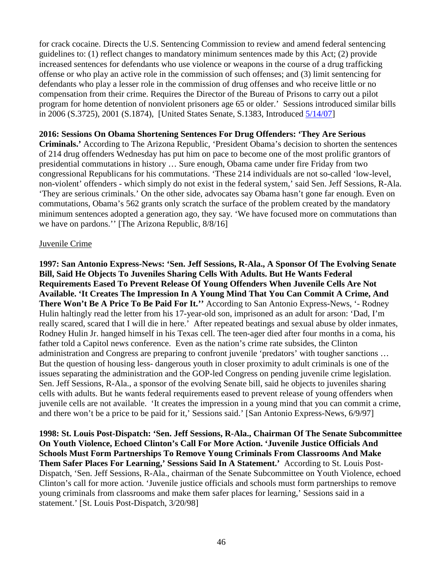for crack cocaine. Directs the U.S. Sentencing Commission to review and amend federal sentencing guidelines to: (1) reflect changes to mandatory minimum sentences made by this Act; (2) provide increased sentences for defendants who use violence or weapons in the course of a drug trafficking offense or who play an active role in the commission of such offenses; and (3) limit sentencing for defendants who play a lesser role in the commission of drug offenses and who receive little or no compensation from their crime. Requires the Director of the Bureau of Prisons to carry out a pilot program for home detention of nonviolent prisoners age 65 or older.' Sessions introduced similar bills in 2006 (S.3725), 2001 (S.1874), [United States Senate, S.1383, Introduced [5/14/07\]](https://www.congress.gov/bill/110th-congress/senate-bill/1383?q=%7B%22search%22%3A%5B%22Jeff+SEssions%22%5D%7D)

#### **2016: Sessions On Obama Shortening Sentences For Drug Offenders: 'They Are Serious**

**Criminals.'** According to The Arizona Republic, 'President Obama's decision to shorten the sentences of 214 drug offenders Wednesday has put him on pace to become one of the most prolific grantors of presidential commutations in history … Sure enough, Obama came under fire Friday from two congressional Republicans for his commutations. 'These 214 individuals are not so-called 'low-level, non-violent' offenders - which simply do not exist in the federal system,' said Sen. Jeff Sessions, R-Ala. 'They are serious criminals.' On the other side, advocates say Obama hasn't gone far enough. Even on commutations, Obama's 562 grants only scratch the surface of the problem created by the mandatory minimum sentences adopted a generation ago, they say. 'We have focused more on commutations than we have on pardons.'' [The Arizona Republic, 8/8/16]

#### Juvenile Crime

**1997: San Antonio Express-News: 'Sen. Jeff Sessions, R-Ala., A Sponsor Of The Evolving Senate Bill, Said He Objects To Juveniles Sharing Cells With Adults. But He Wants Federal Requirements Eased To Prevent Release Of Young Offenders When Juvenile Cells Are Not Available. 'It Creates The Impression In A Young Mind That You Can Commit A Crime, And There Won't Be A Price To Be Paid For It.''** According to San Antonio Express-News, '- Rodney Hulin haltingly read the letter from his 17-year-old son, imprisoned as an adult for arson: 'Dad, I'm really scared, scared that I will die in here.' After repeated beatings and sexual abuse by older inmates, Rodney Hulin Jr. hanged himself in his Texas cell. The teen-ager died after four months in a coma, his father told a Capitol news conference. Even as the nation's crime rate subsides, the Clinton administration and Congress are preparing to confront juvenile 'predators' with tougher sanctions … But the question of housing less- dangerous youth in closer proximity to adult criminals is one of the issues separating the administration and the GOP-led Congress on pending juvenile crime legislation. Sen. Jeff Sessions, R-Ala., a sponsor of the evolving Senate bill, said he objects to juveniles sharing cells with adults. But he wants federal requirements eased to prevent release of young offenders when juvenile cells are not available. 'It creates the impression in a young mind that you can commit a crime, and there won't be a price to be paid for it,' Sessions said.' [San Antonio Express-News, 6/9/97]

**1998: St. Louis Post-Dispatch: 'Sen. Jeff Sessions, R-Ala., Chairman Of The Senate Subcommittee On Youth Violence, Echoed Clinton's Call For More Action. 'Juvenile Justice Officials And Schools Must Form Partnerships To Remove Young Criminals From Classrooms And Make Them Safer Places For Learning,' Sessions Said In A Statement.'** According to St. Louis Post-Dispatch, 'Sen. Jeff Sessions, R-Ala., chairman of the Senate Subcommittee on Youth Violence, echoed Clinton's call for more action. 'Juvenile justice officials and schools must form partnerships to remove young criminals from classrooms and make them safer places for learning,' Sessions said in a statement.' [St. Louis Post-Dispatch, 3/20/98]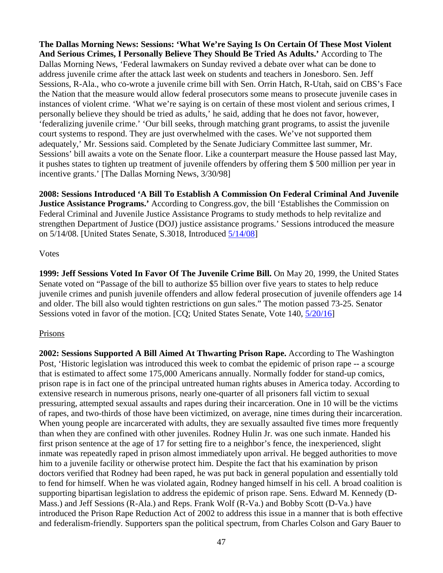**The Dallas Morning News: Sessions: 'What We're Saying Is On Certain Of These Most Violent And Serious Crimes, I Personally Believe They Should Be Tried As Adults.'** According to The Dallas Morning News, 'Federal lawmakers on Sunday revived a debate over what can be done to address juvenile crime after the attack last week on students and teachers in Jonesboro. Sen. Jeff Sessions, R-Ala., who co-wrote a juvenile crime bill with Sen. Orrin Hatch, R-Utah, said on CBS's Face the Nation that the measure would allow federal prosecutors some means to prosecute juvenile cases in instances of violent crime. 'What we're saying is on certain of these most violent and serious crimes, I personally believe they should be tried as adults,' he said, adding that he does not favor, however, 'federalizing juvenile crime.' 'Our bill seeks, through matching grant programs, to assist the juvenile court systems to respond. They are just overwhelmed with the cases. We've not supported them adequately,' Mr. Sessions said. Completed by the Senate Judiciary Committee last summer, Mr. Sessions' bill awaits a vote on the Senate floor. Like a counterpart measure the House passed last May, it pushes states to tighten up treatment of juvenile offenders by offering them \$ 500 million per year in incentive grants.' [The Dallas Morning News, 3/30/98]

**2008: Sessions Introduced 'A Bill To Establish A Commission On Federal Criminal And Juvenile Justice Assistance Programs.'** According to Congress.gov, the bill 'Establishes the Commission on Federal Criminal and Juvenile Justice Assistance Programs to study methods to help revitalize and strengthen Department of Justice (DOJ) justice assistance programs.' Sessions introduced the measure on 5/14/08. [United States Senate, S.3018, Introduced [5/14/08\]](https://www.congress.gov/bill/110th-congress/senate-bill/3018?q=%7B%22search%22%3A%5B%22Jeff+SEssions%22%5D%7D)

## Votes

**1999: Jeff Sessions Voted In Favor Of The Juvenile Crime Bill.** On May 20, 1999, the United States Senate voted on "Passage of the bill to authorize \$5 billion over five years to states to help reduce juvenile crimes and punish juvenile offenders and allow federal prosecution of juvenile offenders age 14 and older. The bill also would tighten restrictions on gun sales." The motion passed 73-25. Senator Sessions voted in favor of the motion. [CQ; United States Senate, Vote 140, [5/20/16\]](http://www.senate.gov/legislative/LIS/roll_call_lists/roll_call_vote_cfm.cfm?congress=106&session=1&vote=00140)

# **Prisons**

**2002: Sessions Supported A Bill Aimed At Thwarting Prison Rape.** According to The Washington Post, 'Historic legislation was introduced this week to combat the epidemic of prison rape -- a scourge that is estimated to affect some 175,000 Americans annually. Normally fodder for stand-up comics, prison rape is in fact one of the principal untreated human rights abuses in America today. According to extensive research in numerous prisons, nearly one-quarter of all prisoners fall victim to sexual pressuring, attempted sexual assaults and rapes during their incarceration. One in 10 will be the victims of rapes, and two-thirds of those have been victimized, on average, nine times during their incarceration. When young people are incarcerated with adults, they are sexually assaulted five times more frequently than when they are confined with other juveniles. Rodney Hulin Jr. was one such inmate. Handed his first prison sentence at the age of 17 for setting fire to a neighbor's fence, the inexperienced, slight inmate was repeatedly raped in prison almost immediately upon arrival. He begged authorities to move him to a juvenile facility or otherwise protect him. Despite the fact that his examination by prison doctors verified that Rodney had been raped, he was put back in general population and essentially told to fend for himself. When he was violated again, Rodney hanged himself in his cell. A broad coalition is supporting bipartisan legislation to address the epidemic of prison rape. Sens. Edward M. Kennedy (D-Mass.) and Jeff Sessions (R-Ala.) and Reps. Frank Wolf (R-Va.) and Bobby Scott (D-Va.) have introduced the Prison Rape Reduction Act of 2002 to address this issue in a manner that is both effective and federalism-friendly. Supporters span the political spectrum, from Charles Colson and Gary Bauer to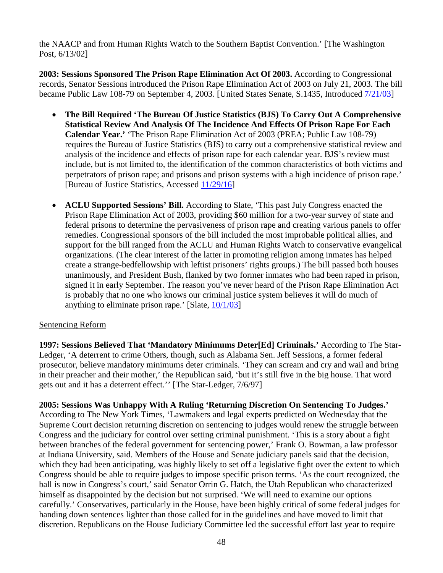the NAACP and from Human Rights Watch to the Southern Baptist Convention.' [The Washington Post, 6/13/02]

**2003: Sessions Sponsored The Prison Rape Elimination Act Of 2003.** According to Congressional records, Senator Sessions introduced the Prison Rape Elimination Act of 2003 on July 21, 2003. The bill became Public Law 108-79 on September 4, 2003. [United States Senate, S.1435, Introduced [7/21/03\]](https://www.congress.gov/bill/108th-congress/senate-bill/1435)

- **The Bill Required 'The Bureau Of Justice Statistics (BJS) To Carry Out A Comprehensive Statistical Review And Analysis Of The Incidence And Effects Of Prison Rape For Each Calendar Year.'** 'The Prison Rape Elimination Act of 2003 (PREA; Public Law 108-79) requires the Bureau of Justice Statistics (BJS) to carry out a comprehensive statistical review and analysis of the incidence and effects of prison rape for each calendar year. BJS's review must include, but is not limited to, the identification of the common characteristics of both victims and perpetrators of prison rape; and prisons and prison systems with a high incidence of prison rape.' [Bureau of Justice Statistics, Accessed [11/29/16\]](http://www.bjs.gov/index.cfm?ty=tp&tid=20)
- **ACLU Supported Sessions' Bill.** According to Slate, 'This past July Congress enacted the Prison Rape Elimination Act of 2003, providing \$60 million for a two-year survey of state and federal prisons to determine the pervasiveness of prison rape and creating various panels to offer remedies. Congressional sponsors of the bill included the most improbable political allies, and support for the bill ranged from the ACLU and Human Rights Watch to conservative evangelical organizations. (The clear interest of the latter in promoting religion among inmates has helped create a strange-bedfellowship with leftist prisoners' rights groups.) The bill passed both houses unanimously, and President Bush, flanked by two former inmates who had been raped in prison, signed it in early September. The reason you've never heard of the Prison Rape Elimination Act is probably that no one who knows our criminal justice system believes it will do much of anything to eliminate prison rape.' [Slate,  $10/1/03$ ]

# Sentencing Reform

**1997: Sessions Believed That 'Mandatory Minimums Deter[Ed] Criminals.'** According to The Star-Ledger, 'A deterrent to crime Others, though, such as Alabama Sen. Jeff Sessions, a former federal prosecutor, believe mandatory minimums deter criminals. 'They can scream and cry and wail and bring in their preacher and their mother,' the Republican said, 'but it's still five in the big house. That word gets out and it has a deterrent effect.'' [The Star-Ledger, 7/6/97]

**2005: Sessions Was Unhappy With A Ruling 'Returning Discretion On Sentencing To Judges.'** According to The New York Times, 'Lawmakers and legal experts predicted on Wednesday that the Supreme Court decision returning discretion on sentencing to judges would renew the struggle between Congress and the judiciary for control over setting criminal punishment. 'This is a story about a fight between branches of the federal government for sentencing power,' Frank O. Bowman, a law professor at Indiana University, said. Members of the House and Senate judiciary panels said that the decision, which they had been anticipating, was highly likely to set off a legislative fight over the extent to which Congress should be able to require judges to impose specific prison terms. 'As the court recognized, the ball is now in Congress's court,' said Senator Orrin G. Hatch, the Utah Republican who characterized himself as disappointed by the decision but not surprised. 'We will need to examine our options carefully.' Conservatives, particularly in the House, have been highly critical of some federal judges for handing down sentences lighter than those called for in the guidelines and have moved to limit that discretion. Republicans on the House Judiciary Committee led the successful effort last year to require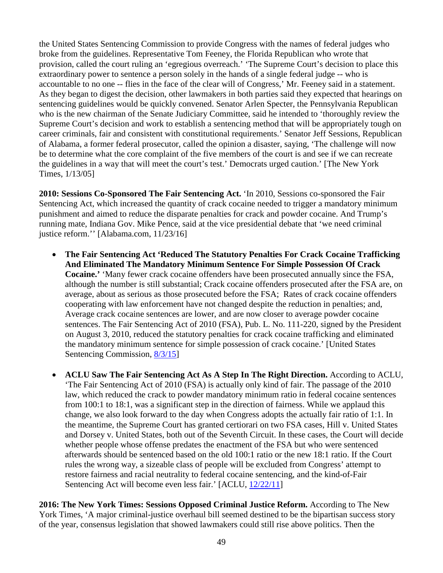the United States Sentencing Commission to provide Congress with the names of federal judges who broke from the guidelines. Representative Tom Feeney, the Florida Republican who wrote that provision, called the court ruling an 'egregious overreach.' 'The Supreme Court's decision to place this extraordinary power to sentence a person solely in the hands of a single federal judge -- who is accountable to no one -- flies in the face of the clear will of Congress,' Mr. Feeney said in a statement. As they began to digest the decision, other lawmakers in both parties said they expected that hearings on sentencing guidelines would be quickly convened. Senator Arlen Specter, the Pennsylvania Republican who is the new chairman of the Senate Judiciary Committee, said he intended to 'thoroughly review the Supreme Court's decision and work to establish a sentencing method that will be appropriately tough on career criminals, fair and consistent with constitutional requirements.' Senator Jeff Sessions, Republican of Alabama, a former federal prosecutor, called the opinion a disaster, saying, 'The challenge will now be to determine what the core complaint of the five members of the court is and see if we can recreate the guidelines in a way that will meet the court's test.' Democrats urged caution.' [The New York Times, 1/13/05]

**2010: Sessions Co-Sponsored The Fair Sentencing Act.** 'In 2010, Sessions co-sponsored the Fair Sentencing Act, which increased the quantity of crack cocaine needed to trigger a mandatory minimum punishment and aimed to reduce the disparate penalties for crack and powder cocaine. And Trump's running mate, Indiana Gov. Mike Pence, said at the vice presidential debate that 'we need criminal justice reform.'' [Alabama.com, 11/23/16]

- **The Fair Sentencing Act 'Reduced The Statutory Penalties For Crack Cocaine Trafficking And Eliminated The Mandatory Minimum Sentence For Simple Possession Of Crack Cocaine.'** 'Many fewer crack cocaine offenders have been prosecuted annually since the FSA, although the number is still substantial; Crack cocaine offenders prosecuted after the FSA are, on average, about as serious as those prosecuted before the FSA; Rates of crack cocaine offenders cooperating with law enforcement have not changed despite the reduction in penalties; and, Average crack cocaine sentences are lower, and are now closer to average powder cocaine sentences. The Fair Sentencing Act of 2010 (FSA), Pub. L. No. 111-220, signed by the President on August 3, 2010, reduced the statutory penalties for crack cocaine trafficking and eliminated the mandatory minimum sentence for simple possession of crack cocaine.' [United States Sentencing Commission,  $\frac{8}{3}$
- **ACLU Saw The Fair Sentencing Act As A Step In The Right Direction.** According to ACLU, 'The Fair Sentencing Act of 2010 (FSA) is actually only kind of fair. The passage of the 2010 law, which reduced the crack to powder mandatory minimum ratio in federal cocaine sentences from 100:1 to 18:1, was a significant step in the direction of fairness. While we applaud this change, we also look forward to the day when Congress adopts the actually fair ratio of 1:1. In the meantime, the Supreme Court has granted certiorari on two FSA cases, Hill v. United States and Dorsey v. United States, both out of the Seventh Circuit. In these cases, the Court will decide whether people whose offense predates the enactment of the FSA but who were sentenced afterwards should be sentenced based on the old 100:1 ratio or the new 18:1 ratio. If the Court rules the wrong way, a sizeable class of people will be excluded from Congress' attempt to restore fairness and racial neutrality to federal cocaine sentencing, and the kind-of-Fair Sentencing Act will become even less fair.' [ACLU,  $12/22/11$ ]

**2016: The New York Times: Sessions Opposed Criminal Justice Reform.** According to The New York Times, 'A major criminal-justice overhaul bill seemed destined to be the bipartisan success story of the year, consensus legislation that showed lawmakers could still rise above politics. Then the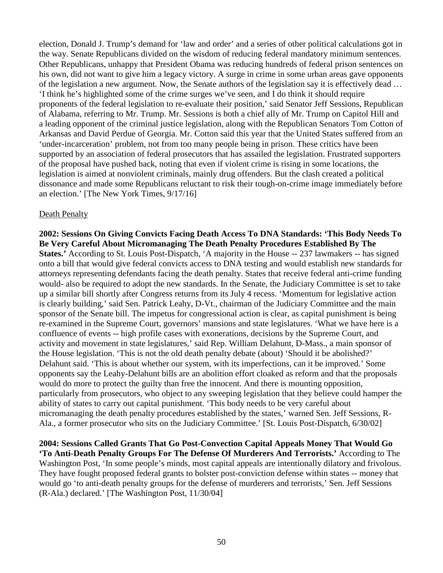election, Donald J. Trump's demand for 'law and order' and a series of other political calculations got in the way. Senate Republicans divided on the wisdom of reducing federal mandatory minimum sentences. Other Republicans, unhappy that President Obama was reducing hundreds of federal prison sentences on his own, did not want to give him a legacy victory. A surge in crime in some urban areas gave opponents of the legislation a new argument. Now, the Senate authors of the legislation say it is effectively dead … 'I think he's highlighted some of the crime surges we've seen, and I do think it should require proponents of the federal legislation to re-evaluate their position,' said Senator Jeff Sessions, Republican of Alabama, referring to Mr. Trump. Mr. Sessions is both a chief ally of Mr. Trump on Capitol Hill and a leading opponent of the criminal justice legislation, along with the Republican Senators Tom Cotton of Arkansas and David Perdue of Georgia. Mr. Cotton said this year that the United States suffered from an 'under-incarceration' problem, not from too many people being in prison. These critics have been supported by an association of federal prosecutors that has assailed the legislation. Frustrated supporters of the proposal have pushed back, noting that even if violent crime is rising in some locations, the legislation is aimed at nonviolent criminals, mainly drug offenders. But the clash created a political dissonance and made some Republicans reluctant to risk their tough-on-crime image immediately before an election.' [The New York Times, 9/17/16]

## Death Penalty

**2002: Sessions On Giving Convicts Facing Death Access To DNA Standards: 'This Body Needs To Be Very Careful About Micromanaging The Death Penalty Procedures Established By The States.'** According to St. Louis Post-Dispatch, 'A majority in the House -- 237 lawmakers -- has signed onto a bill that would give federal convicts access to DNA testing and would establish new standards for attorneys representing defendants facing the death penalty. States that receive federal anti-crime funding would- also be required to adopt the new standards. In the Senate, the Judiciary Committee is set to take up a similar bill shortly after Congress returns from its July 4 recess. 'Momentum for legislative action is clearly building,' said Sen. Patrick Leahy, D-Vt., chairman of the Judiciary Committee and the main sponsor of the Senate bill. The impetus for congressional action is clear, as capital punishment is being re-examined in the Supreme Court, governors' mansions and state legislatures. 'What we have here is a confluence of events -- high profile cases with exonerations, decisions by the Supreme Court, and activity and movement in state legislatures,' said Rep. William Delahunt, D-Mass., a main sponsor of the House legislation. 'This is not the old death penalty debate (about) 'Should it be abolished?' Delahunt said. 'This is about whether our system, with its imperfections, can it be improved.' Some opponents say the Leahy-Delahunt bills are an abolition effort cloaked as reform and that the proposals would do more to protect the guilty than free the innocent. And there is mounting opposition, particularly from prosecutors, who object to any sweeping legislation that they believe could hamper the ability of states to carry out capital punishment. 'This body needs to be very careful about micromanaging the death penalty procedures established by the states,' warned Sen. Jeff Sessions, R-Ala., a former prosecutor who sits on the Judiciary Committee.' [St. Louis Post-Dispatch, 6/30/02]

**2004: Sessions Called Grants That Go Post-Convection Capital Appeals Money That Would Go 'To Anti-Death Penalty Groups For The Defense Of Murderers And Terrorists.'** According to The Washington Post, 'In some people's minds, most capital appeals are intentionally dilatory and frivolous. They have fought proposed federal grants to bolster post-conviction defense within states -- money that would go 'to anti-death penalty groups for the defense of murderers and terrorists,' Sen. Jeff Sessions (R-Ala.) declared.' [The Washington Post, 11/30/04]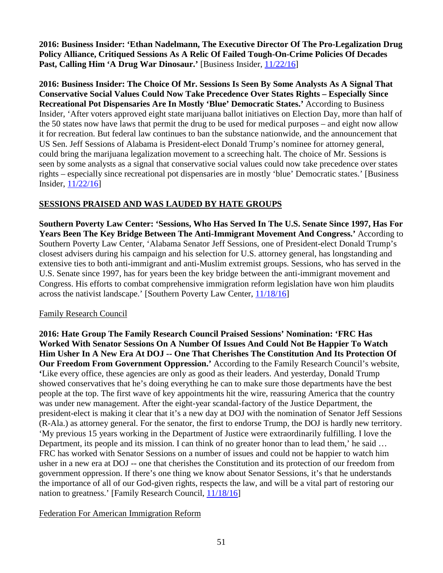**2016: Business Insider: 'Ethan Nadelmann, The Executive Director Of The Pro-Legalization Drug Policy Alliance, Critiqued Sessions As A Relic Of Failed Tough-On-Crime Policies Of Decades Past, Calling Him 'A Drug War Dinosaur.'** [Business Insider, [11/22/16\]](http://www.businessinsider.com/jeff-sessions-marijuana-legalization-drug-war-2016-11)

**2016: Business Insider: The Choice Of Mr. Sessions Is Seen By Some Analysts As A Signal That Conservative Social Values Could Now Take Precedence Over States Rights – Especially Since Recreational Pot Dispensaries Are In Mostly 'Blue' Democratic States.'** According to Business Insider, 'After voters approved eight state marijuana ballot initiatives on Election Day, more than half of the 50 states now have laws that permit the drug to be used for medical purposes – and eight now allow it for recreation. But federal law continues to ban the substance nationwide, and the announcement that US Sen. Jeff Sessions of Alabama is President-elect Donald Trump's nominee for attorney general, could bring the marijuana legalization movement to a screeching halt. The choice of Mr. Sessions is seen by some analysts as a signal that conservative social values could now take precedence over states rights – especially since recreational pot dispensaries are in mostly 'blue' Democratic states.' [Business Insider, [11/22/16\]](http://www.businessinsider.com/jeff-sessions-marijuana-legalization-drug-war-2016-11)

# **SESSIONS PRAISED AND WAS LAUDED BY HATE GROUPS**

**Southern Poverty Law Center: 'Sessions, Who Has Served In The U.S. Senate Since 1997, Has For Years Been The Key Bridge Between The Anti-Immigrant Movement And Congress.'** According to Southern Poverty Law Center, 'Alabama Senator Jeff Sessions, one of President-elect Donald Trump's closest advisers during his campaign and his selection for U.S. attorney general, has longstanding and extensive ties to both anti-immigrant and anti-Muslim extremist groups. Sessions, who has served in the U.S. Senate since 1997, has for years been the key bridge between the anti-immigrant movement and Congress. His efforts to combat comprehensive immigration reform legislation have won him plaudits across the nativist landscape.' [Southern Poverty Law Center, [11/18/16\]](https://www.splcenter.org/hatewatch/2016/11/18/jeff-sessions-champion-anti-muslim-and-anti-immigrant-extremists)

# Family Research Council

**2016: Hate Group The Family Research Council Praised Sessions' Nomination: 'FRC Has Worked With Senator Sessions On A Number Of Issues And Could Not Be Happier To Watch Him Usher In A New Era At DOJ -- One That Cherishes The Constitution And Its Protection Of Our Freedom From Government Oppression.'** According to the Family Research Council's website, **'**Like every office, these agencies are only as good as their leaders. And yesterday, Donald Trump showed conservatives that he's doing everything he can to make sure those departments have the best people at the top. The first wave of key appointments hit the wire, reassuring America that the country was under new management. After the eight-year scandal-factory of the Justice Department, the president-elect is making it clear that it's a new day at DOJ with the nomination of Senator Jeff Sessions (R-Ala.) as attorney general. For the senator, the first to endorse Trump, the DOJ is hardly new territory. 'My previous 15 years working in the Department of Justice were extraordinarily fulfilling. I love the Department, its people and its mission. I can think of no greater honor than to lead them,' he said ... FRC has worked with Senator Sessions on a number of issues and could not be happier to watch him usher in a new era at DOJ -- one that cherishes the Constitution and its protection of our freedom from government oppression. If there's one thing we know about Senator Sessions, it's that he understands the importance of all of our God-given rights, respects the law, and will be a vital part of restoring our nation to greatness.' [Family Research Council, [11/18/16\]](http://www.frc.org/updatearticle/20161118/cabinet-making)

# Federation For American Immigration Reform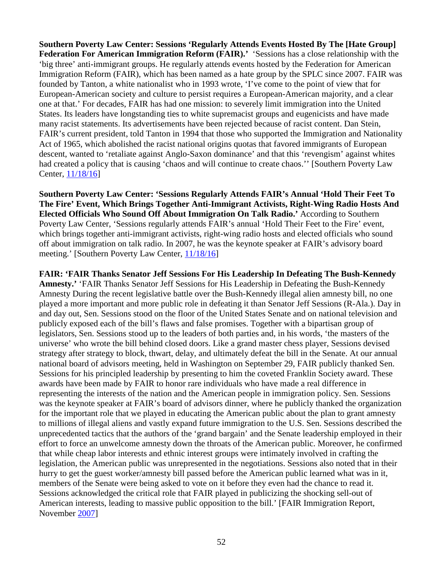**Southern Poverty Law Center: Sessions 'Regularly Attends Events Hosted By The [Hate Group] Federation For American Immigration Reform (FAIR).'** 'Sessions has a close relationship with the 'big three' anti-immigrant groups. He regularly attends events hosted by the Federation for American Immigration Reform (FAIR), which has been named as a hate group by the SPLC since 2007. FAIR was founded by Tanton, a white nationalist who in 1993 wrote, 'I've come to the point of view that for European-American society and culture to persist requires a European-American majority, and a clear one at that.' For decades, FAIR has had one mission: to severely limit immigration into the United States. Its leaders have longstanding ties to white supremacist groups and eugenicists and have made many racist statements. Its advertisements have been rejected because of racist content. Dan Stein, FAIR's current president, told Tanton in 1994 that those who supported the Immigration and Nationality Act of 1965, which abolished the racist national origins quotas that favored immigrants of European descent, wanted to 'retaliate against Anglo-Saxon dominance' and that this 'revengism' against whites had created a policy that is causing 'chaos and will continue to create chaos.'' [Southern Poverty Law Center, [11/18/16\]](https://www.splcenter.org/hatewatch/2016/11/18/jeff-sessions-champion-anti-muslim-and-anti-immigrant-extremists)

**Southern Poverty Law Center: 'Sessions Regularly Attends FAIR's Annual 'Hold Their Feet To The Fire' Event, Which Brings Together Anti-Immigrant Activists, Right-Wing Radio Hosts And Elected Officials Who Sound Off About Immigration On Talk Radio.'** According to Southern Poverty Law Center, 'Sessions regularly attends FAIR's annual 'Hold Their Feet to the Fire' event, which brings together anti-immigrant activists, right-wing radio hosts and elected officials who sound off about immigration on talk radio. In 2007, he was the keynote speaker at FAIR's advisory board meeting.' [Southern Poverty Law Center, [11/18/16\]](https://www.splcenter.org/hatewatch/2016/11/18/jeff-sessions-champion-anti-muslim-and-anti-immigrant-extremists)

**FAIR: 'FAIR Thanks Senator Jeff Sessions For His Leadership In Defeating The Bush-Kennedy Amnesty.'** 'FAIR Thanks Senator Jeff Sessions for His Leadership in Defeating the Bush-Kennedy Amnesty During the recent legislative battle over the Bush-Kennedy illegal alien amnesty bill, no one played a more important and more public role in defeating it than Senator Jeff Sessions (R-Ala.). Day in and day out, Sen. Sessions stood on the floor of the United States Senate and on national television and publicly exposed each of the bill's flaws and false promises. Together with a bipartisan group of legislators, Sen. Sessions stood up to the leaders of both parties and, in his words, 'the masters of the universe' who wrote the bill behind closed doors. Like a grand master chess player, Sessions devised strategy after strategy to block, thwart, delay, and ultimately defeat the bill in the Senate. At our annual national board of advisors meeting, held in Washington on September 29, FAIR publicly thanked Sen. Sessions for his principled leadership by presenting to him the coveted Franklin Society award. These awards have been made by FAIR to honor rare individuals who have made a real difference in representing the interests of the nation and the American people in immigration policy. Sen. Sessions was the keynote speaker at FAIR's board of advisors dinner, where he publicly thanked the organization for the important role that we played in educating the American public about the plan to grant amnesty to millions of illegal aliens and vastly expand future immigration to the U.S. Sen. Sessions described the unprecedented tactics that the authors of the 'grand bargain' and the Senate leadership employed in their effort to force an unwelcome amnesty down the throats of the American public. Moreover, he confirmed that while cheap labor interests and ethnic interest groups were intimately involved in crafting the legislation, the American public was unrepresented in the negotiations. Sessions also noted that in their hurry to get the guest worker/amnesty bill passed before the American public learned what was in it, members of the Senate were being asked to vote on it before they even had the chance to read it. Sessions acknowledged the critical role that FAIR played in publicizing the shocking sell-out of American interests, leading to massive public opposition to the bill.' [FAIR Immigration Report, November [2007\]](http://www.fairus.org/DocServer/Nov07_NL.pdf?docID=6021)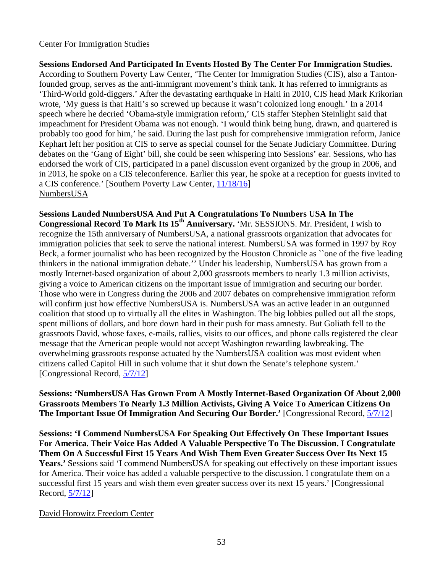## Center For Immigration Studies

**Sessions Endorsed And Participated In Events Hosted By The Center For Immigration Studies.**  According to Southern Poverty Law Center, 'The Center for Immigration Studies (CIS), also a Tantonfounded group, serves as the anti-immigrant movement's think tank. It has referred to immigrants as 'Third-World gold-diggers.' After the devastating earthquake in Haiti in 2010, CIS head Mark Krikorian wrote, 'My guess is that Haiti's so screwed up because it wasn't colonized long enough.' In a 2014 speech where he decried 'Obama-style immigration reform,' CIS staffer Stephen Steinlight said that impeachment for President Obama was not enough. 'I would think being hung, drawn, and quartered is probably too good for him,' he said. During the last push for comprehensive immigration reform, Janice Kephart left her position at CIS to serve as special counsel for the Senate Judiciary Committee. During debates on the 'Gang of Eight' bill, she could be seen whispering into Sessions' ear. Sessions, who has endorsed the work of CIS, participated in a panel discussion event organized by the group in 2006, and in 2013, he spoke on a CIS teleconference. Earlier this year, he spoke at a reception for guests invited to a CIS conference.' [Southern Poverty Law Center, [11/18/16\]](https://www.splcenter.org/hatewatch/2016/11/18/jeff-sessions-champion-anti-muslim-and-anti-immigrant-extremists) NumbersUSA

**Sessions Lauded NumbersUSA And Put A Congratulations To Numbers USA In The** 

**Congressional Record To Mark Its 15<sup>th</sup> Anniversary. 'Mr. SESSIONS. Mr. President, I wish to** recognize the 15th anniversary of NumbersUSA, a national grassroots organization that advocates for immigration policies that seek to serve the national interest. NumbersUSA was formed in 1997 by Roy Beck, a former journalist who has been recognized by the Houston Chronicle as ``one of the five leading thinkers in the national immigration debate.'' Under his leadership, NumbersUSA has grown from a mostly Internet-based organization of about 2,000 grassroots members to nearly 1.3 million activists, giving a voice to American citizens on the important issue of immigration and securing our border. Those who were in Congress during the 2006 and 2007 debates on comprehensive immigration reform will confirm just how effective NumbersUSA is. NumbersUSA was an active leader in an outgunned coalition that stood up to virtually all the elites in Washington. The big lobbies pulled out all the stops, spent millions of dollars, and bore down hard in their push for mass amnesty. But Goliath fell to the grassroots David, whose faxes, e-mails, rallies, visits to our offices, and phone calls registered the clear message that the American people would not accept Washington rewarding lawbreaking. The overwhelming grassroots response actuated by the NumbersUSA coalition was most evident when citizens called Capitol Hill in such volume that it shut down the Senate's telephone system.' [Congressional Record, [5/7/12\]](https://www.congress.gov/congressional-record/2012/05/07/senate-section/article/S2919-2)

**Sessions: 'NumbersUSA Has Grown From A Mostly Internet-Based Organization Of About 2,000 Grassroots Members To Nearly 1.3 Million Activists, Giving A Voice To American Citizens On The Important Issue Of Immigration And Securing Our Border.'** [Congressional Record, [5/7/12\]](https://www.congress.gov/congressional-record/2012/05/07/senate-section/article/S2919-2)

**Sessions: 'I Commend NumbersUSA For Speaking Out Effectively On These Important Issues For America. Their Voice Has Added A Valuable Perspective To The Discussion. I Congratulate Them On A Successful First 15 Years And Wish Them Even Greater Success Over Its Next 15 Years.'** Sessions said 'I commend NumbersUSA for speaking out effectively on these important issues for America. Their voice has added a valuable perspective to the discussion. I congratulate them on a successful first 15 years and wish them even greater success over its next 15 years.' [Congressional Record, [5/7/12\]](https://www.congress.gov/congressional-record/2012/05/07/senate-section/article/S2919-2)

## David Horowitz Freedom Center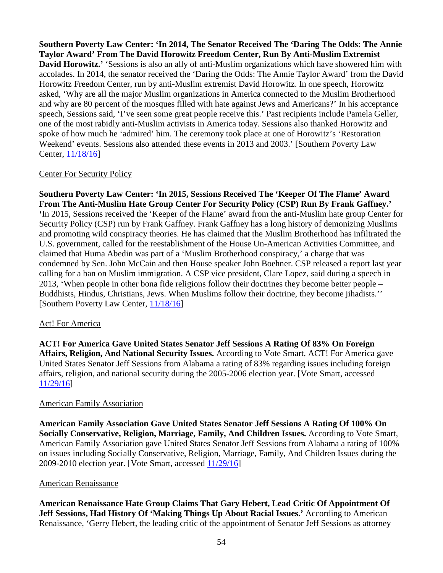**Southern Poverty Law Center: 'In 2014, The Senator Received The 'Daring The Odds: The Annie Taylor Award' From The David Horowitz Freedom Center, Run By Anti-Muslim Extremist David Horowitz.'** 'Sessions is also an ally of anti-Muslim organizations which have showered him with accolades. In 2014, the senator received the 'Daring the Odds: The Annie Taylor Award' from the David Horowitz Freedom Center, run by anti-Muslim extremist David Horowitz. In one speech, Horowitz asked, 'Why are all the major Muslim organizations in America connected to the Muslim Brotherhood and why are 80 percent of the mosques filled with hate against Jews and Americans?' In his acceptance speech, Sessions said, 'I've seen some great people receive this.' Past recipients include Pamela Geller, one of the most rabidly anti-Muslim activists in America today. Sessions also thanked Horowitz and spoke of how much he 'admired' him. The ceremony took place at one of Horowitz's 'Restoration Weekend' events. Sessions also attended these events in 2013 and 2003.' [Southern Poverty Law Center, [11/18/16\]](https://www.splcenter.org/hatewatch/2016/11/18/jeff-sessions-champion-anti-muslim-and-anti-immigrant-extremists)

## Center For Security Policy

**Southern Poverty Law Center: 'In 2015, Sessions Received The 'Keeper Of The Flame' Award From The Anti-Muslim Hate Group Center For Security Policy (CSP) Run By Frank Gaffney.' '**In 2015, Sessions received the 'Keeper of the Flame' award from the anti-Muslim hate group Center for Security Policy (CSP) run by Frank Gaffney. Frank Gaffney has a long history of demonizing Muslims and promoting wild conspiracy theories. He has claimed that the Muslim Brotherhood has infiltrated the U.S. government, called for the reestablishment of the House Un-American Activities Committee, and claimed that Huma Abedin was part of a 'Muslim Brotherhood conspiracy,' a charge that was condemned by Sen. John McCain and then House speaker John Boehner. CSP released a report last year calling for a ban on Muslim immigration. A CSP vice president, Clare Lopez, said during a speech in 2013, 'When people in other bona fide religions follow their doctrines they become better people – Buddhists, Hindus, Christians, Jews. When Muslims follow their doctrine, they become jihadists.'' [Southern Poverty Law Center, [11/18/16\]](https://www.splcenter.org/hatewatch/2016/11/18/jeff-sessions-champion-anti-muslim-and-anti-immigrant-extremists)

# Act! For America

**ACT! For America Gave United States Senator Jeff Sessions A Rating Of 83% On Foreign Affairs, Religion, And National Security Issues.** According to Vote Smart, ACT! For America gave United States Senator Jeff Sessions from Alabama a rating of 83% regarding issues including foreign affairs, religion, and national security during the 2005-2006 election year. [Vote Smart, accessed [11/29/16\]](https://votesmart.org/interest-group/1835/rating/5118#.WD3ckeYrKUk)

## American Family Association

**American Family Association Gave United States Senator Jeff Sessions A Rating Of 100% On Socially Conservative, Religion, Marriage, Family, And Children Issues.** According to Vote Smart, American Family Association gave United States Senator Jeff Sessions from Alabama a rating of 100% on issues including Socially Conservative, Religion, Marriage, Family, And Children Issues during the 2009-2010 election year. [Vote Smart, accessed [11/29/16\]](https://votesmart.org/interest-group/1835/rating/5118#.WD3ckeYrKUk)

## American Renaissance

**American Renaissance Hate Group Claims That Gary Hebert, Lead Critic Of Appointment Of Jeff Sessions, Had History Of 'Making Things Up About Racial Issues.'** According to American Renaissance, 'Gerry Hebert, the leading critic of the appointment of Senator Jeff Sessions as attorney